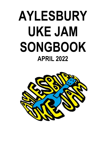# **AYLESBURY UKE JAM SONGBOOK APRIL 2022**

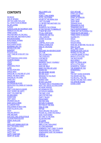#### <span id="page-1-0"></span>**CONTENTS**

[500 MILES](#page-2-0) [ACE OF SPADES](#page-3-0) [AIN'T NO CURE FOR LOVE](#page-4-0) [ALL I HAVE TO DO IS DREAM](#page-5-0) [ALL MY LOVING](#page-6-0) **[ALRIGHT](#page-7-0)** [ALWAYS LOOK ON THE BRIGHT SIDE](#page-8-0) [ANARCHY IN THE UKE](#page-8-1) [ANNIE'S SONG](#page-10-0) [ANOTHER BRICK IN THE WALL](#page-11-0) [ANOTHER GIRL ANOTHER PLANET](#page-12-0) [BAD MOON RISING](#page-13-0) [BLACK MAGIC WOMAN](#page-14-0) [BLUE MONDAY](#page-15-0) [BLUE SUEDE SHOES](#page-16-0) [BOHEMIAN LIKE YOU](#page-17-0) [BROWN EYED GIRL](#page-18-0) [BUDAPEST](#page-19-0) [BYE BYE LOVE](#page-20-0) [CAN'T TAKE MY EYES OFF](#page-21-0) YOU **[CARS](#page-22-0)** [CHATTANOOGA CHOO CHOO](#page-23-0) [COUNTRY ROADS](#page-24-0) **[CRAZY](#page-25-0) [CREEP](#page-26-0)** [CROCODILE ROCK](#page-27-0) [CUPID](#page-28-0) [DA DOO RON RON](#page-29-0) [DANCE AWAY](#page-30-0) [DANCE ME TO THE END OF LOVE](#page-31-0) [DANCE THE NIGHT AWAY](#page-32-0) [DANCING IN THE DARK](#page-33-0) [DANNY BOY](#page-34-0) [DAYDREAM](#page-35-0) [DAYDREAM BELIEVER](#page-36-0) [DEDICATED FOLLOWER OF FASHION](#page-37-0) [DELILAH](#page-38-0) [DON'T LOOK BACK IN ANGER](#page-39-0) [DON'T WORRY BE HAPPY](#page-40-0) [DON'T YOU WANT ME](#page-41-0) [DO WAH DIDDY](#page-42-0) [DOWNTOWN](#page-43-0) [DRIFT AWAY](#page-44-0) [DRUNKEN SAILOR](#page-44-1) [EIGHT DAYS A WEEK](#page-46-0) [EL CONDOR PASA](#page-47-0) [ENGLISHMAN IN NEW YORK](#page-48-0) [EVER FALLEN IN LOVE](#page-49-0) [FAITH](#page-50-0) [FEELING GROOVY](#page-51-0) [FIRE AND RAIN](#page-52-0) [FIVE FOOT TWO, EYES OF BLUE](#page-53-0) [FOLSOM PRISON BLUES](#page-54-0) [FRIDAY I'M IN LOVE](#page-55-0) **[GIRL](#page-56-0)** [GIRLS JUST WANNA HAVE FUN](#page-57-0) [HALF THE WORLD AWAY](#page-58-0) [HALLELUJAH](#page-59-0) [HAPPY BIRTHDAY](#page-60-0) [HAPPY TALK](#page-61-0) [HAPPY TOGETHER](#page-62-0) [HEART OF GLASS](#page-63-0)

[HELLO MARY LOU](#page-64-0) **[HEROES](#page-65-0) [HONKY TONK WOMEN](#page-66-0)** [HOTEL CALIFORNIA](#page-67-0) [HOUSE OF THE RISING SUN](#page-67-1) [I GOT YOU BABE](#page-69-0) [I'LL NEVER FIND ANOTHER YOU](#page-70-0) [IN MY LIFE](#page-70-1) [ISLANDS IN THE STREAM](#page-72-0) [IS THIS THE WAY TO AMARILLO?](#page-73-0) [IT MUST BE LOVE](#page-74-0) **[IT'S ALL OVER NOW](#page-75-0)** [I WANNA BE LIKE YOU](#page-76-0) [I WILL SURVIVE](#page-77-0) [JOHNNY B.GOODE](#page-78-0) [JOLENE](#page-79-0) [JUMPING JACK FLASH](#page-79-1) [KARMA CHAMELEON](#page-81-0) [KING OF THE ROAD](#page-82-0) [KISS](#page-83-0) [KNOCKING ON HEAVEN'S DOOR](#page-84-0) [LET IT BE](#page-85-0) [THE LOCOMOTION](#page-86-0) [THE LOVECATS](#page-87-0) [LOVE ME DO](#page-88-0) [LYING EYES](#page-89-0) [MADNESS / ENJOY YOURSELF](#page-90-0) [MAD WORLD](#page-91-0) [MAKE ME SMILE](#page-92-0) [MAKE YOU FEEL MY LOVE](#page-93-0) [MAMMA MIA](#page-94-0) [ME AND BOBBY MCGEE](#page-95-0) [ME AND JULIO](#page-96-0) [MESSAGE TO YOU RUDY](#page-97-0) [THE MODEL](#page-98-0) [MONKEY MAN](#page-99-0) [MY BOY LOLLIPOP](#page-100-0) [THE NIGHT HAS A THOUSAND EYES](#page-101-0) [NIGHT THEY DROVE OLD DIXIE DOWN](#page-102-0) [NO MORE HEROES](#page-103-0) [NO WOMAN NO CRY](#page-104-0) [OCTOPUS'S GARDEN](#page-105-0) [THE ONE I LOVE](#page-106-0) [ONE STEP BEYOND](#page-107-0) [PAINT IT BLACK](#page-108-0) [PROUD MARY](#page-109-0) [RED RED WINE](#page-110-0) [RETURN TO SENDER](#page-111-0) [RHYTHM OF THE RAIN](#page-112-0) [RING OF FIRE](#page-113-0) [RIPTIDE](#page-114-0) [ROCK AROUND THE CLOCK](#page-115-0) [ROCKIN' ALL OVER THE WORL](#page-116-0)D [SAVE YOUR KISSES](#page-117-0) [SET FIRE TO THE RAIN](#page-118-0) [SILVER MACHINE](#page-119-0) [SIT DOWN](#page-120-0) [SLOOP JOHN B](#page-121-0) [SMELLS LIKE TEEN SPIRIT](#page-122-0) [SO LONG MARIANNE](#page-123-0) [SOMEBODY THAT I USED TO KNOW](#page-124-0) [SOMEWHERE ONLY WE KNOW](#page-125-0) [SOMEWHERE OVER THE RAINBOW](#page-126-0) **[SORROW](#page-127-0)** [STAND BY ME](#page-128-0)

[STAY WITH ME](#page-129-0) [STRAY CAT STRUT](#page-130-0) **[SUMMERTIME](#page-131-0)** [SUNNY AFTERNOON](#page-132-0) [TAKE IT EASY](#page-133-0) [TEDDY BEAR](#page-134-0) [TEENAGE KICKS](#page-135-0) [TEENAGER IN LOVE](#page-136-0) [TENNESSEE WALTZ](#page-137-0) [THAT'S ENTERTAINMENT](#page-138-0) [THERE AIN'T NO PLEASING YOU](#page-139-0) THESE BOOTS ARE MADE ... [THREE STEPS TO HEAVEN](#page-141-0) [VALERIE ETC](#page-142-0) **[VENUS](#page-144-0)** [VIVA LA VIDA](#page-145-0) [WAGON WHEEL](#page-146-0) [WAKE ME UP BEFORE YOU GO GO](#page-147-0) [WALK OF LIFE](#page-148-0) [WE'LL MEET AGAIN](#page-149-0) [WHERE DID OUR LOVE GO](#page-150-0) [WHISKEY IN THE JAR](#page-151-0) [A WHITER SHADE OF PALE](#page-152-0) [WHOLE LOTTA LOVE](#page-153-0) **[THE WILD ROVER](#page-154-0)** [WILD WORLD](#page-155-0) [WISH YOU WERE HERE](#page-156-0) [WITH A LITTLE HELP](#page-157-0) [WONDERFUL TONIGHT](#page-157-1) [THE WONDER OF YOU](#page-159-0) **[WONDERWALL](#page-160-0) [YMCA](#page-161-0)** [YOU AIN'T GOING NOWHERE](#page-162-0) [YOU NEVER CAN TELL](#page-163-0) [YOU'RE STILL THE ONE](#page-164-0) [YOU'RE THE ONE THAT I WANT](#page-165-0) [YOU SPIN ME ROUND](#page-166-0) [CHORD CHART](#page-167-0)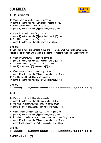# <span id="page-2-0"></span>**500 MILES**



#### **INTRO: [C]** (chunked)

**[C]** When I wake up, Yeah, I know I'm gonna be, I'm gonna **[F]** be the man who **[G]** wakes up next to **[C]** you. **[C]** When I go out, Yeah, I know I'm gonna be, I'm gonna **[F]** be the man who **[G]** goes along with **[C]** you.

**[C]** If I get drunk, well I know I'm gonna be, I'm gonna **[F]** be the man who **[G]** gets drunk next to **[C]** you. **[C]** And if I haver, yeah, I know I'm gonna be, I'm gonna **[F]** be the man who's **[G]** havering to **[C]** you.

#### **CHORUS:**

**[C] But I would walk five hundred miles, and [F] I would walk five [G] hundred more, Just to [C] be the man who walked a thousand [F] miles to fall down [G] at your door.** 

**[C]** When I'm working, yeah, I know I'm gonna be, I'm gonna **[F]** be the man who's **[G]** working hard for **[C]** you. **[C]** And when the money, comes in for the work I do I'll pass **[F]** almost every **[G]** penny on to **[C]** you.

**[C]** When I come home, oh I know I'm gonna be,

I'm gonna **[F]** be the man who **[G]** comes back home to **[C]** you.

**[C]** And if I grow old, well, I know I'm gonna be,

I'm gonna **[F]** be the man who's **[G]** growing old with **[C]** you.

#### **CHORUS**

**[C] Ta la la ta (ta la la ta), ta la la ta (ta la la ta),la la la [F] ta, la la la la la [G] ta,la la la [C] la la [2x]** 

#### **[C] [C]**

**[C]** When I'm lonely, well, I know I'm gonna be,

I'm gonna **[F]** be the man who's **[G]** lonely without **[C]** you.

**[C]** And when I'm dreaming, well, I know I'm gonna dream,

I'm gonna **[F]** dream about the **[G]** time when I'm with **[C]** you.

**[C]** When I go out (when I go out), well I know I'm gonna be,

I'm gonna **[F]** be the man who **[G]** goes along with **[C]** you.

**[C]** And when I come home (when I come home), well I know I'm gonna be,

I'm gonna **[F]** be the man who **[G]** comes back home to **[C]** you.

I'm gonna [**Dm**] be the man who's **[G]** coming home to **[C]** you.

#### **CHORUS**

**[C] Ta la la ta (ta la la ta), ta la la ta (ta la la ta),la la la [F] ta, la la la la la [G] ta,la la la [C] la la [4x]**

**CHORUS - slow to…. [C]**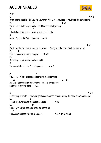# <span id="page-3-0"></span>**ACE OF SPADES**

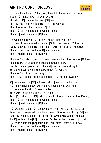# <span id="page-4-0"></span>**AIN'T NO CURE FOR LOVE**



I [**C**] loved you for a [**C7**] long long time, I [**F**] know this love is real It don't [**C**] matter how it all went wrong, That don't [**G**] change the way I [**G7**] feel And I [**C**] can't believe that [**E7**] time's gonna heal This [**Am**] wound I'm speaking [**F**] of There [**C**] ain't no cure there [**G**] ain't no cure There [**F**] ain't no cure for [**C**] love

I'm [**C**] aching for you [**C7**] baby I [**F**] can't pretend I'm not I [**C**] need to see you naked in your [**G**] body and your [**G7**] thought I've [**C**] got you like a [**E7**] habit and I'll [**Am**] never get e- [**F**] nough There [**C**] ain't no cure there [**G**] ain't no cure There [**F**] ain't no cure for [**C**] love

There ain't no [**Am**] cure for [**C**] love, there ain't no [**Am**] cure for [**C**] love All the rocket ships are [**F**] climbing through the sky Holy books are open wide doctor's [**G**] working day and night But they'll never ever find that [**Am**] cure for [**C**] love There ain't no [**F**] drink no drug There's [**D7**] nothing pure enough to be a [**G**] cure for [**G7**] love

[**C**] I see you in the [**C7**] subway and I [**F**] see you on the bus I [**C**] see you lying down with me and I [**G**] see you waking up I [**C**] see your hand I [**E7**] see your hair Your [**Am**] bracelets and your [**F**] brush And I [**C**] call to you I [**E7**] call to you but I [**Am**] don't call soft e- [**F**]nough There [**C**] ain't no cure there [**G**] ain't no cure There [**F**] ain't no cure for [**C**] love

I [**C**] walked into this [**C7**] empty church I had [**F**] no place else to go When the [**C**] sweetest voice I ever heard [**G**] whispered to my [**G7**] soul I don't [**C**] need to be for- [**E7**] given for [**Am**] loving you so [**F**] much It's [**C**] written in the [**E7**] scriptures it's [**Am**] written there in [**F**] blood I [**C**] even heard the [**E7**] angels de- [**Am**] clare it from a- [**F**] bove There [**C**] ain't no cure there [**G**] ain't no cure There [**F**] ain't no cure for [**C**] love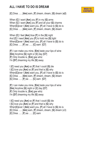## <span id="page-5-0"></span>**ALL I HAVE TO DO IS DREAM**



[**C**] Drea ….. [**Am**] eam, [**F**] dream, dream, [**G**] dream (**x2**)

When [**C**] I want [**Am**] you [**F**] in my [**G**] arms When [**C**] I want [**Am**] you [**F**] and all your [**G**] charms When[**C**]ever I [**Am**] want you, [**F**] all I have to [**G**] do is [**C**] Drea ….. [**Am**] eam, [**F**] dream, dream, [**G**] dream

When [**C**] I feel [**Am**] blue [**F**] in the [**G**] night And [**C**] I need [**Am**] you [**F**] to hold me [**G**] tight When[**C**]ever I [**Am**] want you, [**F**] all I have to [**G**] do is [**C**] Drea ….. [**F**] ea ….. [**C**] eam [**C7**]

[**F**] I can make you mine, [**Em**] taste your lips of wine [**Dm**] Anytime [**G**] night or [**C**] day [**C7**] [**F**] Only trouble is, [**Em**] gee whiz I'm [**D7**] dreaming my life [**G**] away

I [**C**] need you [**Am**] so [**F**] that I could [**G**] die I [**C**] love you [**Am**] so [**F**] and that is [**G**] why When[**C**]ever I [**Am**] want you, [**F**] all I have to [**G**] do is [**C**] Drea ….. [**Am**] eam, [**F**] dream, dream, [**G**] dream [**C**] Drea ….. [**F**] ea ….. [**C**] eam [**C7**]

[**F**] I can make you mine, [**Em**] taste your lips of wine [**Dm**] Anytime [**G**] night or [**C**] day [**C7**] [**F**] Only trouble is, [**Em**] gee whiz I'm [**D7**] dreaming my life [**G**] away

I [**C**] need you [**Am**] so [**F**] that I could [**G**] die I [**C**] love you [**Am**] so [**F**] and that is [**G**] why When[**C**]ever I [**Am**] want you, [**F**] all I have to [**G**] do is [**C**] Drea ….. [**Am**] eam, [**F**] dream, dream, [**G**] dream (x3) [**C**] Drea ….. [**F**] ea ….. [**C**] eam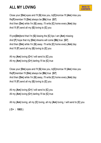# <span id="page-6-0"></span>**ALL MY LOVING**



Close your [**Dm**] eyes and I'll [**G**] kiss you, to[**C**]morrow I'll [**Am**] miss you Re[**F**]member I'll [**Dm**] always be [**Bb**] true [**G7**] And then [**Dm**] while I'm [**G**] away, I'll write [**C**] home every [**Am**] day And I'll [**F**] send all my [**G**] loving to [**C**] you

I'll pre[**Dm**]tend that I'm [**G**] kissing the [**C**] lips I am [**Am**] missing And [**F**] hope that my [**Dm**] dreams will come [**Bb**] true [**G7**] And then [**Dm**] while I'm [**G**] away I'll write [**C**] home every [**Am**] day And I'll [**F**] send all my [**G**] loving to [**C**] you

All my [**Am**] loving [**C+**] I will send to [**C**] you All my [**Am**] loving [**C+**] darling I'll be [**C**] true

Close your [**Dm**] eyes and I'll [**G**] kiss you, to[**C**]morrow I'll [**Am**] miss you Re[**F**]member I'll [**Dm**] always be [**Bb**] true [**G7**] And then [**Dm**] while I'm [**G**] away, I'll write [**C**] home every [**Am**] day And I'll [**F**] send all my [**G**] loving to [**C**] you

All my [**Am**] loving [**C+**] I will send to [**C**] you All my [**Am**] loving [**C+**] darling I'll be [**C**] true

All my [**Am**] loving, all my [**C**] loving, all my [**Am**] loving, I will send to [**C**] you

```
( C+ : 1003 )
```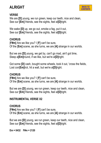# <span id="page-7-0"></span>**ALRIGHT**

### **VERSE**

We are **[D]** young, we run green, keep our teeth, nice and clean, See our **[Em]** friends, see the sights, feel al**[D]**right.

We wake **[D]** up, we go out, smoke a fag, put it out, See our **[Em]** friends, see the sights, feel al**[D]**right.

### **CHORUS**

[**F#m]** Are we like you? I [**F]** can't be sure, Of the [**Em]** scene, as she turns, we are [**A]** strange in our worlds.

But we are **[D]** young, we get by, can't go mad, ain't got time, Sleep a**[Em]**round, if we like, but we're al**[D]**right.

Got some **[D]** cash, bought some wheels, took it out, 'cross the fields, Lost con[**Em]**trol, hit a wall, but we're al**[D]**right.

#### **CHORUS**

[**F#m]** Are we like you? I [**F]** can't be sure,

Of the [**Em]** scene, as she turns, we are [**A]** strange in our worlds.

But we are **[D]** young, we run green, keep our teeth, nice and clean, See our **[Em]** friends, see the sights, feel al**[D]**right.

### **INSTRUMENTAL VERSE X2**

### **CHORUS**

[**F#m]** Are we like you? I [**F]** can't be sure, Of the [**Em]** scene, as she turns, we are [**A]** strange in our worlds.

But we are **[D]** young, we run green, keep our teeth, nice and clean, See our **[Em]** friends, see the sights, feel al**[D]**right.

**Em = 0432 F#m = 2120**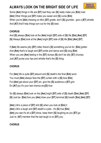# <span id="page-8-0"></span>**ALWAYS LOOK ON THE BRIGHT SIDE OF LIFE**



Some [**Am**] things in life are [**D7**] bad they can [**G**] really make you [**Em**] mad [**Am**] Other things just [**D7**] make you swear and [**G**] curse [**Em**] When you're [**Am**] chewing on life's [**D7**] gristle, don't [**G**] grumble - give a [**E7**] whistle And [**A7**] this'll help things turn out for the [**D**] best.

#### **CHORUS:**

And [**G**] always [**Em**] look at the [**Am**] bright [**D7**] side of [**G**] life [**Em**] [**Am**] [**D7**] [**G**] Always [**Em**] look at the [**Am**] bright [**D7**] side of [**G**] life [**Em**] [**Am**] [**D7**]

If [**Am**] life seems jolly [**D7**] rotten there's [**G**] something you've for- [**Em**] gotten And [**Am**] that's to laugh and [**D7**] smile and dance and [**G**] sing [**Em**] When you are [**Am**] feeling in the [**D7**] dumps [**G**] don't be silly [**E7**] chumps Just [**A7**] purse your lips and whistle that's the [**D**] thing.

#### **CHORUS**

For [**Am**] life is quite [**D7**] absurd and [**G**] death's the final [**Em**] word You must [**Am**] always face the [**D7**] curtain with a [**G**] bow [**Em**] For-[**Am**] get about your [**D7**] sin, give the [**G**] audience a [**E7**] grin En-[**A7**] joy it's your last chance any[**D**] how

So [**G**] always [**Em**] look on the [**Am**] bright [**D7**] side of [**G**] death [**Em**] [**Am**] [**D7**] [**G**] Just be- [**Em**] fore you [**Am**] draw your [**D7**] terminal [**G**] breath [**Em**] [**Am**] [**D7**]

[**Am**] Life's a piece of [**D7**] shit [**G**] when you look at [**Em**] it [**Am**] Life's a laugh and [**D7**] death's a joke - it's [**G**] true [**Em**] [**Am**] you see it's all a [**D7**] show, keep them [**G**] laughing as you [**E7**] go Just re- [**A7**] member that the last laugh is on [**D7**] you.

### <span id="page-8-1"></span>**CHORUS**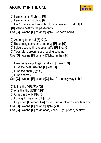# **ANARCHY IN THE UKE**



**[C]** I am an anti **[F]** christ, **[G]**

**[C]** I am an anar **[F]** chist, **[G]**

**[C]** Don't know what I want, but I know how to **[F]** get **[G]** it.

I **[C]** wanna destroy the passers-by,

'Cos **[G]** I wanna **[F]** be anar**[C]**chy. No dog's body!

**[C]** Anarchy for the U **[F]** K **[G]**

**[C]** It's coming some time and may **[F]** be, **[G]** 

**[C]** I give a wrong time stop a traffic **[F]** line. **[G]**

**[C]** Your future dream is a shopping scheme,

'Cos **[G]** I wanna **[F]** be anar**[C]**chy. In the city!

**[C]** How many ways to get what you **[F]** want **[G]**

**[C]** I use the best I use the **[F]** rest **[G]**

**[C]** I use the enem**[F]**y **[G]**

**[C]** I use anarchy

'Cos **[G]** I wanna **[F]** be anar**[C]**chy. It's the only way to be!

**[C]** Is this the MPL**[F]**A **[G]**

**[C]** or is this the UD**[F]**A **[G]**

**[C]** Or is this the IR**[F]**A **[G]**

**[C]** I thought it was the U**[F]**K **[G]**

**[C]** Or just an **[F]** other **[Am]** coun**[C]**try. Another council tenancy!

'Cos **[G]** I wanna **[F]** be anar**[C]**chy **(x3)**

'Cos **[G]** I wanna **[F]** be an anar**[C]**chist. I get pissed, destroy!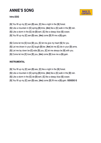# <span id="page-10-0"></span>**ANNIE'S SONG**

#### **Intro.GGG**

[**G**] You fill up my [**C**] sen-[**D**]-ses, [**C**] like a night in the [**G**] forest.

- [**G**] Like a mountain in [**C**] spring-[**D**]-time, [**Am**] like a [**C**] walk in the [**D**] rain.
- [**G**] Like a storm in the [**C**] de-[**D**]-sert, [**C**] like a sleepy blue [**G**] ocean.
- [**G**] You fill up my [**C**] sen-[**D**]-ses, [**Am**] come [**D**] fill me a-[**G**]-gain.

[**G**] Come let me [**C**] love [**D**] you, [**C**] let me give my heart [**G**] for you.

- [**G**] Let me drown in your [**C**] laugh-[**D**]-ter, [**Am**] let me [**C**] die in your [**D**] arms.
- [**G**] Let me lay down be-[**C**]-side [**D**] you, [**C**] let me always be [**G**] with you.
- [**G**] Come let me [**C**] love [**D**] you, [**Am**] come [**D**] love me a-[**G**]-gain.

#### **INSTRUMENTAL**

- [**G**] You fill up my [**C**] sen-[**D**]-ses, [**C**] like a night in the [**G**] forest.
- [**G**] Like a mountain in [**C**] spring-[**D**]-time, [**Am**] like a [**C**] walk in the [**D**] rain.
- [**G**] Like a storm in the [**C**] de-[**D**]-sert, [**C**] like a sleepy blue [**G**] ocean.
- [**G**] You fill up my [**C**] sen-[**D**]-ses, [**Am**] come [**D**] fill me a-[**G**]-gain. **GGGGG G**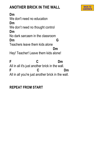# <span id="page-11-0"></span>**ANOTHER BRICK IN THE WALL**



**Dm**  We don't need no education **Dm**  We don't need no thought control **Dm**  No dark sarcasm in the classroom **Dm G** Teachers leave them kids alone *Dm* Hey! Teacher! Leave them kids alone! **F C Dm** All in all it's just another brick in the wall. **F C Dm** 

All in all you're just another brick in the wall.

# **REPEAT FROM START**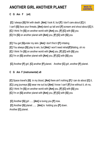# <span id="page-12-0"></span>**ANOTHER GIRL ANOTHER PLANET**



#### **C G Am F (x4)**

**[C]** I always **[G]** flirt with death. **[Am]** I look ill, but **[F]** I don't care about **[C]** it. I can't **[G]** face your threats, **[Am]** stand up tall and **[F]** scream and shout about **[C]** it. **[C]** I think I'm **[G]** on another world with **[Am]** you, **[F] [C]** with **[G]** you **[C]** I'm **[G]** on another planet with **[Am]** you, **[F] [C]** with **[G]** you

**[C]** You get [**G]**under my skin. **[Am]** I don't find it **[F]** irritating **[C]** You always **[G]** play to win, but **[Am]** I won't need rehab**[F]**ilitating, oh no **[C]** I think I'm **[G]** on another world with **[Am]** you, **[F] [C]** with **[G]** you **[C]** I'm on **[G]** another planet with **[Am]** you, **[F] [C]** with **[G]** you

**[C]** Another **[F]** girl, **[C]** another **[F]** planet. Another **[C]** girl, another **[F]** planet.

#### **C G Am F (instrumental) x8**

**[C]** Space travel's **[G]** in my blood, **[Am]** there ain't nothing **[F]** I can do about **[C]** it, **[C]** Long journeys **[G]** wear me out but **[Am]** I know I can't **[F]** live without it, oh no, **[C]** I think I'm **[G]** on another world with **[Am]** you, **[F] [C]** with **[G]** you **[C]** I'm on **[G]** another planet with **[Am]** you, **[F] [C]** with **[G]** you

**[C]** Another **[G]** girl ….. **[Am]** is loving you **[F]** now. **[C]** Another **[G]** planet ….. **[Am]** is holding you **[F]** down. Another **[C]** planet.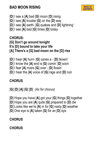# <span id="page-13-0"></span>**BAD MOON RISING**

**CHORUS:**

**CHORUS**

**CHORUS**

**CHORUS**



[**D**] I see a [**A**] bad [**G**] moon [**D**] rising

[**D**] I see [**A**] trouble [**G**] on the [**D**] way

[**D**] I see [**A**] earth- [**G**] quakes and [**D**] lightning'

**[A] There's a [G] bad moon on the [D] rise**

[**D**] I hear [**A**] hurri- [**G**] canes a - [**D**] blowin'

[**D**] I know the [**A**] end is [**G**] comin' [**D**] soon

[**D**] I hear the [**A**] voice of [**G**] rage and [**D**] ruin

[**D**] Hope you have [**A**] got your [**G**] things [**D**] together

[**D**] Hope you are [**A**] quite [**G**] prepared to [**D**] die

[**D**] One eye is [**A**] taken [**G**] for an [**D**] eye

[**D**] Looks like we're [**A**] in for [**G**] nasty [**D**] weather

[**D**] I fear [**A**] rivers [**G**] over - [**D**] flowin'

[**G**] [**D**] [**A]** [**G**] [**D**] *(As for chorus)*

**[G] Don't go around tonight** 

**It's [D] bound to take your life**

[**D**] I see [**A**] bad [**G**] times [**D**] today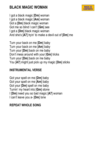# <span id="page-14-0"></span>**BLACK MAGIC WOMAN**



I got a black magic [**Dm**] woman I got a black magic [**Am**] woman Got a [**Dm**] black magic woman Got me so blind I can't [**Gm**] see I got a [**Dm**] black magic woman And she's [**A7**] tryin' to make a devil out of [**Dm**] me

Turn your back on me [**Dm**] baby Turn your back on me [**Am**] baby Turn your [**Dm**] back on me baby Don't mess around with your [**Gm**] tricks Turn your [**Dm**] back on me baby You [**A7**] might just pick up my magic [**Dm**] sticks

### **INSTRUMENTAL VERSE**

Got your spell on me [**Dm**] baby Got your spell on me [**Am**] baby Got your [**Dm**] spell on me baby Turnin' my heart into [**Gm**] stone I [**Dm**] need you so bad magic [**A7**] woman I can't leave you a- [**Dm**] lone

# **REPEAT WHOLE SONG**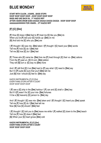# <span id="page-15-0"></span>**BLUE MONDAY**



**START WITH CAJON…8 BARS…BASS STOPS DOOF DOOF DOOF DOOF…DOOF DOOF DOOF DOOF BASS AND UKE BACK IN…1ST KAZOO RIFF AFTER 8 BARS DRUM GOES DAGGA DAGGA DAGGA DAGGA DOOF DOOF DOOF AAAAAAAHHHHHH FOR 8 BARS… 2ND KAZOO RIFF**

### **[F] [C] [Dm]**

[**F**] How [**C**] does it [**Dm**] feel to [**F**] treat me [**C**] like you [**Dm**] do When you've [**F**] laid your [**C**] hands up- [**Dm**] on me [**G**] And told me [**C**] who you [**Dm**] are

I [**F**] thought I [**C**] was mis- [**Dm**] taken I [**F**] thought I [**C**] heard your [**Dm**] words Tell me [**F**] how [**C**] do I [**Dm**] feel Tell me [**G**] how [**C**] do I [**Dm**] feel

[**F**] Those who [**C**] came be- [**Dm**] fore me [**F**] lived through [**C**] their vo- [**Dm**] cations From the [**F**] past un- [**C**] til com- [**Dm**] pletion They will [**G**] turn a- [**C**] way no [**Dm**] more

And I [**F**] still find [**C**] it so [**Dm**] hard to [**F**] say what I [**C**] need to [**Dm**] say But I'm [**F**] quite [**C**] sure that you'll [**Dm**] tell me Just [**G**] how I should [**C**] feel to- [**Dm**] day

KAZOO INSTRUMENTAL IFI ICI IDml EVERYTHING STOPS AFTER 4 COUNT DOOF DOOF DOOF DOOF

I [**F**] see a [**C**] ship in the [**Dm**] harbour I [**F**] can and [**C**] shall o- [**Dm**] bey But if it [**F**] wasn't for [**C**] your mis- [**Dm**] fortunes I'd be a [**G**] heavenly [**C**] person to- [**Dm**] day

And I [**F**] thought I [**C**] was mis- [**Dm**] taken and I [**F**] thought I [**C**] heard you [**Dm**] speak Tell me [**F**] how [**C**] do I [**Dm**] feel tell me Now [**G**] how [**C**] should I [**Dm**] feel

I [**F**] thought I [**C**] told you to [**Dm**] leave me while I [**F**] walked [**C**] down to the [**Dm**] beach Tell me [**F**] how [**C**] does it [**Dm**] feel [**G**] When your [**C**] heart grows [**Dm**] cold

**KAZOO INSTRUMENTAL [F] [C] [Dm] EVERYTHING STOPS AFTER 4 COUNT DOOF DOOF DOOF DOOF**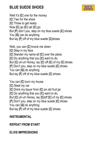# <span id="page-16-0"></span>**BLUE SUEDE SHOES**



Well it's [**C**] one for the money [**C**] Two for the show [**C**] Three to get ready Now [**C**] go [**C**] cat [**C**] go But [**F**] don't you, step on my blue suede [**C**] shoes You [**G**] can do anything But lay [**F**] off of my blue suede [**C**]shoes.

Well, you can [**C**] knock me down [**C**] Step in my face [**C**] Slander my name all [**C**] over the place [**C**] Do anything that you [**C**] want to do, But [**C**] uh-uh Honey, lay [**C**] off [**C**] of my [**C**] shoes [**F**] Don't you, step on my blue suede [**C**] shoes You can [**G**] do anything But lay [**F**] off of my blue suede [**C**] shoes

You can [**C**] burn my house [**C**] Steal my car [**C**] Drink my liquor from [**C**] an old fruit jar [**C**] Do anything that you [**C**] want to do, But [**C**] uh-uh Honey, lay [**C**]off [**C**] of my [**C**] shoes [**F**] Don't you, step on my blue suede [**C**] shoes You can [**G**] do anything But lay [**F**] off of my blue suede [**C**] shoes

### **INSTRUMENTAL**

## **REPEAT FROM START**

**ELVIS IMPRESSIONS**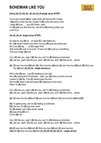# <span id="page-17-0"></span>**BOHEMIAN LIKE YOU**



#### **[intro] (A) (C) (G) (D) (A) (A) (A) (A-single strum STOP)**

You've got a great **(A)**car, yeah what's **(C )**wrong with it today I **(G)**used to have one too, maybe I'll **(D)** come and have a look I really **(A)** love ….. your **(C)** hairdo, yeah, I'm **(G)** glad you like mine too, see we're **(D)** looking pretty cool Look at ya.

#### **(A) (A) (A) (A- single strum STOP)**

So what do you **(A)** do... oh yeah **(C)** I wait tables too, No I **(G)** haven't heard your band 'cos you **(D)** guys are pretty new But if you **(A)** dig ….. on **(C)** vegan food, Well come **(G)** over to my work, I'll have 'em **(D)** cook you something That you'll really **(A)** love

Cos I **(C)** like you, yeah I **(G)** like you, and I'm **(D)** feeling so bohemian **(A)** Like you, yeah I **(C)** like you, yeah I **(G)** like you, and I **(D)** feel wo-ho... whooo

**(A) (C)** woo hoo-hoo **(G)**hooh **(D)**, Woo hoo-hoo **(A)**hooh **(C)** woo hoo-hoo **(G)**hooh **(D)** Woo hoohoo **(A)**hooh **(A) (A) (A - single strum)**wait

Who's that **(A)** guy... just **(C)** hanging at your pad, He's **(G)** looking kind of bummed... yeah, you **(D)** broke up that's too bad I guess it's **(A)** fair, if he **(C)** always pays the rent, And he **(G)** doesn't get bent about **(D)** sleeping on the couch, When I'm **(A)** there

Cos I **(C)** like you, yeah I **(G)** like you, and I'm **(D)** feeling so bohemian **(A)** Like you, yeah I **(C)** like you, yeah I **(G)** like you, and I **(D)** feel wo-ho... whooo

**(A) (C)** woo hoo-hoo **(G)**hooh **(D)** woo hoo-hoo **(A)**hooh **(C)** woo hoo-hoo **(G)**hooh**(D)**

**(A)** I'm getting wise, and I'm **(C)** feeling so bohemian **(G)** Like you, it's **(D)** you that I want So **(A)** please, just a **(C)** casual, casual **(G)** easy thing **(D)** is it … It is for **(A)** me

Cos I **(C)** like you, yeah I **(G)** like you, and I'm **(D)** feeling so bohemian **(A)** Like you, yeah I **(C)** like you, yeah I **(G)** like you, and I **(D)** feel wo-ho... whooo

**(A) (C)** woo hoo-hoo **(G)**hooh **(D)** Woo hoo-hoo **(A)**hooh **(C)** woo hoo-hoo **(G)**hooh **(D)** Woo hoo-hoo **(A)**hooh **(C) (G) (D) (A) (A) (A) (A – single strum)**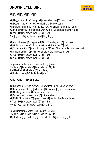# <span id="page-18-0"></span>**BROWN EYED GIRL**



[**G**] [**C**] [**G**] [**D**] [**G**] [**C**] [**G**] [**D**]

[**G**] Hey, where did [**C**] we go [**G**] days when the [**D**] rains came? [**G**] Down in the [**C**] hollow, [**G**] playing a [**D**] new game. [**G**] Laughin' and a- [**C**] runnin', hey hey, [**G**] skippin' and a- [**D**] jumpin' [**G**] In the misty [**C**] morning fog with [**G**] our [**D**] hearts a-thumpin' and [**C**]You, [**D7**] my brown eyed [**G**] girl, [**Em**] And [**C**] you [**D7**] my brown eyed [**G**] girl. [**D**]

[**G**] And whatever [**C**] happened [**G**] to Tuesday and [**D**] so slow? [**G**] Goin' down the [**C**] old mine with a [**G**] transistor [**D**] radio. [**G**] Standin' in the [**C**] sunlight laughin' [**G**] hidin' behind a [**D**] rainbow's wall. [**G**] Slippin' and a- [**C**] slidin' [**G**] all along the [**D**] waterfall with [**C**]You, [**D7**] my brown eyed [**G**] girl, [**Em**] [**C**] You [**D7**] my brown eyed [**G**] girl. [**D**]

Do you remember when…we used to [**G**] sing Sha la la [**C**] la la la la [**G**] la la la la de [**D7**] da. Just like that [**G**] sha la la [**C**] la la la la, [**G**] La la la la de [**D7**]da, la de [**G**] da.

### [**G**] [**C**] [**G**] [**D**] - **BASS SOLO**

[**G**] So hard to [**C**] find my way [**G**] now that I'm all [**D**] on my own [**G**] I saw you just the [**C**] other day [**G**] my how [**D**] you have grown [**G**] Cast my memory [**C**] back there, Lord [**G**] Sometimes I'm overcome [**D**] thinkin' about it [**G**] Makin' love in the [**C**] green grass [**G**] behind the [**D**] stadium with [**C**]You, [**D7**] my brown eyed [**G**] girl, [**Em**] And [**C**] you [**D7**] my brown eyed [**G**] girl. [**D**]

Do you remember when…we used to [**G**] sing Sha la la [**C**] la la la la [**G**] la la la la de [**D7**] da. [**G**] sha la la [**C**] la la la la,[**G**] La la la la de [**D7**]da, la de [**G**] da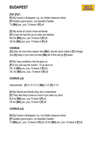# <span id="page-19-0"></span>**BUDAPEST**



**[F]/// [F]//// [F]** My house in Budapest, my, my hidden treasure chest, **[F]** Golden grand piano, my beautiful Castillo To **[Bb]** you, you, I'd leave it **[F]** all

**[F]** My acres of a land I have achieved **[F]** It may be hard for you to stop and believe But for **[Bb]** you, you I'd leave it **[F]** all, Oh for **[Bb]** you, you, I'd leave it **[F]** all

#### **CHORUS:**

**[C]** Give me one more reason why **[Bb]** I should never make a **[F]** change And **[C]** baby if you hold me then **[Bb]** all of this will go **[F]** away

**[F]** My many artefacts, the list goes on **[F]** If you just say the words I, I'll up and run Oh, to **[Bb]** you, you, I'd leave it **[F]** all, Oh, for **[Bb]** you, you, I'd leave it **[F]** all

#### **CHORUS (x2)**

Instrumental: **[F]** /// //// //// //// **[Bb]** /// //// **[F]** /// ////

**[F]** My friends and family they don't understand **[F]** They fear they'd lose so much if you take my hand But for **[Bb]** you, you I'd lose it **[F]** all, Oh for **[Bb]** you, you, I'd lose it **[F]** all

#### **CHORUS (x2)**

**[F]** My house in Budapest, my, my hidden treasure chest, **[F]** Golden grand piano, my beautiful Castillo To **[Bb]** you, you, I'd leave it **[F]** all, oh for **[Bb]** you, you, I'd leave it **[F]** all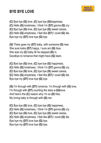# <span id="page-20-0"></span>**BYE BYE LOVE**

**(C)** Bye bye **(G)** love, **(C)** bye bye **(G)**happiness, **(C)** Hello **(G)** loneliness, I think I'm **(D7)** gonna **(G)** cry. **(C)** Bye bye **(G)** love, **(C)** bye bye **(G)** sweet caress, **(C)** Hello **(G)** emptiness, I feel like **(D7)** I could **(G)** die. Bye bye my **(D7)** love bye **(G)** bye.

**(G)** There goes my **(D7)** baby, with someone **(G)** new. She sure looks **(D7)** happy, I sure am **(G)** blue. She was my **(C)** baby till he stepped **(D)** in, Goodbye to romance that might have **(G)** been.

**(C)** Bye bye **(G)** love, **(C)** bye bye **(G)** happiness, **(C)** Hello **(G)** loneliness, I think I'm **(D7)** gonna **(G)** cry. **(C)** Bye bye **(G)** love, **(C)** bye bye **(G)** sweet caress, **(C)** Hello **(G)** emptiness, I feel like **(D7)** I could **(G)** die. Bye bye my **(D7)** love bye **(G)** bye.

**(G)** I'm through with **(D7)** romance, I'm through with **(G)** love, I'm through with **(D7)** counting the stars a-**(G)**bove. And here's the **(C)** reason why I'm so **(D)** free, My loving baby is through with **(G)** me.

**(C)** Bye bye **(G)** love, **(C)** bye bye **(G)** happiness, **(C)** Hello **(G)** loneliness, I think I'm **(D7)** gonna **(G)** cry. **(C)** Bye bye **(G)** love, **(C)** bye bye **(G)** sweet caress, **(C)** Hello **(G)** emptiness, I feel like **(D7)** I could **(G)** die. Bye bye my **(D7)** love bye **(G)** bye. Bye bye my **(D7)** love bye **(G)** bye.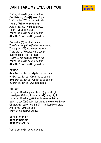# <span id="page-21-0"></span>**CAN'T TAKE MY EYES OFF YOU**



You're just too **(C)** good to be true, Can't take my **(Cmaj7)** eyes off you, You'd be like **(C7)** heaven to touch, I wanna **(F)** hold you so much, At long last love **(Fm)** has arrived, I thank **(C)** God I'm alive, You're just too **(D)** good to be true, **(Dm)** Can't take my **(C)** eyes off you.

Pardon the **(C)** way that I stare, There's nothing **(Cmaj7)** else to compare, The sight of **(C7)** you leaves me weak, There are no **(F)** words left to speak, But if you **(Fm)** feel like I feel, Please let me **(C)** know that it's real, You're just too **(D)** good to be true, **(Dm)** Can't take my **(C)** eyes off you.

#### **BRIDGE**

**(Dm)** Dah da, dah da, **(G)** dah da da-da-dah **(C)** Dah da, dah da, **(C)** dah da da-da-dah **(Dm)** Dah da, dah da, **(G)** dah da da-da-dah **(C)** Dah da, dah da, **(A7)** daaaaaaah!

#### **CHORUS**

I love you **(Dm)** baby, and if it's **(G)** quite all right, I need you **(C)** baby, to warm a **(A7)** lonely night, I love you **(Dm)** baby, **(G)** trust in me when I **(C)** say, **[A]** Oh pretty **(Dm)** baby, don't bring me **(G)** down I pray, Oh pretty **(C)** baby, now that **(A7)** I've found you, stay, And let me **(Dm)** love you, Baby, let me **(G)** love you **(G)**

#### **REPEAT VERSE 1 REPEAT BRIDGE REPEAT CHORUS**

You're just too **[C]** good to be true.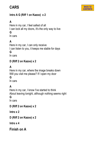# <span id="page-22-0"></span>**CARS**



### **Intro A G (Riff 1 on Kazoo) x 2**

### **A**

Here in my car, I feel safest of all I can lock all my doors, it's the only way to live **G** In cars

### **A**

Here in my car, I can only receive I can listen to you, it keeps me stable for days **G**

In cars

#### **D (Riff 2 on Kazoo) x 2**

### **A**

Here in my car, where the image breaks down Will you visit me please? If I open my door **G**

In cars

### **A**

Here in my car, I know I've started to think About leaving tonight, although nothing seems right

**G** 

In cars

**D (Riff 2 on Kazoo) x 2** 

**Intro x 2** 

**D (Riff 2 on Kazoo) x 2** 

**Intro x 4** 

**Finish on A**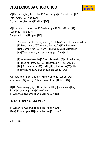# <span id="page-23-0"></span>**CHATTANOOGA CHOO CHOO**



**[C]** Pardon me, boy, is that the **[F]** Chattanooga **[C]** Choo-Choo? [**A7]** Track twenty **[D7]** nine, **[G7]** Boy, you can give me a **[C]** shine? **[G7]**

**[C]** I can afford to board the **[F]** Chattanooga **[C]** Choo-Choo. **[A7]** I got my **[D7]** fare, **[G7]** And just a trifle to **[C]** spare **[C7].**

> You leave the **[F]** Pennsylvania **[C7]** Station 'bout a **[F]** quarter to four. **[F]** Read a maga **[C7]** zine and then you're **[F]** in Baltimore. **[Bb]** Dinner in the **[G7]** diner, **[F]** nothing could be **[D7]** finer, **[C#]** Than to have your ham and eggs in Caro **[C]** lina.

**[F]** When you hear the **[C7]** whistle blowing **[F]** eight to the bar, **[F]** Then you know that **[C7]** Tennessee is **[F]** not very far. **[Bb]** Shovel all your **[G7]** coal in, **[F]** gotta keep a-**[D7]**rollin'. **[C#]** Whoo whoo, Chattanooga, there you **[C]** are!

**[C]** There's gonna be, a certain **[F]** party at the **[C]** station. **[A7]** In satin and **[D7]** lace, **[G7]** I used to call funny-**[C]** face. **[G7]**

**[C]** She's gonna cry **[C7]** until I tell her that I'll **[F]** never roam **[Fm]** So, **[C]** Chattanooga **[Am]** Choo-Choo, **[F]** Won't you **[G7]** choo-choo me **[C]** home? **[G7]**

#### **REPEAT FROM 'You leave the …'**

**[F]** Won't you **[G7]** choo-choo me **[C]** home? **[Am]** (Slow) **[F]** Won't you **[G7]** choo-choo me **[C]** home?

**(C# : 1114)**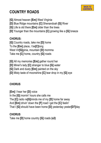

# <span id="page-24-0"></span>**COUNTRY ROADS**

**[G]** Almost heaven **[Em]** West Virginia **[D]** Blue Ridge mountains **[C]** Shenandoah **[G]** River **[G]** Life is old there **[Em]** older than the trees **[D]** Younger than the mountains **[C]** growing like a **[G]** breeze

#### **CHORUS:**

**[G]** Country roads, take me **[D]** home To the **[Em]** place, I be**[C]**long West Vir**[G]**ginia, mountain **[D]** momma Take me **[C]** home, country **[G]** roads

**[G]** All my memories **[Em]** gather round her **[D]** Miner's lady **[C]** stranger to blue **[G]** water **[G]** Dark and dusty **[Em]** painted on the sky **[D]** Misty taste of moonshine **[C]** tear drop in my **[G]** eye

## **CHORUS**

**[Em]** I hear her **[D]** voice In the **[G]** mornin' hours she calls me The **[C]** radio re**[G]**minds me of my **[D]** home far away And **[Em]** drivin' down the **[F]** road I get the **[C]** feelin' That I **[G]** should have been home **[D]** yesterday yester**[D7]**day

### **CHORUS**

Take me **[D]** home country **[G]** roads **(x2)**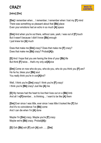<span id="page-25-0"></span>



#### **[intro] [Dm]**

**[Dm]** I remember when… I remember, I remember when I lost my **[F]** mind There was something so pleasant about that **[Bb]** place Even your emotions had an echo in so much **[A]** space

**[Dm]** And when you're out there, without care, yeah, I was out of **[F]** touch But it wasn't because I didn't know **[Bb]** enough I just knew too **[A]** much

Does that make me **[Dm]** crazy? Does that make me **[F]** crazy? Does that make me **[Bb]** crazy? Probab**[A]**ly

**[D]** And I hope that you are having the time of your **[Bb]** life But think **[F]** twice… that's my only ad**[A]**vice

**[Dm]** Come on now who-do-you, who-do-you, who do you think you **[F]** are? Ha ha ha, bless your **[Bb]** soul You really think you're in con<sup>[A]</sup>trol?

Well, I think you're **[Dm]** crazy! I think you're **[F]** crazy! I think you're **[Bb]** crazy! Just like **[A]** me

**[D]** My heroes had the heart to live their lives out on a **[Bb]** limb And all I re**[F]**member… is thinking… I want to be like **[A]** them

**[Dm]** Ever since I was little, ever since I was little it looked like **[F]** fun And it's no coincidence I've **[Bb]** come And I can die when I'm **[A]** done

Maybe I'm **[Dm]** crazy. Maybe you're **[F]** crazy Maybe we're **[Bb]** crazy. Probab**[A]**ly

**[D]** Ooh **[Bb]** ooh **[F]** ooh **[A]** ooh ….. **[Dm]**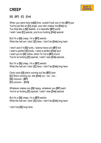# <span id="page-26-0"></span>**CREEP**



### **[G] [B7] [C] [Cm]**

When you were here be**[G]** fore, couldn't look you in the **[B7]** eye You're just like an **[C]** angel, your skin makes me **[Cm]** cry You float like a **[G]** feather, in a beautiful **[B7]** world I wish I was **[C]** special, you're so fucking **[Cm]** special

But I'm a **[G]** creep, I'm a **[B7]** weirdo What the hell am I doin' **[C]** here, I don't be **[Cm]** long here

I don't care if it **[G]** hurts, I wanna have con-**[B7]** trol I want a perfect **[C]** body, I want a perfect **[Cm]** soul I want you to **[G]** notice, when I'm not a-**[B7]** round You're so fucking **[C]** special, I wish I was **[Cm]** special...

But I'm a **[G]** creep, I'm a **[B7]** weirdo What the hell am I doin' **[C]** here, I don't be-**[Cm]** long here

Oooh oooh **[G]** she's running out the **[B7]** door **[C]** She's running out, she **[Cm]** run...run...run... **[G]** ruuuuun...**[B7] [C]** ruuuuun... **[Cm]**

Whatever makes you **[G]** happy, whatever you **[B7]** want You're so fucking **[C]** special, I wish I was **[Cm]** special

But I'm a **[G]** creep, I'm a **[B7]** weirdo What the hell am I doin' **[C]** here, I don't be-**[Cm]** long here

I don't be-**[G]** long here.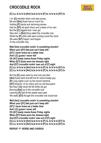# <span id="page-27-0"></span>**CROCODILE ROCK**



#### **[C] La, la la la la [Am] la,la la la la [F] la, la la la la [G7] la**

I re- **[C]** member when rock was young Me and **[Em]** Susie had so much fun Holding **[F]** hands and skimming stones Had an **[G7]** old gold chevy and a place of my own But the **[C]** biggest kick I ever got Was doin' a **[Em]** thing called the crocodile rock While the **[F]** other kids were rocking round the clock We were **[G7]** hoppin' and boppin' To the crocodile rock

**Well [Am] crocodile rockin' is something shockin' When your [D7] feet just can't keep still [G7] I never knew me a better time And I [C] guess I never will Oh [A7] lawdy mama those Friday nights When [D7] Susie wore her dresses tight And [G7] crocodile rockin' was out of [F] sight [C] La, la la la la [Am] la,la la la la [F] la, la la la la [G7] la [C] La, la la la la [Am] la,la la la la [F] la, la la la la [G7] la**

But the **[C]** years went by and rock just died **[Am]** Susie went and left me for some foreign guy **[F]** Long nights cryin' by the record machine **[G7]** Dreamin' of my chevy and my old blue jeans But they'll **[C]** never kill the thrills we got Burning **[Am]** up to the crocodile rock Learning **[F]** fast till the weeks went past We really **[G7]** thought the crocodile rock would last

**Well [Am] crocodile rockin' is something shockin' When your [D7] feet just can't keep still [G7] I never knew me a better time And I [C] guess I never will Oh [A7] lawdy mama those Friday nights When [D7] Susie wore her dresses tight And [G7] crocodile rockin' was out of [F] sight [C] La, la la la la [Am] la,la la la la [F] la, la la la la [G7] la [C] La, la la la la [Am] la,la la la la [F] la, la la la la [G7] la**

**REPEAT 1ST VERSE AND CHORUS**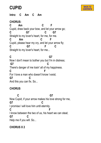# <span id="page-28-0"></span>**CUPID**

#### **[BACK TO](#page-1-0) [CONTENTS](#page-1-0)**

### **Intro: C Am C Am**

**CHORUS:**

**C Am C F**  Cupid, draw back your bow, and let your arrow go; **C G7 C G7**  Straight to my lover's heart, for me, for me. **C Am C F**  Cupid, please hear my cry, and let your arrow fly; **C G7 F C**  Straight to my lover's heart, for me...

**C G7**  Now I don't mean to bother you but I'm in distress; **G7 C**  There's danger of me losin' all of my happiness. **C** F For I love a man who doesn't know I exist; **G7 C**  And this you can fix. So...

# **CHORUS**

**C** G7 Now Cupid, if your arrow makes his love strong for me, **G7 C**  I promise I will love him until eternity. **C** F I know between the two of us, his heart we can steal; **G7 C**  Help me if you will. So...

### **CHORUS X 2**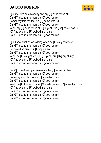# <span id="page-29-0"></span>**DA DOO RON RON**



I **[C]** met him on a Monday and my **[F]** heart stood still Da **[G7]** doo-ron-ron-ron, da **[C]-**doo-ron-ron Somebody told me that his **[F]** name was Bill Da **[G7]** doo-ron-ron-ron, da **[C]-**doo-ron-ron Yeah, my **[F]** heart stood still, **[C]** yeah, his **[G7]** name was Bill **[C]** And when he **[F]** walked me home Da **[G7]** doo-ron-ron-ron, da **[C]-**doo-ron-ron

I **[C]** knew what he was doing when he **[F]** caught my eye Da **[G7]** doo-ron-ron-ron, da **[C]-**doo-ron-ron He looked so quiet but **[F]** my oh my Da **[G7]** doo-ron-ron-ron, da **[C]-**doo-ron-ron Yeah, he **[F]** caught my eye, **[C]** yeah, but **[G7]** my oh my **[C]** And when he **[F]** walked me home Da **[G7]** doo-ron-ron-ron, da **[C]-**doo-ron-ron

He **[C]** picked me up at seven and he **[F]** looked so fine Da **[G7]** doo-ron-ron-ron, da **[C]-**doo-ron-ron Someday soon I'm gonna **[F]** make him mine Da **[G7]** doo-ron-ron-ron, da **[C]-**doo-ron-ron Yeah, he **[F]** looked so fine, **[C]** yeah, gonna **[G7]** make him mine **[C]** And when he **[F]** walked me home Da **[G7]** doo-ron-ron-ron, da **[C]-**doo-ron-ron Da **[G7]** doo-ron-ron-ron, da **[C]-**doo-ron-ron Da **[G7]** doo-ron-ron-ron, da **[C]-**doo-ron-ron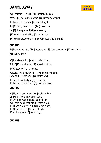# <span id="page-30-0"></span>**DANCE AWAY**



**[C]** Yesterday – well it **[Am]** seemed so cool When I **[F]** walked you home, **[G]** kissed goodnight **[F]** I said it´s love, you **[G]** said all right It´s **[C]** funny how I could **[Am]** never cry Un **[F]** til tonight and **[G]** you pass by **[F]** Hand in hand with a-**[G]** nother guy **[F]** You´re dressed to kill and **[G]** guess who´s dying?

### **CHORUS:**

**[D]** Dance away the **[Bm]** heartache, **[G]** Dance away the **[A]** tears **(x2)**

**[G] D**ance away

**[C]** Loneliness, is a **[Am]** crowded room,

Full of **[F]** open hearts, **[G]** turned to stone.

**[F]** All together **[G]** all alone.

**[C]** All at once, my whole **[A]** world had changed. Now I'm **[F]** in the dark, **[G]** off the wall,

**[F]** Let the strobe light **[G]** up the wall.

**[F]** I close my eyes, and **[G]** dance til dawn.

### **CHORUS**

**[C]** Now I know, I must **[Am]** walk the line

Un **[F]** til I find an **[G]** open door,

**[F]** Off the street or on **[G]** to the floor.

**[C]** There was I, many **[Am]** times a fool,

**[F]** I hope and pray, but **[G]** not too much,

**[F]** Out of reach is **[G]** out of touch,

**[F]** All the way is **[G]** far enough.

### **CHORUS**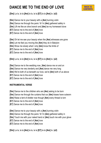# <span id="page-31-0"></span>**DANCE ME TO THE END OF LOVE**



**[Dm]** La la, la la **[Am]** la la, la la **[E7]** la la **[Am]** la **(x2)**

[**Dm**] Dance me to your beauty with a [**Am**] burning violin [**Dm**] Dance me through the panic 'til I'm [**Am**] gathered safely in [**Dm**] Lift me like an olive branch and [**Am**] be my homeward dove [**E7**] Dance me to the end of [**Am**] love

[**E7**] Dance me to the end of [**Am**] love

[**Dm**] Oh let me see your beauty when the [**Am**] witnesses are gone

[**Dm**] Let me feel you moving like [**Am**] they do in Babylon

[**Dm**] Show me slowly what I only [**Am**] know the limits of

[**E7**] Dance me to the end of [**Am**] love

[**E7**] Dance me to the end of [**Am**] love

**[Dm]** La la, la la **[Am]** la la, la la **[E7]** la la **[Am]** la **(x2)**

[**Dm**] Dance me to the wedding now, [**Am**] dance me on and on

[**Dm**] Dance me very tenderly and [**Am**] dance me very long

[**Dm**] We're both of us beneath our love, we're [**Am**] both of us above

[**E7**] Dance me to the end of [**Am**] love

[**E7**] Dance me to the end of [**Am**] love

#### **INSTRUMENTAL VERSE**

[**Dm**] Dance me to the children who are [**Am**] asking to be born

[**Dm**] Dance me through the curtains that our [**Am**] kisses have outworn

[**Dm**] Raise a tent of shelter now though [**Am**] every thread is torn

[**E7**] Dance me to the end of [**Am**] love

[**E7**] Dance me to the end of [**Am**] love

[**Dm**] Dance me to your beauty with a [**Am**] burning violin

[**Dm**] Dance me through the panic 'til I'm [**Am**] gathered safely in

[**Dm**] Touch me with your naked hand or [**Am**] touch me with your glove

[**E7**] Dance me to the end of [**Am**] love

[**E7**] Dance me to the end of [**Am**] love

**[Dm]** La la, la la **[Am]** la la, la la **[E7]** la la **[Am]** la **(x2)**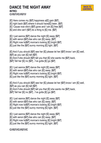# <span id="page-32-0"></span>**DANCE THE NIGHT AWAY**



#### **INTRO: C///G7///C///G7///**

[**C**] Here comes my [**G7**] happiness a[**C**] gain [**G7**] ,

[**C**] right back [**G7**] where it should have[**C**] been. [**G7**]

[**C**] 'Cause now she's [**G7**] gone and I am [**C**] free [**G7**]

[**C**] and she can't [**G7**] do a thing to [**C**] me. [**G7**]

[**C**] I just wanna [**G7**] dance the night [**C**] away [**G7**]

[**C**] with senor-[**G7**]-itas who can [**C**] sway. [**G7**]

[**C**] Right now to[**G7**] morrow's looking [**C**] bright [**G7**]

[**C**] just like the [**G7**] sunny morning [**C**] light. [**G7**]

[**C**] And if you should [**G7**] see her [**C**] please let her [**G7**] know I am [**C**] well,

[**G7**] as you can [**C**] tell [**G7**]

[**C**] And if she should [**G7**] tell you that [**C**] she wants me [**G7**] back,

[**G7**] Tell her [**C**] no [**G7**] , I've gotta [**C**] go [**G7**]

[**C**] I just wanna [**G7**] dance the night [**C**] away [**G7**]

[**C**] with senor-[**G7**]-itas who can [**C**] sway. [**G7**]

[**C**] Right now to[**G7**] morrow's looking [**C**] bright [**G7**]

[**C**] just like the [**G7**] sunny morning [**C**] light. [**G7**]

[**C**] And if you should [**G7**] see her [**C**] please let her [**G7**] know I am [**C**] well, [**G7**] as you can [**C**] tell [**G7**]

[**C**] And if she should [**G7**] tell you that [**C**] she wants me [**G7**] back,

[**G7**] Tell her [**C**] no [**G7**] , I've gotta [**C**] go [**G7**]

[**C**] I just wanna [**G7**] dance the night [**C**] away [**G7**]

[**C**] with senor-[**G7**]-itas who can [**C**] sway. [**G7**]

[**C**] Right now to[**G7**] morrow's looking [**C**] bright [**G7**]

[**C**] just like the [**G7**] sunny morning [**C**] light. [**G7**]

[**C**] I just wanna [**G7**] dance the night [**C**] away [**G7**]

[**C**] with senor-[**G7**]-itas who can [**C**] sway. [**G7**]

[**C**] Right now to[**G7**] morrow's looking [**C**] bright [**G7**]

[**C**] just like the [**G7**] sunny morning [**C**] light. [**G7**]

**C///G7///C///G7///C**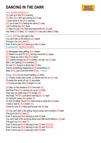# <span id="page-33-0"></span>**DANCING IN THE DARK**

Intro: [G] [Em] [G] [Em] x2 [G] I get up in the [Em] evening [G] And I [Em] ain't got nothing to [G] say I come home in the **[Em]** morning [G] I go to bed [Em] feeling the same [C] way I ain't nothing but [Am] tired [C] Man I'm just [Am] tired and bored with my- [G] self Hey there **[Em]** baby, **[G]** I could **[Em]** use just a little **[D]** help

Chorus: [D] You can't start a fire You can't start a fire without a **[C]** spark This gun's for [Am] hire [C] Even if we're just [Am] dancing in the [G] dark In-betweentro: [G] [Em] [G] [Em]

[G] Messages keep getting [Em] clearer [G] Radio's on and I'm [Em] moving round the [G] place [G] I check my look in the [Em] mirror [G] I wanna change my [Em] clothes, my hair, my [C] face Man I ain't getting [Am] nowhere [C] I'm just  $[Am]$  living in a dump like  $[G]$  this There's something happening **[Em]** somewhere **[G]** Baby [Em] I just know that there [D] is …chorus

Bridge: [Em] You sit around getting [G] older [C] There's a joke here some- [D] where and it's on [Em] me I'll shake this world off my [G] shoulders **[C]** Come on baby the **[D]** laugh's on me

**[G]** Stay on the streets of **[Em]** this town **[G]** And they'll be [Em] carving you up al- [G] right They say you gotta stay [Em] hungry [G] Hey baby, I'm  $[Em]$  just about starving to- $[C]$  night I'm dying for some [Am] action [C] I'm sick of sitting 'round [Am] here trying to write this [G] book I need a love re- [Em] action [G] Come on now [Em] baby gimme just one [D] look

[D] You can't start a fire sitting 'round crying over a broken [C] heart This gun's for [Am] hire [C] Even if we're just [Am] dancing in the [D] dark You can't start a fire worrying about your little world falling a- [C] part This gun's for [Am] hire [C] Even if we're just [Am] dancing in the [G] dark [Em] [G] Even if we're just [Em] dancing in the [G] dark [Em] [G] Even if we're just  $[Em]$  dancing in the  $[G]$  dark

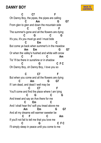<span id="page-34-0"></span>**DANNY BOY**



**C** C7 F Oh Danny Boy, the pipes, the pipes are calling  **C Am G G7** From glen to glen and down the mountain side **C** C7 F The summer's gone and all the flowers are dying  **C G C G** It's you, it's you must go and I must bide  **C Em C** But come ye back when summer's in the meadow  **Am Em G G7** Or when the valley's hushed and white with snow  **C F C Am** Tis' I'll be there in sunshine or in shadow  **C G C F C** Oh Danny Boy, oh Danny Boy, I love you so **C** C7 F But when you come and all the flowers are dying  **C Am G G7** If I am dead, and dead I well may be **C** C7 F You'll come and find the place where I am lying  **C G C G** And kneel and say an Ave there for me  **C Em C** And I shall hear tho' soft you tread above me  **Am Em G G7** And all my dreams will warmer sweeter be **C** F C Am If you'll not fail to tell me that you love me  **C G C F C** I'll simply sleep in peace until you come to me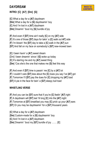# <span id="page-35-0"></span>**DAYDREAM**

### **INTRO: [C] [A7] [Dm] [G]**

[**C**] What a day for a [**A7**] daydream [**Dm**] What a day for a [**G**] daydreamin' boy [**C**] And I'm lost in a [**A7**] daydream [**Dm**] Dreamin' 'bout my [**G**] bundle of joy

[**F**] And even if [**D7**] time ain't really [**C**] on my [**A7**] side [**F**] It's one of those [**D7**] days for takin' a [**C**] walk out **A7**] side [**F**] I'm blowin' the [**D7**] day to take a [**C**] walk in the [**A7**] sun [**D7**] And fall on my face on somebody's [**G7**] new-mowed lawn

[**C**] I been havin' a [**A7**] sweet dream [Dm] I been dreamin' since I [**G**] woke up today [**C**] It's starring me and my [**A7**] sweet thing [**Dm**] 'Cos she's the one that makes me [**G**] feel this way

[**F**] And even if [**D7**] time is passin' me [**C**] by a [**A7**] lot [**F**] I couldn't care [**D7**] less about the [**C**] dues you say I've [**A7**] got [**F**] Tomorrow I'll [**D7**] pay the dues for [**C**] dropping my [**A7**] load [**D7**] A pie in the face for bein' a [**G7**] sleepy bull toad

#### **WHISTLING VERSE**

[**F**] And you can be [**D7**] sure that if you're [**C**] feelin' [**A7**] right [**F**] A daydream will [**D7**] last 'til long [**C**] into the [**A7**] night [**F**] Tomorrow at [**D7**] breakfast you may [**C**] prick up your [**A7**] ears [**D7**] Or you may be daydreamin' for a [**G7**] thousand years

[**C**] What a day for a [**A7**] daydream [**Dm**] Custom-made for a [**G**] daydreamin' boy [**C**] And I'm lost in a [**A7**] daydream [**Dm**] Dreamin' 'bout my [**G7**] bundle of joy ……. [**C**]

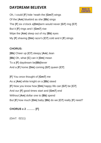## **DAYDREAM BELIEVER**



Oh, I could [**F**] hide 'neath the [**Gm7**] wings Of the [**Am**] bluebird as she [**Bb**] sings The [**F**] six o'clock a[**Dm**]larm would never [**G7**] ring [**C7**] But it [**F**] rings and I [**Gm7**] rise Wipe the [**Am**] sleep out of my [**Bb**] eyes My [**F**] shaving [**Dm**] razor's [**C7**] cold and it [**F**] stings

### **CHORUS:**

[**Bb**] Cheer up [**C7**] sleepy [**Am**] Jean [**Bb**] Oh, what [**C**] can it [**Dm**] mean To a [**F**] daydream be[**Bb**]liever And a [**F**] home [**Dm**] coming [**G7**] queen [**C7**]

[**F**] You once thought of [**Gm7**] me As a [**Am**] white knight on a [**Bb**] steed [**F**] Now you know how [**Dm**] happy life can [**G7**] be [**C7**] And our [**F**] good times start and [**Gm7**] end Without [**Am**] dollar one to [**Bb**] spend But [**F**] how much [**Dm**] baby [**Bb**] do we [**C7**] really [**F**] need?

### **CHORUS x 2 ……… [F]**

(Gm7: 0211)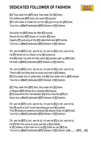# **DEDICATED FOLLOWER OF FASHION**



**[C]** They seek him **[G7]** here, they seek him **[C]** there, His clothes are **[G7]** loud, but never **[C]** square, **[F]** It will make or break him so he's **[C]** got to buy the **[A7]** best, 'Cos he's a **[Dm7]** dedicated **[G7]** follower of **[C]** fashion.

And when he **[G7]** does his little **[C]** rounds, Round the bou **[G7]** tiques of London **[C]** town, Eagerly **[F]** pursuing all the **[C]** latest fads and **[A7]** trends, 'Cos he's a **[Dm7]** dedicated **[G7]** follower of **[C]** fashion.

Oh, yes he **[G7]** is (oh, yes he is), oh yes he **[C]** is (oh, yes he is) He **[F]** thinks he is a flower to be **[C]** looked at, And **[F]** when he pulls his frilly nylon **[C]** panties right up **[A7]** tight, He feels a **[Dm7]** dedicated **[G7]** follower of **[C]** fashion.

Oh, yes he **[G7]** is (oh, yes he is), oh yes he **[C]** is (oh, yes he is) There's **[F]** one thing that he loves and that is **[C]** flattery, **[F]** One week he's in polka-dots, the **[C]** next week he's in **[A7]** stripes, 'Cos he's a **[Dm7]** dedicated **[G7]** follower of **[C]** fashion.

**[C]** They seek him **[G7]** here, they seek him **[C]** there, In Regent **[G7]** Street and Leicester **[C]** Square, **[F]** Everywhere the Carnabetian **[C]** army marches **[A7]** on, Each one a [**Dm7]** dedicated **[G7]** follower of **[C]** fashion.

Oh, yes he **[G7]** is (oh, yes he is), oh yes he **[C]** is (oh, yes he is) His [**F]** world is built 'round discotheques and **[C]** parties, This [**F]** pleasure-seeking individual [**C]** always looks his **[A7]** best, 'Cos he's a **[Dm7]** dedicated **[G7]** follower of **[C]** fashion.

Oh, yes he **[G7]** is (oh, yes he is), oh yes he **[C]** is (oh, yes he is) He [**F]** flits from shop to shop just like a **[C]** butterfly, In [**F]** matters of the cloth he is as **[C]** fickle as can **[A7]** be, 'Cos he's a **[Dm7]** dedicated **[G7]** follower of **[C]** fashion. **(x3) ……. [G7] … [C]**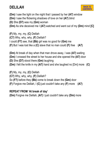# **DELILAH**



**(Dm)** I saw the light on the night that I passed by her **(A7)** window **(Dm)** I saw the flickering shadows of love on her **(A7)** blind **(D)** She **(D7)** was my **(Gm)** woman **(Dm)** As she deceived me I **(A7)** watched and went out of my **(Dm)** mind **[C]**

**(F)** My, my, my, **(C)** Delilah **(C7)** Why, why, why, **(F)** Delilah? I could **(F7)** see, that **(Bb)** girl was no good for **(Gm)** me **(F)** But I was lost like a **(C)** slave that no man could **(F)** free **(A7)**

**(Dm)** At break of day when that man drove away, I was **(A7)** waiting **(Dm)** I crossed the street to her house and she opened the **(A7)** door **(D)** She **(D7)** stood there **(Gm)** laughing **(Dm)** I felt the knife in my **(A7)** hand and she laughed no [Dm] more **(C)**

**(F)** My, my, my, **(C)** Delilah **(C7)** Why, why, why, **(F)** Delilah? So **(F7)** before they **(Bb)** come to break down the **(Gm)** door **(F)** Forgive me Delilah, I **(C)** just couldn't take any **(F)** more **(A7)**

### **REPEAT FROM 'At break of day'**

**(Dm)** Forgive me Delilah, **(A7)** I just couldn't take any **(Dm)** more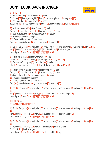# **DON'T LOOK BACK IN ANGER**

[C] [F] [C] [F]



[C] Slip inside the [G] eye of your [Am] mind Don't you [E7] know you might [F] find [G], a better place to [C] play [Am] [G] [C] You said that [G] you'd never [Am] been But all the [E7] things that you've [F] seen [G], slowly fade a-[C]way [Am] [G] [F]

[F] So I start a revo-[Fm]lution from my [C] bed 'Cos you **[F]** said the brains I **[Fm]** had went to my **[C]** head [F] Step outside, the [Fm] summertime's in [C] bloom **[G] Stand up beside the fireplace** [E7] Take that look from off your face 'Cos [Am] you ain't ever [G] gonna burn my [F] heart out [G]

[C] So [G] Sally can [Am] wait, she [E7] knows it's too [F] late as we're [G] walking on [C] by [Am] [G] Her [C] soul [G] slides a-[Am]way, [E7] but don't look [F] back in anger [G] I heard you [C] say [G] [Am] [E7] [F] [G] [C] [Am] [G]

[C] Take me to the [G] place where you [Am] go Where [E7] nobody [F] knows, [G] if it's night or [C] day [Am] [G] [C] Please don't put your [G] life in the [Am] hands Of a [E7] rock and roll [F] band, [G] who'll throw it all a-[C]way [Am] [G]

[F] So I'm going to start a revo-[Fm]lution from my [C] bed

'Cos you [F] said the brains I [Fm] had went to my [C] head

[F] Step outside, the [Fm] summertime's in [C] bloom

[G] Stand up beside the fireplace

[E7] Take that look from off your face

'Cos [Am] you ain't ever [G] gonna burn my [F] heart out [G]

[C] So [G] Sally can [Am] wait, she [E7] knows it's too [F] late, as she's [G] walking on [C] by [Am] [G]

Her [C] soul [G] slides a-[Am]way, [E7], but don't look [F] back in anger [G] I heard you [C] say [G] [Am] [E7] [F] [G] [C] [Am] [G]

 $[F]$   $[Fm]$   $[C]$   $x3$ [G] [Am] [G] [F] [G] [F] [Fm] [C]

[C] So [G] Sally can [Am] wait, she [E7] knows it's too [F] late, as she's [G] walking on [C] by [Am] [G]

Her [C] soul [G] slides a-[Am]way, [E7], but don't look [F] back in anger [G] I heard you [C] say [G] [Am] [E7] [F] [G] [C] [Am] [G]

[C] So [G] Sally can [Am] wait, she [E7] knows it's too [F] late, as she's [G] walking on [C] by [Am] [G]

[C] Her soul [G] slides a-[Am]way, but don't look [F] back in anger

Don't look [Fm] back in anger

I heard you [C] say [G] [Am] [E7] [F] [Fm] least not to-[C]day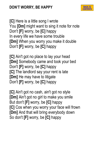

**[C]** Here is a little song I wrote You **[Dm]** might want to sing it note for note Don't **[F]** worry, be **[C]** happy In every life we have some trouble **[Dm]** When you worry you make it double Don't **[F]** worry, be **[C]** happy

**[C]** Ain't got no place to lay your head **[Dm]** Somebody came and took your bed Don't **[F]** worry, be **[C]** happy **[C]** The landlord say your rent is late **[Dm]** He may have to litigate Don't **[F]** worry, be **[C]** happy

**[C]** Ain't got no cash, ain't got no style **[Dm]** Ain't got no girl to make you smile But don't **[F]** worry, be **[C]** happy **[C]** Cos when you worry your face will frown **[Dm]** And that will bring everybody down So don't **[F]** worry, be **[C]** happy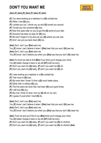# **DON'T YOU WANT ME**



**(Am) (F) (Am) [F] (Am) (F) (Am) (F) (Am)**

- **(F)** You were working as a waitress in a **(G)** cocktail bar,
- **(F)** When I met **(G)** you,
- **(F)** I picked you out, I shook you up and **(G)** turned you around,
- **(F)** Turned you into someone **(G)** new,
- **(F)** Now five years later on you've got the **(G)** world at your feet,
- **(F)** Success has been so easy for **(G)** you,
- **(F)** But don't forget it's me who put you **(G)** where you are now,
- **(F)** And I can put you back down **(G)** too.
- **(Am)** Don't, don't you **(Em)** want me,
- You **(F)** know I can't believe it when I **(Dm)** hear that you won't **(G)** see me,
- **(Am)** Don't, don't you **(Em)** want me,
- You **(F)** know I don't believe you when you **(Dm)** say that you don't **(G)** need me.

**(Am)** It's much too late to find **(Bm)** if you think you'll change your mind,

You **(C)** better change it back or we will **(E7)** both be sorry,

**(F)** Don't you want me **(G)** baby, **(F)** don't you want me **(G)** oh,

**(F)** Don't you want me **(G)** baby, **(F)** don't you want me **(G)** oh.

- **(F)** I was working as a waitress in a **(G)** cocktail bar,
- **(F)** That much is **(G)** true,
- **(F)** But even then I knew I'd find a **(G)** much better place,
- **(F)** Either with or without **(G)** you,
- **(F)** The five years we have had, had been **(G)** such good times,
- **(F)** I still love **(G)** you,
- **(F)** But now I think it's time I live my **(G)** life on my own,
- **(F)** I guess it's just what I must **(G)** do.

**(Am)** Don't, don't you **(Em)** want me,

You **(F)** know I can't believe it when I **(Dm)** hear that you won't **(G)** see me,

**(Am)** Don't, don't you **(Em)** want me,

You **(F)** know I don't believe you when you **(Dm)** say that you don't **(G)** need me.

**(Am)** Trust me and you'll find if you **(Bm)** think you'll change your mind,

You **(C)** better change it back or we will **(E7)** both be sorry,

**(F)** Don't you want me **(G)** baby, **(F)** don't you want me **(G)** oh ohohoh,

**(F)** Don't you want me **(G)** baby, **(F)** don't you want me **(G)** oh ohohoh **(Am)**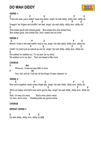# **DO WAH DIDDY**



#### **VERSE 1:**

**C F C F C** There she was, just-a walkin' down the street, singin' do wah diddy, diddy dum, diddy do  **F C F C** Snappin' her fingers and shufflin' her feet, singin' (do wah diddy, diddy dum, diddy do) **C** She looked good (she looked good) She looked fine (she looked fine) She looked good, she looked fine And I nearly lost my mind

#### **VERSE 2:**

 **C F C F C** Before I knew it she was walkin' next to me, singin' (do wah diddy, diddy dum, diddy do) **F** C F C Holdin' my hand just as natural as can be, singin' (do wah diddy, diddy dum, diddy do) **C** We walked on (walked on) To my door (to my door) We walked on to my door Then we kissed a little more

**CHORUS:**

**C Am** 

Whoa-oa, I knew we was fallin' in love

**F G7**

Yes I did, and so I told her all the things I'd been dreamin' of

#### **VERSE 3:**

 **C F C F C** Now we're together nearly every single day, singin' (do wah diddy, diddy dum, diddy do)  **F C F C** We're so happy and that's how we're gonna stay, singin' (do wah diddy, diddy dum, diddy do) **C** Well, I'm hers (I'm hers) She's mine (she's mine)

I'm hers, she's mine Wedding bells are gonna chime

#### **CHORUS**

#### **REPEAT VERSE 3**

**C F C** Do wah diddy, diddy dum, diddy do **(x3)**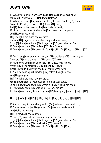# **DOWNTOWN**



**[F]** When you're **[Am]** alone, and life is **[Bb]** making you **[C7]** lonely You can **[F]** always go ….. **[Bb]** down **[C7]** town,

**[F]** When you've got **[Am]** worries, all the **[Bb]** noise and the **[C7]** hurry Seems to [**F]** help, I know ….. **[Bb]** down **[C7]** town,

Just **[F]** listen to the music of the **[Dm]** traffic in the city,

**[F]** Linger on the sidewalk where the **[Dm]** neon signs are pretty,

**[Am]** How can you lose?

**[Bb]** The lights are much brighter there,

You can **[G7]** forget all your troubles, forget all your cares,

So go **[F]** down **[Am]** town, **[Bb]** things'll be **[C7]** great when you're

**[F]** Down **[Am]** town, **[Bb]** no finer **[C7]** place for sure

**[F]** Down **[Am]** town, **[Bb]** everything's **[C7]** waiting for **[F]** you**. [Bb] [C7]**

**[F]** Don't hang **[Am]** around and let your **[Bb]** problems **[C7]** surround you,

There are **[F]** movie shows ….. **[Bb]** down **[C7]** town,

**[F]** Maybe you **[Am]** know some little **[Bb]** places to **[C7]** go to

Where they **[F]** never close ….. **[Bb]** down **[C7]** town,

Just **[F]** listen to the rhythm of a **[Dm]** gentle bossa nova,

**[F]** You'll be dancing with him too **[Dm]** before the night is over,

**[Am]** Happy again,

**[Bb]** The lights are much brighter there,

You can **[G7]** forget all your troubles, forget all your cares,

So go **[F]** down **[Am]** town, **[Bb]** where all the [**C7]** lights are bright,

**[F]** Down **[Am]** town, **[Bb]** waiting for **[C7]** you tonight,

**[F]** Down **[Am]** town, [**Bb]** you're gonna [**C7]** be alright **[F]** now**. [Bb] [C7]**

### **INST: [F] [Am] [Bb] [C7] [F] [Bb] [C7] [F] [Am] [Bb] [C7] [F] [Bb] [C7]**

**[F]** And you may find somebody kind to **[Dm]** help and understand you, **[F]** Someone who is just like you and **[Dm]** needs a gentle hand to **[Am]** Guide them along,

**[Bb]** So maybe I'll see you there,

We can **[G7]** forget all our troubles, forget all our cares,

So go **[F]** down **[Am]** town, **[Bb]** things'll be **[C7]** great when you're

**[F]** Down **[Am]** town, **[Bb]** don't wait a **[C7]** minute for

**[F]** Down **[Am]** town, **[Bb]** everything's **[C7]** waiting for **[F]** you.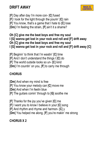# **DRIFT AWAY**



[**F**] Day after day I'm more con- [**C**] fused [**F**] I look for the light through the pourin' [**C**] rain [**F**] You know, that's a game that I hate to [**C**] lose [**Dm**] I'm feeling the strain, [**F**] ain't it a shame?

**Oh [C] give me the beat boys and free my soul I [G] wanna get lost in your rock and roll and [F] drift away Oh [C] give me the beat boys and free my soul I [G] wanna get lost in your rock and roll and [F] drift away [C]**

[**F**] Beginin' to think that I'm wastin' [**C**] time [**F**] And I don't understand the things I [**C**] do [**F**] The world outside looks so un- [**C**] kind [**Dm**] I'm countin' on you, [**F**] to carry me through

### **CHORUS**

[**Dm**] And when my mind is free [**F**] You know your melody can [**C**] move me [**Dm**] And when I'm feelin blue [**F**] The guitars comin' through to [**G**] soothe me

[**F**] Thanks for the joy you've given [**C**] me [**F**] I want you to know I believe in your [**C**] song [**F**] And rhythm and rhyme and harmon- [**C**] y [**Dm**] You helped me along, [**F**] you're makin' me strong

**CHORUS X 2**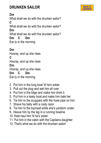# **DRUNKEN SAILOR**

### **Dm**

What shall we do with the drunken sailor? **C**

What shall we do with the drunken sailor? **Dm**

What shall we do with the drunken sailor?

### **Dm C Dm**

Ear-ly in the morning

## **Dm**

Hooray, and up she rises

**C**

Hooray, and up she rises

## **Dm**

Hooray, and up she rises

## **Dm C Dm**

Ear-ly in the morning

- 2. Put him in the long boat 'til he's sober
- 3. Pull out the plug and wet him all over
- 4. Put him in the bilge and make him drink it
- 5. Put him in a leaky boat and make him bale her
- 6. Tie him to the scuppers with the hose pipe on him
- 7. Shave his belly with a rusty razor
- 8. Tie him to the topmast while she's yardarm under
- 9. Heave him by the leg in a running bowline
- 10. Keel haul him 'til he's sober
- 11. Put him in the cabin with the Captains daughter
- 12. That's what we do with the drunken sailor!

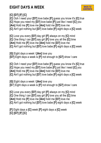## **EIGHT DAYS A WEEK**



### **[C] [D7] [F] [C]**

**[C]** Ooh I need your **[D7]** love babe **[F]** guess you know it's **[C]** true **[C]** Hope you need my **[D7]** love babe **[F]** just like I need **[C]** you **[Am]** Hold me **[F]** love me **[Am]** hold me **[D7]** love me **[C]** Ain't got nothing but **[D7**] love babe **[F]** eight days a **[C]** week

**[C]** Love you every **[D7]** day girl **[F]** always on my **[C]** mind **[C]** One thing I can **[D7]** say girl **[F]** love you all the **[C]** time **[Am]** Hold me **[F]** love me **[Am]** hold me **[D7]** love me **[C]** Ain't got nothing but **[D7]** love babe **[F]** eight days a **[C]** week

**[G]** Eight days a week I **[Am]** love you **[D7]** Eight days a week is **[F]** not enough to **[G7]** show I care

**[C]** Ooh I need your **[D7]** love babe **[F]** guess you know it's **[C]** true **[C]** Hope you need my **[D7]** love babe **[F]** just like I need **[C]** you **[Am]** Hold me **[F]** love me **[Am]** hold me **[D7]** love me **[C]** Ain't got nothing but **[D7**] love babe **[F]** eight days a **[C]** week

**[G]** Eight days a week I **[Am]** love you **[D**7] Eight days a week is **[F]** not enough to **[G7]** show I care

**[C]** Love you every **[D7]** day girl **[F]** always on my **[C]** mind **[C]** One thing I can **[D7]** say girl **[F]** love you all the **[C]** time **[Am]** Hold me **[F]** love me **[Am]** hold me **[D7]** love me **[C]** Ain't got nothing but **[D7]** love babe **[F]** eight days a **[C]** week

**[F]** Eight days a **[C]** week **[F]** eight days a **[C]** week **[C] [D7] [F] [C]**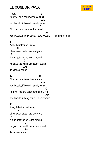# **EL CONDOR PASA**

 **Am C** I'd rather be a sparrow than a snail *Am* Yes I would, if I could, I surely would **C** Contains the Contains of Contains of Contains of Contains of Contains of Contains of Contains of Contains of Contains of Contains of Contains of Contains of Contains of Contains of Contains of Contains of Contains of C I'd rather be a hammer than a nail *Am* Yes I would, if I only could, I surely would mmmmmmmmm **F** Away, I'd rather sail away  **C** Like a swan that's here and gone  **F** A man gets tied up to the ground **C C** He gives the world its saddest sound  **Am** Its saddest sound **Am C** I'd rather be a forest than a street *Am* Yes I would, if I could, I surely would  **C** I'd rather feel the earth beneath my feet *Am* **Am** 

Yes I would, if I only could, I surely would

**F** Away, I d rather sail away  **C** Like a swan that's here and gone  **F** A man gets tied up to the ground **C C** He gives the world its saddest sound  **Am** Its saddest sound.

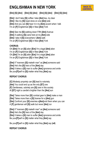# **ENGLISHMAN IN NEW YORK**



### **[Dm] [G] [Am] [Dm] [G] [Am] [Dm] [G] [Am] [Dm] [G] [Am]**

**[Dm]** I don't take **[G]** coffee I take **[Am]** tea, my dear **[Dm]** I like my **[G]** toast done on one **[Am]** side **[Dm]** And you can **[G]** hear it in my **[Am]** accent when I talk I'm an **[F]** Englishman **[G]** in New **[Am]** York

**[Dm]** See me **[G]** walking down Fifth **[Am]** Avenue **[Dm]** A walking **[G]** cane here at my **[Am]** side **[Dm]** I take it **[G]** everywhere I **[Am]** walk I'm an **[F]** Englishman **[G]** in New **[Am]** York

#### **CHORUS:**

Oh **[Dm]** I'm an **[G]** alien **[Em]** I'm a legal **[Am]** alien I'm an **[F]** Englishman **[G]** in New **[Am]** York Oh **[Dm]** I'm an **[G]** alien **[Em]** I'm a legal **[Am]** alien I'm an **[F]** Englishman **[G]** in New **[Am]** York

**[Dm]** If "manners **[G]** maketh man" as **[Am]** someone said **[Dm]** He's the **[G]** hero of the **[Am]** day **[Dm]** It takes a **[G]** man to suffer **[Am]** ignorance and smile Be your**[F]**self no **[G]** matter what they **[Am]** say

#### **REPEAT CHORUS**

**[C]** Modesty propriety can **[G]** lead to notoriety **[Am]** You could end up as the only **[E7]** one **[F]** Gentleness, sobriety are **[G]** rare in this society At **[E7]** night a candle's brighter than the **[Am]** sun

**[Dm]** Takes more than **[G]** combat gear to **[Am]** make a man **[Dm]** Takes more than a **[G]** license for a **[Am]** gun **[Dm]** Confront your **[G]** enemies a**[Am]**void them when you can A **[F]** gentleman will **[G]** walk but never **[Am]** run

**[Dm]** If "manners **[G]** maketh man" as **[Am]** someone said **[Dm]** He's the **[G]** hero of the **[Am]** day **[Dm]** It takes a **[G]** man to suffer **[Am]** ignorance and smile Be your**[F]**self no **[G]** matter what they **[Am]** say

Be your**[F]**self no **[G]** matter what they **[Am]** say **(x4)**

#### **REPEAT CHORUS**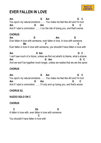

# **EVER FALLEN IN LOVE**

**Am G Am G C**  You spurn my natural emotions …… You make me feel like dirt and I'm hurt **Am G Am G C**  And if I start a commotion …….I run the risk of losing you, and that's worse **CHORUS: Am G Am G**  Ever fallen in love with someone, ever fallen in love, In love with someone **Bb** F C Ever fallen in love In love with someone, you shouldn't have fallen in love with

**Am G Am G C** I can't see much of a future, unless we find out what's to blame, what a shame **Am G Am G C** And we won't be together much longer, unless we realise that we are the same

#### **CHORUS**

**Am G Am G C**  You spurn my natural emotions …… You make me feel like dirt and I'm hurt **Am G Am G C**  And if I start a commotion …….I'll only end up losing you, and that's worse

#### **CHORUS X2,**

**KAZOO SOLO ON C**

#### **CHORUS**

 **C Eb D**  A fallen in love with, ever fallen in love with someone **C C** You shouldn't have fallen in love with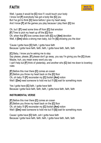# **FAITH**



Well, I guess it would be **[C]** nice if I could touch your body I know not **[F]** everybody has got a body like **[C]** you But I've got to think **[C]** twice before I give my heart away And I know **[F]** all the games you play because I play them **[C]** too

Oh, but I **[F]** need some time off from **[C]** that emotion **[F]** Time to pick my heart up off the **[C]** floor Oh, when that **[F]** love comes down with **[C]** out **[Am]** devotion Well, it **[Dm]** takes a strong man baby, but I'm **[G]** showing you the door

'Cause I gotta have **[C]** faith, I gotta have faith Because I gotta have faith, faith, faith, I gotta have faith, faith, faith

**[C]** Baby, I know you're asking me to stay Say please, please, **[F]** please don't go away, you say I'm giving you the **[C]** blues Maybe, huh, you mean every word you say I can't help but **[F]** think of yesterday, and another who **[C]** tied me down to loverboy rules

**[F]** Before this river there **[C]** comes an ocean **[F]** Before you throw my heart back on the **[C]** floor Oh, oh baby I'll **[F]** reconsider my **[C]** foolish **[Am]** notion Well I **[Dm]** need someone to hold me but I'll **[G]** wait for something more

Yes I gotta have **[C]** faith, I gotta have faith Because I gotta have faith, faith, faith, I gotta have faith, faith, faith

#### **INSTRUMENTAL VERSE**

**[F]** Before this river there **[C]** comes an ocean **[F]** Before you throw my heart back on the **[C]** floor Oh, oh baby I'll **[F]** reconsider my **[C]** foolish **[Am]** notion Well I **[Dm]** need someone to hold me but I'll **[G]** wait for something more

Cause I gotta have **[C]** faith, ooh I gotta have faith Because I gotta have faith, faith, faith, I gotta have faith, faith, faith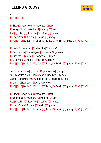## **FEELING GROOVY**



### Intro: [F] [C] [G] [C]

[F] Slow [C] down, you [G] move too [C] fast. [F] You got to [C] make the [G] morning [C] last. Just [F] kickin' [C] down the [G] cobble [C] stones, [F] Lookin' for [C] fun and [G] feelin' [C] groovy. [F] [C] [G] [C] Ba dad'n [F] da da [C] da da, [G] Feelin' [C] groovy. [F] [C] [G] [C]

[F] Hello [C] lamppost, [G] what cha [C] knowin'?

**[F] I've come to [C] watch your [G] flowers [C] growing.** 

**[F]** Ain't cha **[C]** got no **[G]** rhymes for **[C]** me?

[F] Dootin' do-[C] do-do, [G] feeling [C] groovy.

[F] [C] [G] [C] Ba dad'n [F] da da [C] da da, [G] Feelin' [C] groovy. [F] [C] [G] [C]

Got  $[F]$  no deeds to  $[C]$  do, no  $[G]$  promises to  $[C]$  keep.

I'm **[F]** dappled and **[C]** drowsy and **[G]** ready to **[C]** sleep.

Let the  $[F]$  morning time  $[C]$  drop all its  $[G]$  petals on  $[C]$  me.

[F] Life, I [C] love you. [G] All is [C] groovy.

[F] [C] [G] [C] Ba dad'n [F] da da [C] da da, [G] Feelin' [C] groovy. [F] [C] [G] [C]

[F] Slow [C] down, you [G] move too [C] fast.

[F] You got to [C] make the [G] morning [C] last.

Just [F] kickin' [C] down the [G] cobble [C] stones,

[F] Lookin' for [C] fun and [G] feelin' [C] groovy.

[F] [C] [G] [C] Ba dad'n [F] da da [C] da da, [G] Feelin' [C] groovy. [F] [C] [G] [C]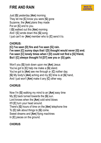# **FIRE AND RAIN**



Just [**G**] yesterday [**Am**] morning They let me [**C**] know you were [**G**] gone Suzanne, the [**Am**] plans they made Put an [**C**] end to you. I [**G**] walked out this [**Am**] morning And I [**C**] wrote down this [**G**] song. I just can't re- [**Am**] member who to [**C**] send it to.

### **CHORUS:**

**[C] I've seen [D] fire and I've seen [G] rain. I've seen [C] sunny days that I [D] thought would never [G] end. I've seen [C] lonely times when I [D] could not find a [G] friend, But I [C] always thought I'd [D7] see you a- [G] gain.**

Won't you [**G**] look down upon me [**Am**] Jesus You've got to [**C**] help me make a [**G**] stand. You've got to [**Am**] see me through a- [**C**] nother day. [**G**] My body's [**Am**] aching and my [**C**] time is at [**G**] hand, And I just won't [**Am**] make it any [**C**] other way.

### **CHORUS**

Now I'm [**G**] walking my mind to an [**Am**] easy time My [**C**] back turned towards the [**G**] sun. Lord knows when the [**Am**] cold wind blows It'll [**C**] turn your head around. There's [**G**] hours of time on the [**Am**] telephone line To [**C**] talk about things to [**G**] come. Sweet dreams and [**Am**] flying machines In [**C**] pieces on the ground.

### **CHORUS**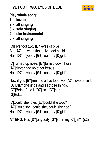# **FIVE FOOT TWO, EYES OF BLUE**



**Play whole song:**

- **1 kazoos**
- **2 all singing**
- **3 solo singing**
- **4 uke instrumental**
- **5 all singing**

**[C]**Five foot two**, [E7**]eyes of blue But [**A7**]oh! what those five foot could do, Has [**D7**]anybody [**G7**]seen my [**C**]girl?

[**C**]Turned up nose, [**E7**]turned down hose [**A7**]Never had no other beaus. Has [**D7**]anybody [**G7**]seen my [**C**]girl?

Now if you [**E7**]run into a five foot two, [**A7**] covered in fur, [**D7**]Diamond rings and all those things, [**G7**]Betcha' life it [**D7**]isn't [**G7**]her, [**G**]But...

[**C**]Could she love, [**E7**]could she woo? [**A7**]Could she, could she, could she coo? Has [**D7**]anybody [**G7**]seen my [**C**]girl?

**AT END:** Has [**D7**]anybody [**G7**]seen my [**C**]girl? **(x2)**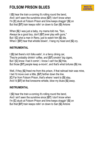# **FOLSOM PRISON BLUES**



I [**G**] hear the train a-coming it's rolling round the bend, And I ain't seen the sunshine since [**G7**] I don't know when I'm [**C**] stuck at Folsom Prison and time keeps draggin' [**G**] on But that [**D7**] train keeps rollin' on down to San [**G**] Antone

When [**G**] I was just a baby, my mama told me, "Son, Always be a good boy, don't [**G7**] ever play with guns," But I [**C**] shot a man in Reno, just to watch him [**G**] die, When I [**D7**] hear that whistle blowin', I hang my head and [**G**] cry.

### **INSTRUMENTAL**

I [**G**] bet there's rich folks eatin', in a fancy dining car, They're probably drinkin' coffee, and [**G7**] smokin' big cigars, But I [**C**] know I had it comin', I know I can't be [**G**] free, But those [**D7**] people keep a-movin', and that's what tortures [**G**] me.

Well, if they [**G**] freed me from this prison, if that railroad train was mine, I bet I'd move over a little, [**G7**] farther down the line, [**C**] Far from Folsom Prison, that's where I want to [**G**] stay, And I'd [**D7**] let that lonesome whistle, blow my blues [**G**] away.

### **INSTRUMENTAL**

I [**G**] hear the train a-coming it's rolling round the bend, And I ain't seen the sunshine since [**G7**] I don't know when I'm [**C**] stuck at Folsom Prison and time keeps draggin' [**G**] on But that [**D7**] train keeps rollin' on down to San [**G**] Antone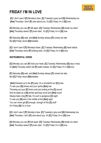# **FRIDAY I'M IN LOVE**



**[BACK TO](#page-1-0) [CONTENTS](#page-1-0)**

**[C]** Monday you can **[F]** fall apart, **[C]** Tuesday Wednesday **[G]** break my heart **[Am]** Thursday doesn't **[F]** even start, it's **[C]** Friday I'm in **[G]** love

**[F]** Saturday **[G]** wait, and **[Am]** Sunday always **[F]** comes too late But **[C]** Friday never **[G]**hesitates

**[C]** I don't care if **[F]** Mondays black, **[C]** Tuesday Wednesday **[G]** heart attack, **[Am]** Thursday never **[F]** looking back, it's **[C]** Friday I'm in **[G]** love

#### **INSTRUMENTAL VERSE**

**[C]** Monday you can **[F]** hold your head, **[C]** Tuesday Wednesday **[G]** stay in bed, Or **[Am]** Thursday watch the **[F]** walls instead, it's **[C]** Friday I'm in **[G]** love

**[F]** Saturday **[G]** wait, and **[Am]** Sunday always **[F]** comes too late, But **[C]** Friday never **[G]**hesitates

**[Am]** Dressed up to the **[F]** eyes, it's a wonderful sur **[C]** prise To see your **[G]** shoes and your spirits **[Am]** rise Throwing out your **[F]** frown and just smiling at the **[C]** sound And as sleek as a **[G]** shriek spinning round and **[Am]** round Always take a big **[F]** bite, it's such a gorgeous **[C]** sight To see you **[G]** eat in the middle of the **[Am]** night You can never get **[F]** enough, enough of this **[C]** stuff It's Friday **[G]** I'm in love

**[C]** I don't care if **[F]** Monday's blue, **[C]** Tuesday's grey and **[G]** Wednesday too, **[Am]** Thursday I don't **[F]** care about you, it's **[C]** Friday I'm in **[G]** love

**[C]** Monday you can **[F]** fall apart, **[C]** Tuesday Wednesday **[G]** break my heart **[Am]** Thursday doesn't **[F]** even start, it's **[C]** Friday I'm in **[G]** love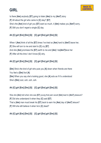# **GIRL**



Is there [**Am**] anybody [**E7**] going to listen [**Am**] to my [**Am7**] story [**F**] All about the girl who came to [**C**] stay? [**E7**] She's the [**Am**] kind of girl you [**E7**] want so much, it [**Am**] makes you [**Am7**] sorry, [**F**] Still you don't regret a single [**C**] day.

### **Ah [C] girl [Em] [Dm] [G] [C] girl [Em] girl [Dm] [G]**

When I [**Am**] think of all the [**E7**] times I've tried so [**Am**] hard to [**Am7**] leave her, [**F**] She will turn to me and start to [**C**] cry [**E7**] And she [**Am**] promises the [**E7**] earth to me and [**Am**] I be[**Am7**]lieve her [**F**] After all this time I don't know [**C**] why.

### **Ah [C] girl [Em] [Dm] [G] [C] girl [Em] girl [Dm] [G]**

[**Dm**] She's the kind of girl who puts you [**A**] down when friends are there You feel a [**Dm**] fool [**A**] [**Dm**] When you say she's looking good, she [**A**] acts as if it's understood She's [**Dm**] cool, ooh, ooh, ooh.

### **Ah [C] girl [Em] [Dm] [G] [C] girl [Em] girl [Dm] [G]**

Was she [**Am**] told when she was [**E7**] young that pain would [**Am**] lead to [**Am7**] pleasure? [**F**] Did she understand it when they [**C**] said [**E7**] That a [**Am**] man must break his [**E7**] back to earn his [**Am**] day of [**Am7**] leisure? [**F**] Will she still believe it when he's [**C**] dead?

### **Ah [C] girl [Em] [Dm] [G] [C] girl [Em] girl [Dm] [G]**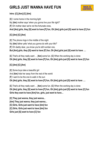# **GIRLS JUST WANNA HAVE FUN**



#### **Intro: [C] [Am] [C] [Am]**

[**C**] I come home in the morning light

My [**Am**] mother says 'when you gonna live your life right?'

[**F**] Oh mother dear we're not the fortunate ones,

**And [Am] girls, they [G] want to have [F] fun, Oh [Am] girls just [G] want to have [C] fun**

### **[C] [Am] [C] [Am]**

[**C**] The phone rings in the middle of the night

My [**Am**] father yells 'what you gonna do with your life?'

[**F**] Oh daddy dear, you know you're still number one,

**But [Am] girls, they [G] want to have [F] fun, Oh [Am] girls just [G] want to have ….**

[**C**] That's all they really want … [**Am**] some fun. [**C**] When the working day is done **Oh [Am] girls, they [G] want to have [F] fun, Oh [Am] girls just [G] want to have [C] fun**

### **[C] [Am] [C] [Am]**

[**C**] Some boys take a beautiful girl And [**Am**] hide her away from the rest of the world [**F**] I want to be the one to walk in the sun **Oh [Am] girls, they [G] want to have [F] fun, Oh [Am] girls just [G] want to have ….**

[**C**] That's all they really want … [**Am**] some fun. [**C**] When the working day is done **Oh [Am] girls, they [G] want to have [F] fun, Oh [Am] girls just [G] want to have [C] fun Girls they want to have [Am] fun, girls, just want to have…**

**[C] They just wanna, they just wanna... [Am] They just wanna, they just wanna... [C] Girls, Girls just want to have [Am] fun [C] Girls, Girls just want to have [Am] fun Girls just [G] want to have [C] fun**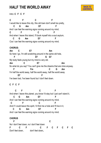## **HALF THE WORLD AWAY**



#### Intro: **C F C F**

**C F C F**  I would like to leave this city, this old town don't smell too pretty,  **C G Am D7 F**  And I can feel the warning signs running around my mind. **C F C F**  And when I leave this island, I'll book myself into a soul asylum,  **C G Am D7 F**  Cos I can feel the warning signs running around my mind.

#### **CHORUS:**

**Am C E7 Am** So here I go, I'm still scratching around in the same old hole,  **F D7 G G7**  My body feels young but my mind is very old. Am C E7 Am So what do you say? You can't give me the dreams that are mine anyway. F Fm C G Am I'm half the world away, half the world away, half the world away  **D7 F**  I've been lost, I've been found but I don't feel down.

#### **C F C F**

 **C F C F**  And when I leave this planet, you know I'd stay but I just can't stand it,  **C G Am D7 F**  And I can feel the warning signs running around my mind.  **C F C F** And if I could leave this spirit, I'd find me a hole and I'll live in it,  **C G Am D7 F**  And I can feel the warning signs running around my mind.

#### **CHORUS**

**F** C No I don't feel down, no I don't feel down **F C F C F C F C F C** Don't feel down, don't feel down**,**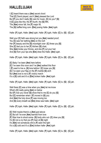# **HALLELUJAH**



I [**C**] heard there was a [**Am**] secret chord That [**C**] David played, and it [**Am**] pleased the Lord But [**F**] you don't really [**G**] care for music, [**C**] do you? [**G**] It [**C**] goes like this; the [**F**] fourth, the [**G**] fifth, The [**Am**] minor fall, the [**F**] major lift, The [**G**] baffled king com- [**Em**] posing Halle- [**Am**] lujah.

Halle- [**F**] lujah, Halle- [**Am**] lujah, Halle- [**F**] lujah, Halle- [**C**] lu- [**G**] - [**C**] jah.

Well your [**C**] faith was strong but you [**Am**] needed proof,

You [**C**] saw her bathing [**Am**] on the roof:

Her [**F**] beauty and the [**G**] moonlight over- [**C**] threw you [**G**]

She [**C**] tied you to her [**F**] kitchen [**G**] chair,

She [**Am**] broke your throne, and she [**F**] cut your hair

And [**G**] from your lips she [**Em**] drew the Halle- [**Am**] lujah.

Halle- [**F**] lujah, Halle- [**Am**] lujah, Halle- [**F**] lujah, Halle- [**C**] lu- [**G**] - [**C**] jah.

[**C**] Baby I've been [**Am**] here before

[**C**] I've seen this room and I've [**Am**] walked this floor

I [**F**] used to live a- [**G**] lone before I [**C**] knew you [**G**]

[**C**] I've seen your flag on the [**F**] marble [**G**] arch

But [**Am**] love is not a [**F**] victory march

It's a [**G**] cold and it's a [**Em**] broken halle- [**Am**] lujah

Halle- [**F**] lujah, Halle- [**Am**] lujah, Halle- [**F**] lujah, Halle- [**C**] lu- [**G**] - [**C**] jah.

Well there [**C**] was a time when you [**Am**] let me know What's [**C**] really going [**Am**] on below But [**F**] now you never [**G**] show that to me [**C**] do you [**G**] But [**C**] remember when I [**F**] moved in [**G**] you And [**Am**] the holy dove [**F**] was moving too

And [**G**] every breath we [**Em**] drew was halle- [**Am**] lujah

Halle- [**F**] lujah, Halle- [**Am**] lujah, Halle- [**F**] lujah, Halle- [**C**] lu- [**G**] - [**C**] jah.

[**C**] Well maybe there's a [**Am**] god above

[**C**] But all I've ever [**Am**] learned from love

[**F**] Was how to shoot some- [**G**] body who out- [**C**] drew you [**G**]

It's [**C**] not a cry that you [**F**] hear at [**G**] night

It's [**Am**] not somebody who's [**F**] seen the light

It's a [**G**] cold and it's a [**Em**] broken halle- [**Am**] lujah

Halle- [**F**] lujah, Halle- [**Am**] lujah, Halle- [**F**] lujah, Halle- [**C**] lu- [**G**] - [**C**] jah.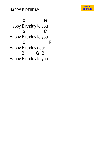# **HAPPY BIRTHDAY**



 **C G** Happy Birthday to you  **G C** Happy Birthday to you **C** F Happy Birthday dear ……….  **C G C** Happy Birthday to you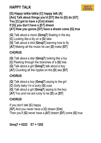# **HAPPY TALK**



**[G] Happy talkie talkie [C] happy talk [A] [Am] Talk about things you'd [D7] like to [G] do [G7] You [C] got to have a [Cm] dream If [G] you don't have a [E7] dream [A7] How you gonna [D7] have a dream come [G] true**

[**G**] Talk about a moon [**Gmaj7**] floating in the sky [**C**] Looking like a lily on a [**G**] lake [**G**] Talk about a bird [**Gmaj7**] learning how to fly [**A7**] Making all the music he can [**D**] make [**D7**]

### **CHORUS**

[**G**] Talk about a star [**Gmaj7**] looking like a toy [**C**] Peeking through the branches of a [**G**] tree [**G**] Talk about a girl [**Gmaj7**] talk about a boy [**A7**] Counting all the ripples on the [**D**] sea [**D7**]

## **CHORUS**

[**G**] Talk about a boy [**Gmaj7**] saying to the girl [**C**] Golly baby I'm a lucky [**G**] cuss [**G**] Talk about a girl [**Gmaj7**] saying to the boy [**A7**] You and me are lucky to be [**D**] us [**D7**]

## **CHORUS**

If you don't talk [**C**] happy [**G7**] And you never have a [**C**] dream [**Cm**] Then you'll [**G**] never have a [**A7**] dream [**D7**] come [**G**] true

### **Gmaj7 = 0222 E7 = 1202**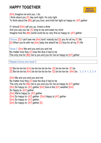# **HAPPY TOGETHER**

[Dm] Imagine me and you, I do.

I think about you  $\overline{C}$  day and night, it's only right To think about the [Bb] girl you love, and hold her tight so happy to- [A7] gether

If I should  $[Dm]$  call you up, invest a dime And you say you be- $[C]$  long to me and ease my mind Imagine how the **[Bb]** world could be so very fine so happy to- **[A7]** gether

Chorus: [D] I can't see me [Am] lovin' nobody but [D] you for all my [F] life [D] When you're with me [Am] baby the skies'll be [D] blue for all my [F] life

Verse 3: [Dm] Me and you and you and me No matter how they  $[C]$  toss the dice it had to be The only one for **[Bb]** me is you and you for me so happy to **[A7]** gether

Repeat chorus and verse 3

[D] Ba‐ba‐ba‐ba [Am] ba‐ba‐ba‐ba ba‐ba‐ [D] ba ba‐ba‐ba‐ [F] ba [D] Ba‐ba‐ba‐ba [Am] ba‐ba‐ba‐ba ba‐ba‐ [D] ba ba‐ba‐ba‐ [Am] ba .. 2, 3, 4, 1, 2, 3, 4

[Dm] Me and you and you and me No matter how they  $[C]$  toss the dice it had to be The only one for **[Bb]** me is you and you for me so happy to **[A7]** gether [Dm] So happy to- [A7] gether [Dm] how is the [A7] weather [Dm] So happy to- [A7] gether [Dm] We're happy to- [A7] gether [Dm] So happy to- [A7] gether. [Dm] Happy to [A7] gether [Dm] So happy to- [A7] gether. [Dm] So happy to- [A7] gether [D]

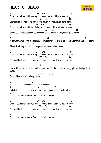## **HEART OF GLASS**



**[BACK TO](#page-1-0) [CONTENTS](#page-1-0)**

Ooo ooo wo Ooo ooo wo Ooo ooo wo Ooo ooo wo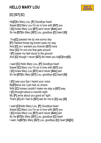# **HELLO MARY LOU**



## **[C] [G7] [C]**

He**[C]**llo Mary Lou, **[F]** Goodbye heart Sweet **[C]** Mary Lou I'm so in love with **[G7]** you I **[C]** knew Mary Lou **[E7]** we'd never **[Am]** part So he-**[D7]**llo Mary **[G7]** Lou, goodbye **[C]** heart **[G]**

You<sup>[C]</sup> passed me by one sunny day **[F]** Flashed those big brown eyes my way And **[C]** oo I wanted you forever **[G7]** more Now **[C]** I'm not one that gets around I **[F]** swear my feet stuck to the ground And **[C]** though I never **[G7]** did meet you be**[C]**fore**[G]**

I said **[C]** Hello Mary Lou, **[F]** Goodbye heart Sweet **[C]** Mary Lou I'm so in love with **[G7]** you I **[C]** knew Mary Lou **[E7]** we'd never **[Am]** part So he-**[D7]**llo Mary **[G7]** Lou, goodbye **[C]** heart **[G]**

I **[C]** saw your lips I heard your voice Be**[F]**lieve me I just had no choice Wild **[C]** horses couldn't make me stay a-**[G7]** way I **[C]** thought about a moonlit night My **[F]** arms about you good an' tight That's **[C]** all I had to **[G7]** see for me to **[C]** say **[G]**

I said **[C]**Hello Mary Lou, **[F]** Goodbye heart Sweet **[C]** Mary Lou I'm so in love with **[G7]** you I **[C]** knew Mary Lou **[E7]** we'd never **[Am]** part So he-**[D7]**llo Mary **[G7]** Lou, goodbye **[C]** heart I said, he**[D7]**llo Mary **[G7]** Lou, goodbye **[C]** heart **[G][C]**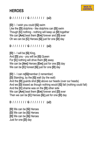# **HEROES**



### **D / / / / / / / G / / / / / / / (x2)**

**[D]** I - I wish you could **[G]** swim Like the **[D]** dolphins - like dolphins can **[G]** swim Though **[C]** nothing - nothing will keep us **[D]** together We can **[Am]** beat them **[Em]** forever and **[D]** ever Oh we can be **[C]** Heroes **[G]** just for one **[D]** day

### **D / / / / / / / G / / / / / / / (x2)**

**[D]** I - I will be **[G]** King, And **[D]** you - you will be **[G]** Queen For **[C]** nothing will drive them **[D]** away We can be **[Am]** Heroes **[Em]** just for one **[D]** day We can be **[C]** honest **[G]** just for one **[D]** day

**[D]** I - I can re**[G]**member (I remember) **[D]** Standing, by the **[G]** wall (by the wall) And the **[D]** guards shot **[G]** above our heads (over our heads) And we **[D]** kissed as though nothing would **[G]** fall (nothing could fall) And the **[C]** shame was on the **[D]** other side We can **[Am]** beat them **[Em]** forever and **[D]** ever Then we can be **[C]** Heroes **[G]** just for one **[D]** day

### **D / / / / / / / G / / / / / / / (x2)**

**[D]** We can be **[G]** Heroes **[D]** We can be **[G]** Heroes **[D]** We can be **[G]** Heroes Just for one **[D]** day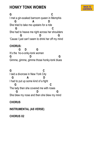# **HONKY TONK WOMEN**



**G C** I met a gin-soaked barroom queen in Memphis  **G A D** She tried to take me upstairs for a ride  **G C** She had to heave me right across her shoulders  **G D G** 'Cause I just can't seem to drink her off my mind

### **CHORUS:**

 **G D G** It's the ho-o-onky-tonk women **G D G** Gimme, gimme, gimme those honky-tonk blues

**G C** I laid a divorcee in New York City  **G A D** I had to put up some kind of a fight  **G C** The lady then she covered me with roses  **G D G** She blew my nose and then she blew my mind

**CHORUS**

**INSTRUMENTAL (AS VERSE)**

**CHORUS X2**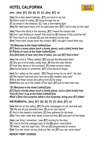# **HOTEL CALIFORNIA**



### **Intro : [Am] [E7] [G] [D] [F] [C] [Dm] [E7] x2**

[**Am**] On a dark desert highway, [**E7**] cool wind in my hair [**G**] Warm smell of colitas, [**D**] rising through the air [**F**] Up ahead in the distance, [**C**] I saw a shimmering light [**Dm**] My head grew heavy and my sight grew dim, [**E7**] I had to stop for the night

[**Am**] There she stood in the doorway, [**E7**] I heard the mission bell [**G]** And I was thinking to myself: this could be [**D**] heaven or this could be hell [**F**] Then she lit up a candle [**C**] and she showed me the way [**Dm**] There were voices down the corridor; [**E7**] I thought I heard them say:

#### **"[F] Welcome to the Hotel Califor[C]nia**

### **[E7] Such a lovely place (such a lovely place), such a [Am] lovely face [F] Plenty of room at the Hotel Califor[C]nia**

**Any [Dm] time of year (any time of year), you can [E7] find it here"**

[**Am**] Her mind is Tiffany twisted, [**E7**] she got the Mercedes Benz [**G**] She got a lot of pretty, pretty boys, [**D**] that she calls friends [**F**] How they dance in the courtyard, [**C**] sweet summer sweat [**Dm**] Some dance to remember, [**E7**] some dance to forget

[**Am**] So I called up the captain, "[**E7**] Please bring me my wine", He said [**G**]"We haven't had that spirit here since [**D**] nineteen sixty-nine" [**F**]And still those voices are calling from [**C**] far away [**Dm**]Wake you up in the middle of the night, [**E7**] just to hear them say:

### **"[F] Welcome to the Hotel Califor[C]nia**

**[E7] Such a lovely place (such a lovely place), such a [Am] lovely face They [F] livin' it up at the Hotel Califor[C]nia**

### **What a [Dm] nice surprise (what a nice surprise), bring your [E7] alibis"**

### **INSTRUMENTAL: [Am] [E7] [G] [D] [F] [C] [Dm] [E7] x2**

[**Am**] Mirrors on the ceiling, [**E7**] the pink champagne on ice, and she said "[**G**] We are all just prisoners here, [**D**] of our own device" [**F**] And in the master's chambers, [**C**] they gathered for the feast [**Dm**] They stab it with their steely knives but they [**E7**] just can't kill the beast

[**Am**] Last thing I remember, I was [**E7**] running for the door [**G**] I had to find the passage back to the **[D]** place I was before "[**F**] Relax," said the night man, "We are **[C**] programmed to receive [**Dm**] You can check out any time you like, but [**E7**] you can never leave"

### **REPEAT FIRST CHORUS**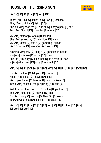# **HOUSE OF THE RISING SUN**



[**Am**] [**C**] [**D**] [**F**] [**Am**] [**E7**] [**Am**] [**E7**]

There [**Am**] is a [**C**] house in [**D**] New [**F**] Orleans They [**Am**] call the [**C**] rising [**E7**] sun And it's [**Am**] been the [**C**] ruin of [**D**] many a poor [**F**] boy And [**Am**] God, I [**E7**] know I'm [**Am**] one [**E7**]

My [**Am**] mother [**C**] was a [**D**] tailor [**F**] She [**Am**] sewed my [**C**] new blue [**E7**] jeans My [**Am**] father [**C**] was a [**D**] gambling [**F**] man [**Am**] Down in [**E7**] New Or- [**Am**] leans [**E7**]

Now the [**Am**] only [**C**] thing a [**D**] gambler [**F**] needs Is a [**Am**] suitcase [**C**] and a [**E7**] trunk And the [**Am**] only [**C**] time that [**D**] he's satis- [**F**] fied Is [**Am**] when he's [**E7**] on a [**Am**] drunk [**E7**]

### [**Am**] [**C**] [**D**] [**F**] [**Am**] [**C**] [**E7**] [**E7**] [**Am**] [**C**] [**D**] [**F**] [**Am**] [**E7**] [**Am**] [**E7**]

Oh [**Am**] mother [**C**] tell your [**D**] children [**F**] Not to [**Am**] do as [**C**] I have [**E7**] done [**Am**] Spend your [**C**] lives in [**D**] sin and miser- [**F**] y In the [**Am**] house of the [**E7**] rising [**Am**] sun [**E7**]

Well I've got [**Am**] one foot [**C**] on the [**D**] platform [**F**] The [**Am**] other foot [**C**] on the [**E7**] train I'm [**Am**] going [**C**] back to [**D**] New Or- [**F**] leans To [**Am**] wear that [**E7**] ball and [**Am**] chain [**E7**]

[**Am**] [**C**] [**D**] [**F**] [**Am**] [**C**] [**E7**] [**E7**] [**Am**] [**C**] [**D**] [**F**] [**Am**] [**E7**] [**Am**] [**D**] [**Am**] [**D**] [**Am**] [**D**]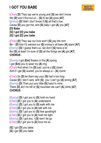# **I GOT YOU BABE**



(Cher) [**D**] They say we're young and [**G**] we don't know We [**D**] won't find out un – [**G**] til we [**A**] grow [**A7**] (Sonny) [**D**] Well I don't know if [**G**] all that's true Cause [**D**] you got me, and [**G**] baby I got [**A**] you [**A7**] **[D] Babe [G] I got [D] you babe [G] I got [D] you babe**

(Cher) [**D**] They say our love won't [**G**] pay the rent Be – [**D**] fore it's earned our [**G**] money's all been [**A**] spent [**A7**] (Sonny) [**D**] I guess that's so, we don't [**G**] have a lot But [**D**] at least I'm sure of [**G**] all the things we [**A**] got [**A7**] **CHORUS**

(Sonny) I got [**Em**] flowers in the [**A**] spring I got [**Em**] you to wear my [**A**] ring (Cher) And when I'm [**D**] sad, you're a [**G**] clown And if I get [**G**] scared, you're always a – [**A**] round

(Cher) So [**D**] let them say your [**G**] hair's too long Cause [**D**] I don't care, with [**G**] you I can't go [**A**] wrong [**A7**] (Sonny) [**D**] Then put your little [**G**] hand in mine There [**D**] ain't no hill or [**G**] mountain we can't [**A**] climb [**A7**] **CHORUS**

(Sonny) [**D**] I got you to [**G**] hold my hand (Cher) [**D**] I got you to [**A**] understand (Sonny) [**D**] I got you to [**G**] walk with me (Cher) [**D**] I got you to [**A**] talk with me (Sonny) [**D**] I got you to [**G**] kiss goodnight (Cher) [**D**] I got you to [**A**] hold me tight (Sonny) [**D**] I got you, I [**G**] won't let go (Cher) [**D**] I got you to [**A**] love me so

[**G**] I got [**D**] you babe [**G**] I got [**D**] you babe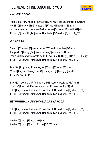# **I'LL NEVER FIND ANOTHER YOU**

**Intro. C/ F/ G7/// (x2)**

There's a [**C**] new world [**F**] somewhere, they [**D7**] call the promised [**G7**] land, And I'll [**C**] be there [**Em**] someday, if [**F**] you will hold my [**G**] hand. I still [**Am**] need you there be-[**F**]-side me, no [**G**] matter [**F**] what I [**G7**] do, [**F**] For I [**C**] know I'll [**Am**] never [**Dm**] find a-[**G7**]-nother [**C**] you. [**F**][**G7**]

### **C/ F/ G7/// (x2)**

There is [**C**] always [**F**] someone, for [**D7**] each of us they [**G7**] say, And you'll [**C**] be my [**Em**] someone, for-[**F**]-ever and a [**G**] day. I could [**Am**] search the whole world [**F**] over, un-[**G**]-til my [**F**] life is [**G7**] through, [**F**] But I [**C**] know I'll [**Am**] never [**Dm**] find a-[**G7**]-nother [**C**] you. [**F**][**G7**]

It's a [**Am**] long, long [**F**] journey, so [**C**] stay [**F**] by my [**C**] side, When I [**Am**] walk through the [**G**] storm you'll [**F**] be my [**C**] guide, [**F**] Be my [**G7**] guide.

If they [**C**] gave me a [**F**] fortune, my [**D7**] treasure would be [**G7**] small, I could [**C**] lose it all [**Em**] tomorrow, and [**F**] never mind at [**G**] all. But if [**Am**] I should lose your [**F**] love dear, I [**G**] don't know [**F**] what I'd [**G7**] do, [**F**] For I [**C**] know I'll [**Am**] never [**Dm**] find a-[**G7**]-nother [**C**] you. [**F**][**G7**]

### **INSTRUMENTAL. C/// F/// D7/// G7/// C/// Em/// F/// G///**

But if [**Am**] I should lose your [**F**] love dear, I [**G**] don't know [**F**] what I'd [**G7**] do, [**F**] For I [**C**] know I'll [**Am**] never [**Dm**] find a-[**G7**]-nother [**C**] you. [**F**][**G7**]

Another [**C**] you…[**F**] ooo…[**G7**] ooo Another [**C**] you…[**F**] ooo…[**C**] ooo [**G7**] [**C**] stop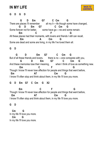## **IN MY LIFE**



#### **G D G D**

 **G D Em G7 C Cm G** There are places I'll remember all my li----ife though some have changed,  **G D Em G7 C Cm G** Some forever not for better, some have go----ne and some remain.  **Em C F G** All these places had their moments, with lovers and friends I still can recall,  **Em A Cm G**  Some are dead and some are living, in my life I've loved them all.

#### **G D**

 **G D Em G7 C Cm G** But of all these friends and lovers, there is no ---one compares with you,  **G D Em G7 C Cm G** And these memories lose their meaning, when I think of love as something new.  **Em C F G** Though I know I'll never lose affection for people and things that went before,  **Em A7 Cm G**  I know I'll often stop and think about them, in my life I'll love you more.

#### **G D Em G7 C Cm G X2**

 **Em C F G** Though I know I'll never lose affection for people and things that went before,  **Em A7 Cm G**  I know I'll often stop and think about them, in my life I'll love you more.

#### **G D**

 **Cm G**  In my life I'll love you more.  **Cm G**  In my life I'll love you more.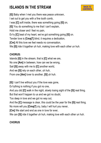# **ISLANDS IN THE STREAM**



**[G]** Baby when I met you there was peace unknown, I set out to get you with a fine tooth comb, I was **[C]** soft inside, there was something going **[G]** on, **[G]** You do something to me that I can't explain, Hold me closer and I feel no pain, Ev'ry **[C]** beat of my heart, we've got something going **[G]** on. Tender love is [**Cmaj7]** blind, it requires a dedication, **[Cm]** All this love we feel needs no conversation, We **[G]** ride it together uh huh, making love with each other un huh.

### **CHORUS:**

Islands **[G]** in the stream, that is **[C]** what we are, No one **[Am]** in between, how can we be wrong, Sail **[G]** away with me to **[C]** another world, And we **[G]** rely on each other, uh huh, From one **[Am]** lover to another, **[G]** uh huh.

**[G]** I can't live without you if the love was gone,

Ev'rything is nothing if you got no one,

And you did **[C]** walk in the night, slowly losing sight of the **[G]** real thing.

But that won't happen to us and we got no doubt,

Too deep in love and we got no way out,

And the **[C]** message is clear, this could be the year for the **[G]** real thing. No more will you **[Cmaj7]** cry, baby I will hurt you never,

**[Cm]** We start and end as one in love for ever,

We can **[G]** ride it together uh huh, making love with each other un huh.

### **CHORUS**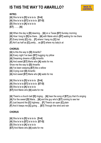# **IS THIS THE WAY TO AMARILLO?**



#### **INTRO:**

**[A]** Sha la la la **[D]** la la la la **[D-A] [A]** Sha la la la **[E7]** la la la la **[E7-D] [D]** Sha la la la **[A]** la la la la **[E7]** ……. **[A]**

**[A]** When the day is **[D]** dawning… **[A]** on a Texas **[E7]** Sunday morning

**[A]** How I long to **[D]** be there… **[A]** with Marie who's **[E7]** waiting for me there

**[F]** Every lonely **[C]** city… **[F]** where I hang my **[C]** hat

**[F]** Ain't as half as **[C]** pretty… as **[E7]** where my baby's at

#### **CHORUS:**

**[A]** Is this the way to **[D]** Amarillo?

**[A]** Every night I've been **[E7]** hugging my pillow

**[A]** Dreaming dreams of **[D]** Amarillo

**[A]** And sweet **[E7]** Marie who **[A]** waits for me.

Show me the way to **[D]** Amarillo

**[A]** I've been weeping **[E7]** like a willow

**[A]** Crying over **[D]** Amarillo

**[A]** And sweet **[E7]** Marie who **[A]** waits for me

**[A]** Sha la la la **[D]** la la la la **[D-A]**

**[A]** Sha la la la **[E7]** la la la la **[E7-D]**

**[D]** Sha la la la **[A]** la la la la

**[E7]** And Marie who **[A]** waits for me

**[A]** There's a church bell **[D]** ringing… **[A]** hear the song of **[E7]** joy that it's singing

**[A]** For the sweet **[D]** Maria… **[A]** and the guy who's **[E7]** coming to see her

**[F]** Just beyond the **[C]** highway… **[F]** There's an open **[C]** plain

**[F]** And it keeps me **[C]** going … **[E7]** Through the wind and rain

#### **CHORUS**

**[A]** Sha la la la **[D]** la la la la **[D-A] [A]** Sha la la la **[E7]** la la la la **[E7-D] [D]** Sha la la la **[A]** la la la la **[E7]** And Marie who **[A]** waits for me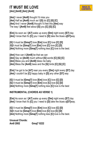### **IT MUST BE LOVE [Am] [Am9] [Am] [Am9]**

**[BACK TO](#page-1-0) [CONTENTS](#page-1-0)**

**[Am]** I never **[Am9]** thought I'd miss you **[Am]** Half as **[Am9]** much as **I [G]** do **[C] [G] [C] [Am]** And I never **[Am9]** thought I'd feel this **[Am]** way The way I **[Am9]** feel about **[G]** you **[C] [G] [C]**

**[Em]** As soon as I **[A7]** wake up every **[Dm]** night every **[E7]** day **[Am]** I know that it's **[C]** you I need to **[D]** take the blues a**[D7]**way

**[G]** It must be **[Gmaj7]** love **[Em]** love **[C]** love **[C] [D]** [**G]**It must be **[Gmaj7]** love **[Em]** love **[C]** love **[C] [D] [Am]** Nothing more **[Gmaj7]** nothing less **[C]** love is the best.

**[Am]** How can it **[Am9]** be that we can **[Am]** Say so **[Am9]** much without **[G]** words **[C] [G] [C] [Am]** Bless you and **[Am9]** bless me baby **[Am]** Bless the **[Am9]** bees and the **[G]** birds **[C] [G] [C]**

**[Em]** I've got to be **[A7]** near you every **[Dm]** night every **[E7]** day **[Am]** I couldn't be **[C]** happy baby in **[D]** any other **[D7]** way

**[G]** It must be **[Gmaj7]** love **[Em]** love **[C]** love **[C] [D] [G]** It must be **[Gmaj7]** love **[Em]** love **[C]** love **[C] [D] [Am]** Nothing more **[Gmaj7]** nothing less **[C]** love is the best

### **INSTRUMENTAL (CHORDS AS VERSE 1)**

**[Em]** As soon as I **[A7]** wake up every **[Dm]** night every **[E7]** day **[Am]** I know that it's **[C]** you I need to **[D]** take the blues a**[D7]**way.

**[G]** It must be **[Gmaj7]** love **[Em]** love **[C]** love **[C] [D]** [**G]**It must be **[Gmaj7]** love **[Em]** love **[C]** love **[C] [D] [Am]** Nothing more **[Gmaj7]** nothing less **[C]** love is the best.

**Unusual Chords: Am9 2002 Gmaj7 0222**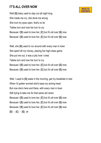# **IT'S ALL OVER NOW**

Well [**G**] baby used to stay out all night long She made me cry, she done me wrong She hurt my eyes open, that's no lie Tables turn and now her turn to cry Because I [**D**] used to love her, [**C**] but it's all over [**G**] now Because I [**D**] used to love her, [**C**] but it's all over [**G**] now

Well, she [**G**] used to run around with every man in town She spent all my money, playing her high-class game She put me out, it was a pity how I cried Tables turn and now her turn to cry Because I [**D**] used to love her, [**C**] but it's all over [**G**] now Because I [**D**] used to love her, [**C**] but it's all over [**G**] now

Well, I used to [**G**] wake in the morning, get my breakfast in bed When I'd gotten worried she'd ease my aching head But now she's here and there, with every man in town Still trying to take me for that same old clown Because I [**D**] used to love her, [**C**] but it's all over [**G**] now Because I [**D**] used to love her, [**C**] but it's all over [**G**] now Because I [**D**] used to love her, [**C**] but it's all over [**G**] now [**D**] - [**C**] - [**G**] x4

#### **[BACK TO](#page-1-0) [CONTENTS](#page-1-0)**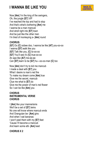# **I WANNA BE LIKE YOU**



Now [**Am**] I'm the king of the swingers, Oh, the jungle [**E7**] VIP I've reached the top and had to stop And that's what's bothering [**Am**] me I wanna be a man mancub And stroll right into [**E7**] town And be just like the other men I'm tired of monkeying a- [**Am**] round

### **CHORUS:**

[**G7**] Oo [**C**] oobee doo, I wanna be like [**A7**] you-oo-oo I wanna [**D7**] walk like you [**G7**] Talk like you, [**C**] to-oo-oo [**G7**] You'll see it's [**C**] true-oo-oo An ape like [**A7**] me-ee-ee Can [**D7**] learn to be [**G7**] hu—oo-oo-man [**C**] too

Now [**Am**] don't try to kid me mancub I made a deal with [**E7**] you What I desire is man's red fire To make my dream come [**Am**] true Give me the secret, mancub Clue me what to [**E7**] do Give me the power of man's red flower So I can be like [**Am**] you

### **CHORUS INSTRUMENTAL VERSE CHORUS**

I [**Am**] like your mannerisms We'll be a set of [**E7**] twins No one will know where mancub ends And Orangutan be- [**Am**] gins And when I eat bananas I won't peel them with my [**E7**] feet 'Cause I'll become a mancub And learn some etti- [**Am**] keet

### **CHORUS X 2**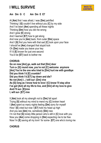# **I WILL SURVIVE**



#### **Am Dm G C Am Dm E E7**

At [**Am**] first I was afraid, I was [**Dm**] petrified Thinking I [**G**] couldn't live without you [**C**] by my side And I've been [**Am**] spending all these nights Thinking [**Dm**] how you did me wrong And I grew [**E**] strong And I learned [**E7**] how to get along And now you're [**Am**] back, from outer [**Dm**] space And I [**G**] find you here with that sad [**C**] look upon your face I should've [**Am**] changed that stupid lock Oh [**Dm**] made you leave your key If I'd [**E**] known for just one second You'd be [**E7**] back to bother me

#### **CHORUS:**

**Go on now [Am] go, walk out that [Dm] door Turn a- [G] round now, you're not [C] welcome anymore [Am] You're the one who tried to [Dm] hurt me with goodbye Did you think I'd [E] crumble? Did you think I'd [E7] lay down and die? No not [Am] I…I will sur- [Dm] vive As [G] long as I know how to love I [C] know I'll stay alive I've got [Am] all my life to live, and [Dm] all my love to give And I'll sur- [E]vive I, will sur- [E7] vive**

It [**Am**] took all my strength not to [**Dm**] fall apart Trying [**G**] without my mind to mend my [**C**] broken heart I [**Am**] spent so many nights feeling [**Dm**] sorry for myself How I [**E**] cried but now I [**E7**] hold my head up high And you see [**Am**] me, somebody [**Dm**] new I'm not that [**G**] lonely little person who's still in [**C**] love with you Now you [**Am**] come dropping in [**Dm**] expecting me to be free Now I'm [**E**] saving all my lovin' for some- [**E7**] one who's loving me

### **CHORUS**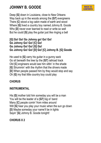# **JOHNNY B. GOODE**

Deep [**G**] down in Louisiana, close to New Orleans Way back up in the woods among the [**G7**] evergreens There [**C**] stood a log cabin made of earth and wood Where [**G**] lived a country boy named Johnny B. Goode Who [**D**] never ever learned to read or write so well But he could [**G**] play the guitar just like ringing a bell

**[G] Go! Go! Go Johnny go! Go! Go! Go Johnny Go! Go! [C] Go! Go Johnny Go! Go! [G] Go! Go Johnny Go! Go! [D] Go! [C] Johnny B. [G] Goode**

He used to [**G**] carry his guitar in a gunny sack Go sit beneath the tree by the [**G7**] railroad track Old [**C**] engineers would see him sittin' in the shade [**G**] Strummin' with the rhythm that the drivers made [**D**] When people passed him by they would stop and say Oh [**G**] my that little country boy could play

### **CHORUS**

### **INSTRUMENTAL**

His [**G**] mother told him someday you will be a man You will be the leader of a [**G7**] big ol' band Many [**C**] people comin' from miles around Will [**G**] hear you play your music when the sun go down [**D**] Maybe someday your name'll be in lights Sayin' [**G**] Johnny B. Goode tonight!

### **CHORUS X 2**

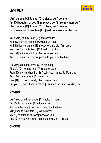# **JOLENE**



**[Am] Jolene, [C] Jolene, [G] Jolene, [Am] Jolene I`m [G] begging of you [Em] please don't take my man [Am] [Am] Jolene, [C] Jolene, [G] Jolene, [Am] Jolene [G] Please don`t take him [Em] just because you [Am] can**

Your [**Am**] beauty is be-[**C**]yond compare With [**G**] flaming locks of [**Am**] auburn hair With [**G**] ivory skin and [**Em**] eyes of emerald [**Am**] green Your [**Am**] smile is like a [**C**] breath of spring Your [**G**] voice is soft like [**Am**] summer rain And [**G**] I cannot com-[**Em**]pete with you, Jo-[**Am**]lene

He [**Am**] talks about you [**C**] in his sleep There`s [**G**] nothing I can [**Am**] do to keep From [**G**] crying when he [**Em**] calls your name, Jo-[**Am**]lene And [**Am**] I can easily [**C**] understand How [**G**] you could easily [**Am**] take my man But you [**G**] don`t know what he [**Em**] means to me, Jo-[**Am**]lene

# **CHORUS**

[**Am**] You could have your [**C**] choice of men But [**G**] I could never [**Am**] love again [**G**] He`s the only [**Em**] one for me, Jo-[**Am**]lene [**Am**]I had to have this [**C**] talk with you My [**G**] happiness de-[**Am**]pends on you And [**G**] whatever you de-[**Em**]cide to do, Jo-[**Am**]lene

# **CHORUS**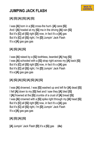# **JUMPING JACK FLASH**



# **[A] [G] [A] [G] [A] [G]**

I was **[A]** born in a **[G]** cross-fire hurri- **[A]** cane **[G]** And I **[A]** howled at my **[G]** ma in the driving **[A]** rain **[G]** But it's **[C]** all **[G]** right **[D]** now, in fact it's a **[A]** gas But it's **[C]** all **[G]** right, I'm **[D]** Jumpin' Jack Flash It's a **[A]** gas gas gas

# **[A] [G] [A] [G]**

I was **[A]** raised by a **[G]** toothless, bearded **[A]** hag **[G]** I was **[A]** schooled with a **[G]** strap right across my **[A]** back **[G]** But it's **[C]** all **[G]** right **[D]** now, in fact it's a **[A]** gas But it's **[C]** all **[G]** right, I'm **[D]** Jumpin' Jack Flash It's a **[A]** gas gas gas

# **[A] [G] [A] [G] [A] [G] [A] [G]**

I was **[A]** drowned, I was **[G]** washed up and left for **[A]** dead **[G]** I fell **[A]** down to my **[G]** feet and I saw they **[A]** bled **[G]** I **[A]** frowned at the **[G]** crumbs of a crust of **[A]** bread **[G]** I was **[A]** crowned with a **[G]** spike right through my **[A]** head **[G]** But it's **[C]** all **[G]** right **[D]** now, in fact it's a **[A]** gas But it's **[C]** all **[G]** right, I'm **[D]** Jumpin' Jack Flash It's a **[A]** gas gas gas

# **[A] [G] [A] [G]**

**[A]** Jumpin' Jack Flash **[D]** it's a **[G]** gas **(4x)**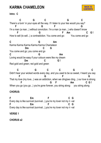# **KARMA CHAMELEON**



#### **Intro: C**

 **C G C G C** There's a lovin' in your eyes all the way. If I listen to your lies would you say? F G F G I'm a man (a man...) without conviction. I'm a man (a man...) who doesn't know F G G F Am C G ! How to sell (to sell...) a contradiction. You come and go: You come and go

C G Am Karma Karma Karma Karma Karma Chameleon  **Dm C G** You come and go; you come and go C Am Loving would be easy if your colours were like my dream **Dm** C G! Red gold and green; red gold and green

 **C G C C G C** Didn't hear your wicked words every day, and you used to be so sweet, I heard you say  **F G F G**  That my love (my love...) was an addiction, when we cling(we cling...) our love is strong **e** F G F Am C G ! When you go (you go...) you're gone forever, you string along: you string along

### **CHORUS:**

**F Em F C G** Every day is like survival (survival...),you're my lover not my ri -val **F Em F C G** Every day is like survival (survival...),you're my lover not my ri -val

### **VERSE 1**

**CHORUS x2**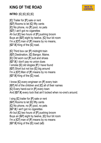# **KING OF THE ROAD**



### **INTRO**: [**C**] [**C**] [**C**] [**C**]

[**C**] Trailer for [**F**] sale or rent [**G7**] Rooms to let [**C**] fifty cents [**C**] No phone, no [**F**] pool, no pets [**G7**] I ain't got no cigarettes Ah but [**C**] two hours of [**F**] pushing broom Buys an [**G7**] eight by twelve, [**C**] four bit room I'm a [**C7**] man of [**F**] means by no means, [**G7 X**] King of the [**C**] road.

[**C**] Third box car [**F**] midnight train [**G7**] Destination, [**C**] Bangor, Maine. [**C**] Old worn out [**F**] suit and shoes [**G7 X**] I don't pay no union dues I smoke [**C**] old stogies [**F**] I have found [**G7**] Short but not too [**C**] big around I'm a [**C7**] Man of [**F**] means by no means [**G7 X**] King of the [**C**] road.

I know [**C**] every engineer on [**F**] every train [**G7**] All of the children and [**C**] all of their names [**C**] Every hand-out in [**F**] every town And [**G7 X**] every lock that ain't locked when no-one's around.

I sing [**C**] trailer for [**F**] sale or rent [**G7**] Rooms to let [**C**] fifty cents [**C**] No phone, no [**F**] pool, no pets [**G7 X**] I ain't got no cigarettes Ah but [**C**] two hours of [**F**] pushing broom Buys an [**G7**] eight by twelve, [**C**] four bit room I'm a [**C7**] man of [**F**] means by no means [**G7 X**] King of the [**C**] road (**x3**)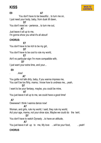# **KISS**



**E9 A7** You don't have to be beautiful... to turn me on, I just need your body, baby, from dusk till dawn,  **D7** You don't need ex - perience... to turn me out,  **A7** Just leave it all up to me,

I'm gonna show you what it's all about!

### **CHORUS:**

 **E7**

You don't have to be rich to be my girl,

 **D7**

You don't have to be cool to rule my world,

 **E7**

Ain't no particular sign I'm more compatible with,

#### **D7**

I just want your extra time, and your...

### **E9**

. ..kiss!

 **A7**

You gotta not talk dirty, baby, if you wanna impress me,

You can't be too flirty, mama, I know how to undress me,...yeah,

#### **D7**

I want to be your fantasy, maybe, you could be mine,

### **A7**

You just leave it all up to me, we could have a good time!

### **A7**

Owwwww! I think I wanna dance now!

 **A7** 

Woman, and girls, rule my world, I said, they rule my world,

Act your age, mama, not your shoe size, Maybe we could do the twirl,

 **D7**

You don't have to watch Dynasty ...to have an attitude,

 **A7**

You just leave it all up to me, My love ...will be your food, ... yeah!

### **CHORUS**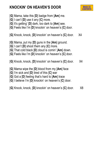# **KNOCKIN' ON HEAVEN'S DOOR**



[**G**] Mama, take this [**D**] badge from [**Am**] me.

[**G**] I can't [**D**] use it any [**C**] more.

[**G**] It's getting' [**D**] dark, too dark to [**Am**] see.

[**G**] Feels like I'm [**D**] knockin' on heaven's [**C**] door.

[**G**] Knock, knock, [**D**] knockin' on heaven's [**C**] door. X4

[**G**] Mama, put my [**D**] guns in the [**Am**] ground.

[**G**] I can't [**D**] shoot them any [**C**] more.

[**G**] That cold black [**D**] cloud is comin' [**Am**] down.

[**G**] Feels like I'm [**D**] knockin' on heaven's [**C**] door.

[**G**] Knock, knock, [**D**] knockin' on heaven's [**C**] door. X4

[**G**] Mama wipe the [**D**] blood from my [**Am**] face

[**G**] I'm sick and [**D**] tired of this [**C**] war

[**G**] Got a [**D**] feeling that's hard to [**Am**] trace

[**G**] I believe I'm [**D**] knockin' on heaven's [**C**] door.

[**G**] Knock, knock, [**D**] knockin' on heaven's [**C**] door. X8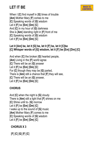# **LET IT BE**



When I [**C**] find myself in [**G**] times of trouble [**Am**] Mother Mary [**F**] comes to me [**C**] Speaking words of [**G**] wisdom Let it [**F**] be [**Em**] [**Dm**] [**C**] And [**C**] in my hour of [**G**] darkness She is [**Am**] standing right in [**F**] front of me [**C**] Speaking words of [**G**] wisdom Let it [**F**] be [**Em**] [**Dm**] [**C**]

### **Let it [Am] be, let it [G] be, let it [F] be, let it [C]be [C] Whisper words of [G] wisdom, let it [F] be [Em] [Dm] [C]**

And when [**C**] the broken [**G**] hearted people, [**Am**] Living in the [**F**] world agree [**C**] There will be an [**G**] answer Let it [**F**] be [**Em**] [**Dm**] [**C**] For [**C**] though they may be [**G**] parted, There is [**Am**] still a chance that [**F**] they will see, [**C**] There will be an [**G**] answer, Let it [**F**] be [**Em**] [**Dm**] [**C**]

### **CHORUS**

And [**C**] when the night is [**G**] cloudy There is [**Am**] still a light that [**F**] shines on me [**C**] Shine until to- [**G**] morrow Let it [**F**] be [**Em**] [**Dm**] [**C**] I wake up to the sound of [**G**] music [**Am**] Mother Mary [**F**] comes to me [**C**] Speaking words of [**G**] wisdom Let it [**F**] be [**Em**] [**Dm**] [**C**]

# **CHORUS X 3**

[**F**] [**C**] [**G**] [**F**] [**C**]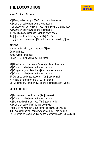# **THE LOCOMOTION**



#### **Intro: C Am C Am**

**[C]** Everybody's doing a **[Am]** brand new dance now **[C]** Come on baby **[Am]** do the locomotion I **[C]** know you'll get to like it if you **[Am]** give it a chance now **[C]** Come on baby **[Am]** do the locomotion **[F]** My little baby sister can **[Dm]** do it with ease It's **[F]** easier than learning your **[D7]** ABC's So **[C]** come on, come on, **[G]** do the locomotion with **[C]** me

#### **BRIDGE:**

You've gotta swing your hips now- **[F]** ow Come on baby Jump **[C]** up, jump back Oh well I **[G]** think you've got the knack

**[C]** Now that you can do it let's **[Am]** make a chain now

**[C]** Come on baby **[Am]** do the locomotion

**[C]** Chuga chuga motion like a **[Am]** railway train now

**[C]** Come on baby **[Am]** do the locomotion

**[F]** Do it nice and easy now don't **[Dm]** lose control

A **[F]** little bit of rhythm and a **[D7]** lot of soul

So **[C]** come on, come on, **[G]** do the locomotion with **[C]** me

### **REPEAT BRIDGE**

**[C]** Move around the floor in a **[Am]** locomotion

**[C]** Come on baby **[Am]** do the locomotion

**[C]** Do it holding hands if you **[Am]** got the notion

**[C]** Come on baby, **[Am]** do the locomotion

There's **[F]** never been a dance that's so **[Dm]** easy to do

It **[F]** even makes you happy when you're **[D7]** feeling blue

So **[C]** come on, come on, **[G]** do the locomotion with **[C]** me **(x 3)**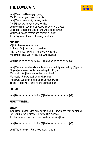# **THE LOVECATS**



**[Am]** We move like cagey tigers, We **[F]** couldn't get closer than this **[Am]** The way we walk, the way we talk, The **[F]** way we stalk, the way we kiss **[Am]** We slip through the streets while everyone sleeps Getting **[F]** bigger and sleeker and wider and brighter **[Am]** We bite and scratch and scream all night **[F]** Let's go and throw all the songs we know...

### **CHORUS:**

**[C]** Into the sea, you and me, All these **[Dm]** years and no one heard I'll **[C]** show you in spring it's a treacherous thing We **[Dm]** missed you, hissed the **[Am]** lovecats

**[Am]** Ba ba ba ba ba ba ba ba, **[F]** ba ba ba ba ba ba ba ba **(x2)**

**[Am]** We're so wonderfully wonderfully, wonderfully wonderfully **[F]** pretty Oh you **[Am]** know that I'd do anything for **[F]** you We should **[Am]** have each other to tea huh? We should **[F]** have each other with cream Then **[Am]** curl up in the fire and sleep for a while It's the **[F]** grooviest thing, it's the perfect dream

### **CHORUS**

**[Am]** Ba ba ba ba ba ba ba ba, **[F]** ba ba ba ba ba ba ba ba **(x2)**

#### **REPEAT VERSE 2**

### **BREAK**

**[Em]** Hand in hand is the only way to land, **[F]** always the right way round Not **[Em]** broken in pieces like hated little meeces **[F]** How could we miss someone as dumb as **[Am]** this?

**[Am]** Ba ba ba ba ba ba ba ba, **[F]** ba ba ba ba ba ba ba ba **(x2)**

**[Am]** The love cats, **[F]** the love cats ..… **[Am]**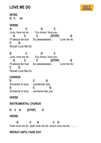# **LOVE ME DO**

### **INTRO G C x4**

### **VERSE**

**G C G C** Love, love me do You know I love you  **G C C [STOP] G** I'll always be true So pleeeeeease... Love me do **C G**  Wooah Love Me Do

**G C G C** Love, love me do You know I love you  **G C C [STOP] G** I'll always be true So pleeeeeease... Love me do **C G**  Wooah Love Me Do

# **CHORUS**

| D                | C            | G                |
|------------------|--------------|------------------|
| Someone to love, | somebody new |                  |
| D                | C            | G                |
| Someone to love, |              | someone like you |

# **VERSE**

# **INSTRUMENTAL CHORUS**

**G C G [STOP] D**

### **VERSE**

 **G C G C G** Yeah love me do, yeah love me do, ooooo love me do………

# **REPEAT UNTIL FADE OUT**

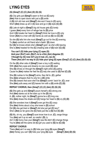# **LYING EYES**

### **(G) (Gmaj7) (C) (C) (Am) (D) (G) (G)**

**(G)** City girls just **(Gmaj7)** seem to find out **(C)** early **(Am)** How to open doors with just a **(D)** smile A **(G)** rich old man and **(Gmaj7)** she won't have to **(C)** worry She'll **(Am)** dress up all in **(C)** lace and go in **(G)** style **(C) (D)**

**(G)** Late at night a **(Gmaj7)** big old house gets **(C)** lonely I guess **(Am)** every form of refuge has its **(D)** price And it **(G)** breaks her heart to **(Gmaj7)** think her love is **(C)** only Given **(Am)** to a man with **(C)** hands as cold as **(G)** ice **(C) (D)**

So she **(G)** tells him she must **(Gmaj7)** go out for the **(C)** evening To **(Am)** comfort an old friend who's feelin' **(D)** down But **(G)** he knows where she's **(Gmaj7)** goin' as she's **(C)** leaving She is **(Am)** headed for the **(C)** cheating side of **(G)** town **(C) (G)**

 **You can't (G) hide your lying (C) eyes (G) And your (Em7) smi..(Bm7)..le is a thin (Am) disguise (D) I thought by (G) now (G7) you'd real..(C)..ise (A) There (Am) ain't no way to (D) hide your lying (G) eyes (Gmaj7) (C) (C) (Am) (D) (G) (G)**

On the **(G)** other side of **(Gmaj7)** town a boy is **(C)** waiting With **(Am)** fiery eyes and dreams no one could **(D)** steal She **(G)** drives on through the **(Gmaj7)** night antici.**(C)**.pating Cause he **(Am)** makes her feel the **(C)** way she used to **(G)** feel **(C) (D)**

She **(G)** rushes to his **(Gmaj7)** arms, they fall to..**(C)**..gether She **(Am)** whispers that it's only for a **(D)** while She **(G)** swears that soon she'll be **(Gmaj7)** comin' back for..**(C)**..ever She **(Am)** pulls away and **(C)** leaves him with a **(G)** smile **(C) (G)**

### **REPEAT CHORUS, then (Gmaj7) (C) (C) (Am) (D) (G) (G)**

**(G)** She gets up and **(Gmaj7)** pours herself a **(C)** strong one And **(Am)** stares out at the stars up in the **(D)** sky A..**(G)**..nother night, its **(Gmaj7)** gonna be a **(C)** long one She **(Am)** draws the shade and **(C)** hangs her head to **(G)** cry **(C) (D)**

**(G)** She wonders how it **(Gmaj7)** ever got this **(C)** crazy She **(Am)** thinks about a boy she knew in **(D)** school Did **(G)** she get tired or **(Gmaj7)** did she just get **(C)** lazy? She's **(Am)** so far gone she **(C)** feels just like a **(G)** fool **(C) (D)**

**(G)** My, oh my, you **(Gmaj7)** sure know how to ar..**(C)**..range things You **(Am)** set it up so well, so careful..**(D)**..ly Ain't it **(G)** funny how your **(Gmaj7)** new life didn't **(C)** change things You're **(Am)** still the same old **(C)** girl you used to **(G)** be **(C) (G)**

### **REPEAT CHORUS**

There **(Am)** ain't no way to **(D)** hide your lying **(G)** eyes **(Gmaj7) (Am)** Honey you can't **(D)** hide your lying **(G)** eyes **(Gmaj7) (Am) (D) (G)**

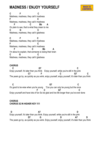# **MADNESS / ENJOY YOURSELF**

**C F C**  Madness, madness, they call it madness **F C**  Madness, madness, they call it madness  **F C Bb A** It's plain to see, that is what they mean to me **C G C**  Madness, madness, they call it gladness **C F C**  Madness, madness, they call it madness **F C**  Madness, madness, they call it madness  **F C Bb A** I'm about to explain, that someone is losing their brain **C G C**  Madness, madness, they call it gladness

#### **CHORUS**

**C** G7 C Enjoy yourself, it's later than you think Enjoy yourself, while you're still in the pink  **C7 F C G7 C** The years go by, as quickly as you wink, enjoy yourself, enjoy yourself, it's later than you think

 **C G7 C** It's good to be wise when you're young 'Cos you can only be young but the once  **F C G7 C** Enjoy yourself and have lots of fun So be glad and live life longer than you've ever done

#### **CHORUS CHORUS X2 IN HIGHER KEY !!!!!**

 **D A7 D**  Enjoy yourself, it's later than you think. Enjoy yourself, while you're still in the pink  **D7 G D A7 D** The years go by, as quickly as you wink. Enjoy yourself, enjoy yourself, it's later than you think

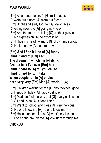# **MAD WORLD**



[**Em**] All around me are fa [**G**] miliar faces [**D**]Worn out places [**A**] worn out faces [**Em**] Bright and early for their [**G**] daily races [**D**] Going nowhere [**A**] going nowhere [**Em**] And the tears are filling [**G**] up their glasses [**D**] No expression [**A**] no expression [**Em**] Hide my head I want to [**G**] drown my sorrow [**D**] No tomorrow [**A**] no tomorrow

**[Em] And I find it kind of [A] funny I find it kind of [Em] sad The dreams in which I'm [A] dying Are the best I've ever [Em] had I find it hard to [A] tell you cause I find it hard to [Em] take When people run in [A] circles, It's a very very [Em] Mad [A] world (X4)**

[**Em**] Children waiting for the [**G**] day they feel good [**D**] Happy birthday [**A**] happy birthday [**Em**] Made to feel the way that [**G**] every child should [**D**] Sit and listen [**A**] sit and listen [**Em**] Went to school and I was [**G**] very nervous [**D**] No one knew me [**A**] no one knew me [**Em**] Hello teacher tell me [**G**] what's my lesson [**D**] Look right through me [**A**] look right through me

# **CHORUS**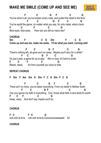# **MAKE ME SMILE (COME UP AND SEE ME)**



 **F C G F C G** You've done it all, you've broken every code, and pulled the rebel to the floor  **F C G F C G** You've spoilt the game, no matter what you say, for only metal, what a bore **F C F C G** Blue eyes, blue eyes, How can you tell so many lies?

#### **CHORUS:**

**Dm F C G Dm F C G Come up and see me, make me smile, I'll do what you want, running wild**

 **F C G F C G** There's nothing left, all gone and run away Maybe you'll tarry for a while?  **F C G F C G** It's just a test, a game for us to play Win or lose, it's hard to smile **F C F C G** Resist, resist, It's from yourself you have to hide

#### **REPEAT CHORUS**

**F Em F Am Em G Dm F C G Dm F C G**

 **F C G F C G** There ain't no more, you've taken everything From my belief in Mother Earth  **F C G F C G** Can you ignore my faith in everything Cos I know what faith is and what it's worth **F C F C G** Away, away And don't say maybe you'll try

### **CHORUS**

**F C F C G** ooh-ooh la-la-la ooh-ooh la-la-la Oooooooooaaaaaah X2

### **CHORUS**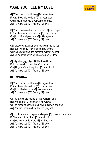# **MAKE YOU FEEL MY LOVE**

**[G]** When the rain is blowing **[D]** in your face **[F]** And the whole world is **[C]** on your case **[Cm]** I could offer you a **[G]** warm embrace **[A7]** To make you **[D7]** feel my **[G]** love

**[G]** When evening shadows and the **[D]** stars appear **[F]** And there is no one there to **[C]** dry your tears **[Cm]** I could hold you for a **[G]** million years **[A7]** To make you **[D7]** feel my **[G]** love

**[C]** I know you haven't made your **[G]** mind up yet **[B7]** But I would **[C]** never do you **[G]** wrong **[C]** I've known it from the moment **[G]** that we met **[A7]** No doubt in my mind where you be**[D7]**long

**[G]** I'd go hungry, I'd go **[D]** black and blue **[F]** I'd go crawling down the **[C]** avenue **[Cm]** No, there's nothing that I **[G]** wouldn't do **[A7]** To make you **[D7]** feel my **[G]** love

### **INSTRUMENTAL**

**[G]** When the rain is blowing **[D]** in your face **[F]** And the whole world is **[C]** on your case **[Cm]** I could offer you a **[G]** warm embrace **[A7]** To make you **[D7]** feel my **[G]** love

**[C]** The storms are raging on the **[G]** rollin' sea **[B7]** And on the **[C]** highway of re-**[G]**gret **[C]** The winds of change are blowing **[G]** wild and free **[A7]** You ain't seen nothing like me **[D7]** yet

**[G]** I could make you happy, make your **[D]** dreams come true **[F]** There is nothing that I **[C]** wouldn't do **[Cm]** Go to the ends of the **[G]** earth for you **[A7]** To make you **[D7]** feel my **[G]** love **[A7]** To make you **[D7]** feel my **[G]** love

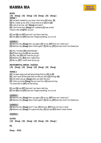# **MAMMA MIA**



#### **INTRO**

**| [G] [Gaug] | [G] [Gaug] | [G] [Gaug] | [G] [Gaug] | VERSE 1**

**[G]** I've been cheated by you since I don't know **[C]** when **[D]**

**[G]** So I made up my mind, it must come to an **[C]** end **[D]**

**[G]** Look at me now, will I **[Gaug]** ever learn?

**[G]** I don't know how, **[Gaug]** but I suddenly **[C]** lose control

There's a fire with**[D7**]in my soul

**[C]** Just **[G]** one **[D7]** look and I can hear a bell ring

**[C]** One **[G]** more **[D7]** look and I forget everything, w-o-o-o-oh

#### *CHORUS 1*

*[G] Mamma mia, [Gaug] here I go again, [C] my my, [D7] how can I resist you? [G] Mamma mia, [Gaug] does it show again? [C] My my, [D7] just how much I've missed you*

**[G]** Yes, I've been **[D]** brokenhearted,

**[Em7]** blue since the **[D]** day we parted **[C]** Why, why **[D7]** did I ever let you go?

**[G]** Mamma mia, **[Em]** now I really know

**[C]** My my, **[D7]** I could never let you go.

#### **INSTRUMENTAL BREAK - KAZOOS**

**| [G] [Gaug] | [G] [Gaug] | [G] [Gaug] | [G] [Gaug]**

#### **VERSE 2**

**[G]** I've been angry and sad about things that you **[C]** do **[D]**

**[G]** I can't count all the times that I've told you we're **[C]** through **[D]**

**[G]** And when you go, **[Gaug]** when you slam the door

**[G]** I think you know **[Gaug]** that you won't be a **[C]** way too long

You know that I'm **[D7]** not that strong

**[C]** Just **[G]** one **[D7]** look and I can hear a bell ring **[C]** One **[G]** more **[D7]** look and I forget everything, w-o-o-o-oh

#### *CHORUS 1*

*[G] Mamma mia, [Gaug] here I go again, [C] my my, [D7] how can I resist you? [G] Mamma mia, [Gaug] does it show again? [C] My my, [D7] just how much I've missed you*

#### *CHORUS 2*

*[G] Mamma mia, [Gaug] even if I say, [C] bye bye, [D7] leave me now or never [G] Mamma mia, [Gaug] it's a game we play, [C] bye bye [D7] doesn't mean forever*

#### *CHORUS 1*

*OUTRO* **| [G] [Gaug] | [G] [Gaug] | [G] [Gaug] | [G] [Gaug] |**

**[G]**

**(Gaug - 0332)**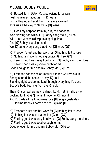# **ME AND BOBBY MCGEE**



[**G**] Busted flat in Baton Rouge, waiting for a train Feeling near as faded as my [**D**] jeans Bobby flagged a diesel down just afore it rained Took us all the way to New Or- [**G**] leans

[**G**] I took my harpoon from my dirty red bandana Was blowing sad while [**G7**] Bobby sang the [**C**] blues With them windshield wipers slapping time And [**G**] Bobby clapping hands We [**D**] sang every song that driver [**G**] knew [**G7**]

[**C**] Freedom's just another word for [**G**] nothing left to lose

[**D**] Nothing ain't worth nothing but it's [**G**] free [**G7**]

[**C**] Feeling good was easy Lord when [**G**] Bobby sang the blues

[**D**] Feeling good was good enough for me

Good enough for me and my Bobby Mc- [**G**] Gee

[**G**] From the coalmines of Kentucky, to the California sun Bobby shared the secrets of my [**D**] soul Standing right beside me Lord through everything I'd done Bobby's body kept me from the [**G**] cold

Then [**G**] somewhere near Salinas, Lord, I let him slip away Looking for that [**G7**] home, I hope he [**C**] finds it And I'd trade all my tomorrows for a [**G**] single yesterday [**D**] Holding Bobby's body close to [**G**] mine [**G7**]

[**C**] Freedom's just another word for [**G**] nothing left to lose

[**D**] Nothing left was all that he left [**G**] me [**G7**]

[**C**] Feeling good was easy Lord when [**G**] Bobby sang the blues,

[**D**] Feeling good was good enough for me,

Good enough for me and my Bobby Mc- [**G**] Gee.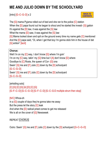# **ME AND JULIO DOWN BY THE SCHOOLYARD**

### $[$ intro] $[G-C-G-D] \times 2$

The [G] mama Pyjama rolled out of bed and she ran to the police [C] station When the **[D]** papa found out he began to shout and he started the investi- **[G]** gation It's against the  $[D]$  law, it was against the  $[G]$  law What the mama  $[D]$  saw, it was against the  $[G]$  law [G] Mama looked down and spit on the ground every time my name gets [C] mentioned And the [D] papa said, "Oi, when I get that boy I'm gonna stick him in the house of det [G] ention" [tacit]

**[BACK TO](#page-1-0) [CONTENTS](#page-1-0)**

#### **Chorus:**

Well I'm on my [C] way, I don't know [G] where I'm goin' I'm on my  $\lceil C \rceil$  way, takin' my  $\lceil G \rceil$  time but I  $\lceil A \rceil$  don't know  $\lceil D \rceil$  where Goodbye to **[C]** Rosie, the queen of Cor- **[G]** ona Seein' [G] me and [F] Julio [C] down by the [D] schoolyard [G–C–G–D] Seein' [G] me and [F] Julio [C] down by the [D] schoolyard [G–C–G–D]

[whistling solo] [C] [G] [C] [G] [A] [D] [C] [G] [G–F–C–D] [G–C–G–D] [G–F–C–D] [G–C–G-D multiple strum then stop]

[N/C] Whoa-oh In a  $[G]$  couple of days they're gonna take me away But the press let the story [C] leak And when the [D] radical priest comes to get me released We is all on the cover of [G] Newsweek

### REPEAT CHORUS

Outro: Seein' [G] me and [F] Julio [C] down by the [D] schoolyard [G–C–G–D]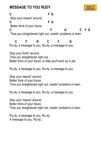# **MESSAGE TO YOU RUDY**



Stop your foolin' around, Time you straightened right out.

Better think of your future, or else you'll wind up in jail.

Ru-dy, a message to you, Ru-dy; a message to you.

Stop your messin' around,

Better think of your future.

Time you straightened right out, creatin' problems in town.

Ru-dy, a message to you, Ru-dy; a message to you.

Stop your messin' around,

Better think of your future.

Time you straightened right out, creatin' problems in town.

Ru-dy, a message to you, Ru-dy; A message to you, Ru-dy...

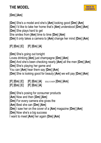# **THE MODEL**



# [**Dm**] [**Am**]

[**Dm**] She's a model and she's [**Am**] looking good [**Dm**] [**Am**] [**Dm**] I'd like to take her home that's [**Am**] understood [**Dm**] [**Am**] [**Dm**] She plays hard to get She smiles from [**Am**] time to time [**Dm**] [**Am**] [**Dm**] It only takes a camera to [**Am**] change her mind [**Dm**] [**Am**]

# [**F**] [**Em**] [**C**] [**F**] [**Em**] [**A**]

[**Dm**] She's going out tonight Loves drinking [**Am**] just champagne [**Dm**] [**Am**] [**Dm**] And she's been checking nearly [**Am**] all the men [**Dm**] [**Am**] [**Dm**] She's playing her game and You can [**Am**] hear them say [**Dm**] [**Am**] [**Dm**] She is looking good for beauty [**Am**] we will pay [**Dm**] [**Am**]

[**F**] [**Em**] [**C**] [**F**] [**Em**] [**A**] *SOLO OVER* [**Dm**] [**Am**] [**F**] [**Em**] [**C**] [**F**] [**Em**] [**A**]

[**Dm**] She's posing for consumer products [**Am**] Now and then [**Dm**] [**Am**] [**Dm**] For every camera she gives the [**Am**] Best she can [**Dm**] [**Am**] [**Dm**] I saw her on the cover of a [**Am**] magazine [**Dm**] [**Am**] [**Dm**] Now she's a big success I want to meet [**Am**] her again [**Dm**] [**Am**]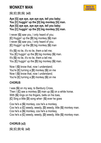# **MONKEY MAN**

[**G**] [**C**] [**D**] [**G**] **(x2)**

**Aye [G] aye aye, aye aye aye, tell you baby; You [C] huggin' up the [D] big monkey [G] man. Aye [G] aye aye, aye aye aye, tell you baby; You [C] huggin' up the [D] big monkey [G] man.**

I never [**G**] saw you, I only heard of you; [**C**] Huggin' up the [**D**] big monkey [**G**] man I never [**G**] saw you, I only heard of you; [**C**] Huggin' up the [**D**] big monkey [**G**] man

It's [**G**] no lie, it's no lie, them a tell me; You [**C**] huggin' up the [**D**] big monkey [**G**] man. It's [**G**] no lie, it's no lie, them a tell me; You [**C**] huggin' up the [**D**] big monkey [**G**] man.

Now I [**G**] know that, now I understand; You're [**C**] turning a [**D**] monkey [**G**] on me Now I [**G**] know that, now I understand; You're [**C**] turning a [**D**] monkey [**G**] on me

# **CHORUS**

I was [**G**] on my way, to Banbury Cross, Then I [**C**] see a monkey [**D**] man up [**G**] on a white horse. With [**G**] rings on his fingers, bells on his toes, [**C**] Sing a little [**D**] song wher- [**G**] ever he goes

Cos he's a [**G**] monkey, cos he's a monkey, Cos he's a [**C**] weedy, weedy, [**D**] weedy, little [**G**] monkey man. Cos he's a [**G**] monkey, cos he's a monkey, Cos he's a [**C**] weedy, weedy, [**D**] weedy, little [**G**] monkey man.

**CHORUS (x2)**

[**G**] [**C**] [**D**] **G**] **(x2)**

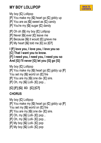# **MY BOY LOLLIPOP**

My boy [**C**] Lollipop

[**F**] You make my [**G**] heart go [**C**] giddy up

[**F**] You are as [**G**] sweet as [**C**] candy

[**F**] You're my [**G**] sugar [**C**] dandy

[**F**] Oh oh [**G**] my boy [**C**] Lollipop

[**F**] Never [**G**] ever [**C**] leave me

[**F**] Because [**G**] it would [**C**] grieve me

[**F**] My heart [**G**] told me [**C**] so [**C7**]

**I [F] love you, I love you, I love you so [C] That I want you to know. [F] I need you, I need you, I need you so And [G] I'll never [G] let you [G] go [G]** 

My boy [**C**] Lollipop [**F**] You make my [**G**] heart go [**C**] giddy up [**F**] You set my [**G**] world on [**C**] fire [**F**] You are my [**G**] one de- [**C**] sire. [**F**] Oh, my [**G**] Lolli- [**C**] pop...

# **[C] [F] [G] X3 [C] [C7]**

# **CHORUS**

My boy [**C**] Lollipop [**F**] You make my [**G**] heart go [**C**] giddy up [**F**] You set my [**G**] world on [**C**] fire [**F**] You are my [**G**] one de- [**C**] sire. [**F**] Oh, my [**G**] Lolli- [**C**] pop... [**F**] Oh, my [**G**] Lolli- [**C**] pop... [**F**] My boy [**G**] Lolli- [**C**] pop [**F**] My boy [**G**] Lolli- [**C**] pop

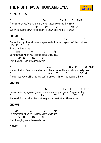# **THE NIGHT HAS A THOUSAND EYES**



### **C Eb F 2x**

**C Am** Dm F **C** Eb F They say that you're a runaround lover, though you say, it isn't so **C Am D7 D G7 G** But if you put me down for another, I'll know, believe me, I'll know

#### **CHORUS:**

 **Am Dm C**  'Cause the night has a thousand eyes, and a thousand eyes, can't help but see  **Dm F G C** If you, are true to me  **Dm G C Am** So remember when you tell those little white lies,  **Dm G G7 C**  That the night, has a thousand eyes

C **C** Am Dm F C Eb F You say that you're at home when you phone me, and how much, you really care **C Am D7 D G7 G** Though you keep telling me that you're lonely, I'll know if someone is there

### **CHORUS**

C BbF **Am** Dm F C EbF One of these days you're gonna be sorry, 'cause your game, I'm gonna play **C Am D7 D G7 G** And you'll find out without really trying, each time that my kisses stray

#### **CHORUS**

 **Dm G C Am** So remember when you tell those little white lies,  **Dm G G7 C**  That the night, has a thousand eyes

**C Eb F 2x ….. C**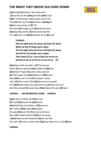# **THE NIGHT THEY DROVE OLD DIXIE DOWN**

**[Am]** Virgil **[C]** Caine is the name and I **[F]** served on the **[Am]** Danville **[Dm]** Train **[Am]** 'Til Stoneman's **[C]** cavalry came and They **[F]** tore up the **[Am]** tracks a-**[Dm]**gain **[Am]** In the winter of **[F]** '65 We were **[C]** hungry, just **[Dm]** barely alive **[Am]** By May tenth, **[F]** Richmond had fell It's a **[C]** time I re-**[Dm]**member oh so **[D]** well

> **CHORUS: The [C] night they [F] drove old Dixie [C] down When all the [F] bells were ringin' The [C] night they [F] drove old Dixie [C] down And all the [F] people were singin' They went [C] na…na-na [Am] na-na-na na… [G] Na-na na-na na [F] na na-na-na-na [C]**

**[Am]** Back with my wife in **[C]** Tennessee When **[F]** one day she **[Am]** called to **[Dm]** me **[Am]** Said "Virgil, **[C]** quick come and see **[F]** There goes the **[Am]** Robert E. **[Dm]** Lee!" Now **[Am]** I don't mind **[F]** choppin' wood And I **[C]** don't care if the **[Dm]** money's no good You **[Am]** take what you need and you **[F]** leave the rest But they should **[C]** never have **[Dm]** taken the very **[D]** best

#### **CHORUS - INSTRUMENTAL VERSE - CHORUS**

**[Am]** Like my father be-**[C]**fore me **[F]** I will **[Am]** work the **[Dm]** land **[Am]** And like my brother a-**[C]**bove me **[F]** I took a **[Am]** rebel **[Dm]** stand He was **[Am]** just 18, **[F]** proud and brave But a **[C]** Yankee laid him **[Dm]** in his grave I **[Am]** swear by the blood be-**[F]**low my feet You can't **[C]** raise a Caine back **[Dm]** up when he's in de-**[D]**feat

#### **CHORUS**

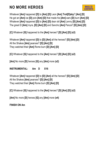# **NO MORE HEROES**

Whatever **[Am]** happened **[D]** to **[Am] [D]** Leon **[Am] Trot[D]sky**? **[Am] [D]** He got an **[Am]** ice **[D]** pick **[Am] [D]** that made his **[Am]** ears **[D]** burn **[Am] [D]** Whatever **[Am]** happened **[D]** to **[Am] [D]** dear old **[Am]** Lenny **[D] [Am] [D]**  The great El **[Am]** myra, **[D] [Am] [D]** and Sancho **[Am]** Panza? **[D] [Am] [D]** 

**[C]** Whatever **[G]** happened to the **[Am]** heroes? **[D] [Am] [D] (x2)**

Whatever **[Am]** happened **[D]** to **[D] [Am]** all the heroes? **[D] [Am] [D]**  All the Shakes **[Am]** pearoes? **[D] [Am] [D]**  They watched their **[Am]** Rome burn **[D] [Am] [D]**

**[C]** Whatever **[G]** happened to the **[Am]** heroes? **[D] [Am] [D] (x2)**

**[Am]** No more **[D]** heroes **[G]** any **[Am]** more **(x2)**

**INSTRUMENTAL: Am D X16**

Whatever **[Am]** happened **[D]** to **[D] [Am]** all the heroes? **[D] [Am] [D]**  All the Shakes **[Am]** pearoes? **[D] [Am] [D]**  They watched their **[Am]** Rome burn **[D] [Am] [D]**

**[C]** Whatever **[G]** happened to the **[Am]** heroes? **[D] [Am] [D] (x2)**

**[Am]** No more **[D]** heroes **[G]** any **[Am]** more **(x4)**

**FINISH ON Am**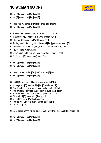# **NO WOMAN NO CRY**



**[C]** No **[G]** woman, no **[Am]** cry **[F]**

**[C]** No **[G]** woman, no **[Am]** cry **[F]**

**[C]** Here little **[G]** darlin', **[Am]** don't shed no **[F]** tears

**[C]** No **[G]** woman, no **[Am]** cry **[F]**

**[C]** Said I re **[G]** member **[Am]** when we used to **[F]** sit

**[C]** In the govern**[G]** ment yard in **[Am]** Trenchtown **[F]**

**[C]** Oba, ob**[G]** serving the **[Am]** hypocrites **[F]**

**[C]** As they would **[G]** mingle with the good **[Am]** people we meet **[F]**

**[C]** Good friends we **[G]** had, oh **[Am]** good friends we've **[F]** lost

**[C]** A**[G]**long the **[Am]** way **[F]**

**[C]** In this bright **[G]** future you **[Am]** can't forget your **[F]** past

**[C]** So dry your **[G]** tears I **[Am]** say, **[F]** and

**[C]** No **[G]** woman, no **[Am]** cry **[F]**

**[C]** No **[G]** woman, no **[Am]** cry **[F]**

**[C]** Here little **[G]** darlin', **[Am]** don't shed no **[F]** tears **[C]** No **[G]** woman, no **[Am]** cry **[F]**

**[C]** Said I **[G]** remember **[Am]** when we used to **[F]** sit

**[C]** In the govern**[G]**ment yard in **[Am]** Trenchtown. **[F]**

**[C]** And then **[G]** Georgie would **[Am]** make the fire **[F]** lights,

**[C]** And it was **[G]** logwood **[Am]** burnin' through the **[F]** nights

**[C]** Then we would **[G]** cook cornmeal **[Am]** porridge **[F]**

**[C]** Of which I'll **[G]** share with **[Am]** you **[F]**

**[C]** My **[G]** feet is my **[Am]** only carriage **[F]**

**[C]** And so I've **[G]** got to push on [**Am]** through **[F]**

But, while I'm gone,

**[C]** Ev'ry thing's gonna **[G]** be alright. **[Am]** ev'ry thing's gonna **[F]** be alright **(x4)**

**[C]** No **[G]** woman, no **[Am]** cry **[F]**

**[C]** No **[G]** woman, no **[Am]** cry **[F]**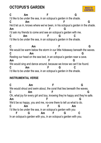# **OCTOPUS'S GARDEN**



**C Am F G** I'd like to be under the sea, in an octopus's garden in the shade. **C Am F G** He'd let us in, knows where we've been, in his octopus's garden in the shade. **Am F G** I'd ask my friends to come and see an octopus's garden with me. **C Am F G C** I'd like to be under the sea, in an octopus's garden in the shade.

**C Am F G** We would be warm below the storm in our little hideaway beneath the waves. **C Am F G** Resting our head on the sea bed, in an octopus's garden near a cave. **Am F G** We would sing and dance around, because we know we can't be found. **C Am F G C** I'd like to be under the sea, in an octopus's garden in the shade.

# **INSTRUMENTAL VERSE**

**C Am F G** We would shout and swim about, the coral that lies beneath the waves. **C Am F G** Oh, what joy for every girl and boy, knowing they're happy and they're safe. **Am F G** We'd be so happy, you and me, no-one there to tell us what to do. **C Am F G Am** I'd like to be under the sea, in an octopus's garden with you  **F G Am F G C** In an octopus's garden with you, in an octopus's garden with you.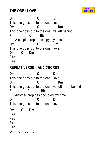# **THE ONE I LOVE**



**Dm C Dm** This one goes out to the one I love **Dm C Dm** This one goes out to the one I've left behind **F C Bb** A simple prop to occupy my time **Dm C Dm** This one goes out to the one I love **Dm C Dm** Fire Fire

# **REPEAT VERSE 1 AND CHORUS**

**Dm C Dm** This one goes out to the one I love **Dm C Dm** This one goes out to the one I've left behind **F C Bb**  Another prop has occupied my time **Dm C Dm** This one goes out to the one I love

| Dm   | C |    | Dm |
|------|---|----|----|
| Fire |   |    |    |
| Fire |   |    |    |
| Fire |   |    |    |
| Fire |   |    |    |
| Dm   | C | Db | D  |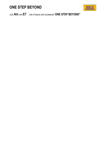# **ONE STEP BEYOND**

.



Just **Am** and **E7** … lots of kazoo and occasional "**ONE STEP BEYOND"**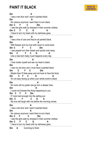## **PAINT IT BLACK**

**Dm**  I see a red door and I want it painted black. **Dm A**  No colours anymore I want them to turn black. **Dm C F C Dm** I see the girls walk by dressed in their summer clothes. **Dm C F C G A** I have to turn my head until my darkness goes. ------------------------------------------------------------------------------------------------------------------------------------------------------------------------------------------------------------------------------------------------------------------------------- **Dm**  I see a line of cars and they're all painted black. **Dm A** With flowers and my love both never to come back. **Dm C F C Dm** I see people turn their heads and quickly look away. **Dm C F C G A**  Like a new-born baby it just happens every day. ------------------------------------------------------------------------------------------------------------------------------------------------------------------------------------------------------------------------------------------------------------------------------- **Dm**  I look inside myself and see my heart is black. **Dm A** I see my red door and I must have it painted black **Dm C F C Dm** Maybe then I'll fade away and not have to face the facts. **Dm C F C G A** It's not easy facing up when your whole world is black. ------------------------------------------------------------------------------------------------------------------------------------------------------------------------------------------------------------------------------------------------------------------------------- **Dm A** No more will my green sea go turn a deeper blue. **Dm A** I could not foresee this thing happening to you. **Dm C F C Dm** If I look hard enough into the setting sun **Dm C F C G A** My love will laugh with me before the morning comes. ------------------------------------------------------------------------------------------------------------------------------------------------------------------------------------------------------------------------------------------------------------------------------- **Dm A** I see a red door and I want it painted black. **Dm A**  No colours anymore I want them to turn black. **Dm C F C Dm** I see the girls walk by dressed in their summer clothes. **Dm C F C G A** I have to turn my head until my darkness goes. ------------------------------------------------------------------------------------------------------------------------------------------------------------------------------------------------------------------------------------------------------------------------------- **Dm A** humming to finish

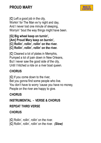[**C**] Left a good job in the city, Workin' for The Man ev'ry night and day, And I never lost one minute of sleeping, Worryin' 'bout the way things might have been.

**[BACK TO](#page-1-0) [CONTENTS](#page-1-0)**

### **[G] Big wheel keep on turnin' , [Am] Proud Mary keep on burnin' , [C] Rollin', rollin', rollin' on the river. [C] Rollin', rollin', rollin' on the river.**

[**C**] Cleaned a lot of plates in Memphis, Pumped a lot of pain down in New Orleans, But I never saw the good side of the city, Until I hitched a ride on a river boat queen.

### **CHORUS**

[**C**] If you come down to the river, Bet you gonna find some people who live. You don't have to worry 'cause you have no money, People on the river are happy to give.

### **CHORUS**

### **INSTRUMENTAL - VERSE & CHORUS**

### **REPEAT THIRD VERSE**

### **CHORUS**

[**C**] Rollin', rollin', rollin' on the river. [**C**] Rollin', rollin', rollin' on the river. *(Slow)*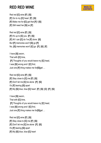### **RED RED WINE**

Red red **[C]** wine **[F] [G] [F]** Go to my **[C]** head **[F] [G] [F]** Make me for-**[C]** get that **[F]** I **[G] [F]** Still need her **[G]** so **[F]**

Red red **[C]** wine **[F] [G] [F]** It's up to **[C]** you **[F] [G] [F]** All I can **[C]** do I've **[F]** done **[G]** But **[F]** memories won't **[G]** go **[F]** No, **[G]** memories won't **[C]** go **[F] [G] [F]**

I have **[G]** sworn, That with **[C]** time, **[F]** Thoughts of you would leave my **[C]** head, I was **[G]** wrong and I **[C]** find, Just one **[F]** thing makes me for**[G]**get …

Red red **[C]** wine **[F] [G] [F]** Stay close to **[C]** me **[F] [G] [F]** Don't let me **[C]** be alone **[F] [G]** It's **[F]** tearing **[G]** apart **[F]** My **[G]** blue, blue **[C]** heart **[F] [G] [C] [F] [G]**

I have **[G]** sworn, That with **[C]** time, **[F]** Thoughts of you would leave my **[C]** head, I was **[G]** wrong and I **[C]** find, Just one **[F]** thing makes me for**[G]**get …

Red red **[C]** wine **[F] [G] [F]** Stay close to **[C]** me **[F] [G] [F]** Don't let me **[C]** be alone **[F] [G]** It's **[F]** tearing **[G]** apart **[F]** My **[G]** blue, blue **[C]** heart

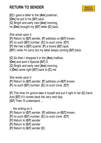## **RETURN TO SENDER**



**[C]** I gave a letter to the [**Am**] postman, [**Dm**] he put in his [**G7**] sack. [**C**] Bright and early next [**Am**] morning, he [**Dm**] brought my [**G7**] letter [**C**] back.

She wrote upon it. [**F**] Return to [**G7**] sender, [**F**] address un-[**G7**] known, [**F**] no such [**G7**] number, [**C**] no such zone. [**C7**] [**F**] We had a [**G7**] quarrel, [**F**] a lovers [**G7**] spat. [**D7**] I write I'm sorry but my letter keeps coming [**G7**] back.

[**C**] So then I dropped it in the [**Am**] mailbox, [**Dm**] and sent it Special [**G7**] D. [**C**] Bright and early next [**Am**] morning, it [**Dm**] came right [**G7**] back to [**C**] me

She wrote upon it. [**F**] Return to [**G7**] sender, [**F**] address un-[**G7**] known, [**F**] no such [**G7**] number, [**C**] no such zone. [**C7**]

[**F**] This time I'm gonna take it myself and put it right in her [**C**] hand. And [**D7**] if it comes back the very next day, [**G7**] Then I'll understand …

… the writing on it. [**F**] Return to [**G7**] sender, [**F**] address un-[**G7**] known, [**F**] no such [**G7**] number, [**C**] no such zone. [**C7**] [**F**] Return to [**G7**] sender [**F**] Return to [**G7**] sender [**F**] Return to [**G7**] sender [**C**]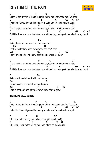## **RHYTHM OF THE RAIN**



**[BACK TO](#page-1-0)**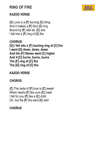## **RING OF FIRE**



### **KAZOO VERSE**

[**C**] Love is a [**F**] burning [**C**] thing And it makes a [**F**] fiery [**C**] ring Bound by [**F**] wild de- [**C**] sire I fell into a [**F**] ring of [**C**] fire

**CHORUS: [G] I fell into a [F] burning ring of [C] fire I went [G] down, down, down And the [F] flames went [C] higher And it [C] burns, burns, burns The [F] ring of [C] fire The [G] ring of [C] fire**

### **KAZOO VERSE**

### **CHORUS**

[**C**] The taste of [**F**] love is [**C**] sweet When hearts [**F**] like ours [**C**] meet I fell for you [**F**] like a [**C**] child Oh, but the [**F**] fire went [**C**] wild

### **CHORUS**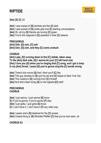## **RIPTIDE**



[**Am**] [**G**] [**C**] X2

[**Am**] I was scared of [**G**] dentists and the [**C**] dark [**Am**] I was scared of [**G**] pretty girls and [**C**] starting conversations [**Am**] Oh, all my [**G**] friends are turning [**C**] green [**Am**] You're the magician's [**G**] assistant in their [**C**] dreams

**PRECHORUS [Am] Ooh, [G] ooh, [C] ooh [Am] Ooh, [G] ooh, and they [C] come unstuck**

**CHORUS**

**[Am] Lady, [G] running down to the [C] riptide, taken away To the [Am] dark side, [G] I wanna be your [C] left hand man [Am] I love you [G] when you're singing that [C] song, and I got a lump In my [Am] throat, 'cause [G] you're gonna sing the [C] words wrong**

[**Am**] There's this movie [**G**] that I think you'll [**C**] like [**Am**] This guy decides to [**G**] quit his job and [**C**] heads to New York City [**Am**] This cowboy's [**G**] running from [**C**] himself [**Am**] And she's been living [**G**] on the highest **[C]** shelf

#### **PRECHORUS CHORUS**

[**Am**] I just wanna, I just wanna [**G**] know [**C**] If you're gonna, if you're gonna [**F**] stay [**Am**] I just gotta, I just gotta [**G**] know [**C**] I can't have it, I can't have it [**F**] any other way

[**Am**] I swear she's [**G**] destined for the [**C**] screen [**Am**] Closest thing to [**G**] Michelle Pfeiffer [**C**] that you've ever seen, oh

**CHORUS X3**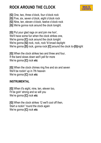## **ROCK AROUND THE CLOCK**



**[G]** One, two, three o'clock, four o'clock rock **[G]** Five, six, seven o'clock, eight o'clock rock **[G]** Nine, ten, eleven o'clock, twelve o'clock rock **[G]** We're gonna rock around the clock tonight.

**[G]** Put your glad rags on and join me hon', We'll have some fun when the clock strikes one, We're gonna **[C]** rock around the clock tonight We're gonna **[G]** rock, rock, rock 'til broad daylight We're gonna **[D]** rock, gonna rock **[C]** around the clock to-**[G]**night

**[G]** When the clock strikes two and three and four, If the band slows down we'll yell for more We're gonna **[C]** rock **etc**

**[G]** When the clock chimes ring five and six and seven We'll be rockin' up in 7th heaven We're gonna **[C]** rock **etc**

#### **INSTRUMENTAL**

**[G]** When it's eight, nine, ten, eleven too, I'll be goin' strong and so will you We're gonna **[C]** rock **etc**

**[G]** When the clock strikes 12 we'll cool off then, Start a rockin' 'round the clock again We're gonna **[C]** rock **etc**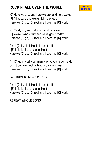## **ROCKIN' ALL OVER THE WORLD**



[**C**] Here we are, and here we are, and here we go [**F**] All aboard and we're hittin' the road Here we [**C**] go, [**G**] rockin' all over the [**C**] world

[**C**] Giddy up, and giddy up, and get away [**F**] We're going crazy and we're going today Here we [**C**] go, [**G**] rockin' all over the [**C**] world

And I [**C**] like it, I like it, I like it, I like it I [**F**] la la la like it, la la la like it Here we [**C**] go, [**G**] rockin' all over the [**C**] world

I'm [**C**] gonna tell your mama what you're gonna do So [**F**] come on out with your dancin' shoes Here we [**C**] go, [**G**] rockin' all over the [**C**] world

### **INSTRUMENTAL – 2 VERSES**

And I [**C**] like it, I like it, I like it, I like it I [**F**] la la la like it, la la la like it Here we [**C**] go, [**G**] rockin' all over the [**C**] world

### **REPEAT WHOLE SONG**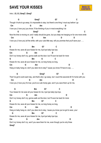### **SAVE YOUR KISSES**



Intro: | **G | G | Gmaj7 | Gmaj7**

**G** Gmaj7 G7 G7 C Though it hurts to go away; it's impossible to stay; but there's one thing I must say before I go  **Cm G Am D** I love you (I love you) you know; I'll be thinking of you in most everything I do **G** Gmaj7 G7 G7 C Now the time is moving on; and I really should be gone, but you keep me hanging on for one more smile  **Cm G Am D D** I love you (I love you) all the while; with your cute little way; will you promise that you'll save your ..... **G Bm G7 C**  Kisses for me, save all your kisses for me, bye bye baby bye bye, **Cm G Am D** Don't cry honey don't cry, gonna walk out the door; but I'll soon be back for more **G Bm G C** Kisses for me, save all your kisses for me, so long honey so long, **Cm G Am D** Hang on baby hang on; don't you dare me to stay? 'cause you know I'll have to say .....  **G Gmaj7 G7 C** That I've got to work each day, and that's why I go away, but I count the seconds till I'm home with you  **Cm G Am D** I love you (I love you) it's true; you're so cute honey gee, won't you save them up for me, **G** Bm G7 C Your kisses for me save all your kisses for me, bye bye baby bye bye, **Cm G Am D** Don't cry honey don't cry; gonna walk out the door, but I'll soon be back for more **G Bm G7 C** Kisses for me, save all your kisses for me, so long honey so long, **Cm G Am D** Hang on baby hang on, don't you dare me to stay, 'cause you know you've got to save, your **G** Bm G7 C Kisses for me, save all your kisses for me, bye bye baby bye bye, **Cm G Am D** Don't cry honey don't cry, won't you save them for me, even though you're only three **Gmaj7**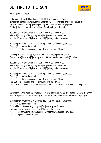## **SET FIRE TO THE RAIN**



*Intro*: [**Am**] [**C**] [**G**] [**F**]

I let it [**Am**] fall, my [**C**] heart and as it [**G**] fell, you rose to [**F**] claim it, It was [**Am**] dark and I was [**C**] over, until you [**G**] kissed my lips and you [**F**] saved me. My [**Am**] hands, they're [**C**] strong but my [**G**] knees were far too [**F**] weak, To [**Am**] stand in your [**C**] arms without [**G**] falling to your [**F**] feet.

But there's a [**F**] side to you that I [**Am**] never knew, never knew, All the [**F**] things you'd say, they were [**Am**] never true, never true, And the [**F**] games you'd play, you would [**G**] always win, always win.

But I set [**Am**] fire to the rain, watched it [**G**] pour as I touched your face, Well, it [**F**] burned while I cried,

'Cause I heard it screaming out your [**Dm**] name, your [**G**] name.

When I [**Am**] lay with [**C**] you, I could [**G**] stay there, [**F**] close my eyes, Feel you [**Am**] here for- [**C**] ever, you and [**G**] me together, nothing is [**F**] better.

But there's a [**F**] side to you that I [**Am**] never knew, never knew, All the [**F**] things you'd say, they were [**Am**] never true, never true, And the [**F**] games you'd play, you would [**G**] always win, always win.

But I set [**Am**] fire to the rain, watched it [**G**] pour as I touched your face, Well, it [**F**] burned while I cried,

'Cause I heard it screaming out your [**Dm**] name, your [**G**] name.

I set [**Am**] fire to the rain and I threw [**G**] us into the flames

Well I [**F**] felt something die, 'cause I knew that that was the last [**Dm**] time, the last [**G**] time.

Sometimes I [**Am**] wake up by the [**C**] door and heard you [**G**] calling, must be waiting [**F**] for you Even [**Am**] now when we're already [**C**] over I can't [**G**] help myself from looking [**F**] for you.

But I set [**Am**] fire to the rain, watched it [**G**] pour as I touched your face,

Well, it [**F**] burned while I cried,

'Cause I heard it screaming out your [**Dm**] name, your [**G**] name.

I set [**Am**] fire to the rain and I threw [**G**] us into the flames

Well I [**F**] felt something die, 'cause I knew that that was the last [**Dm**] time,

The last [**G**] time, the last [**C**] time.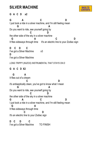### **SILVER MACHINE**



#### **G A C D x2**

**G A C D** I just took a ride in a silver machine, and I'm still feeling mean **G** A Do you want to ride, see yourself going by **C** D the other side of the sky in a silver machine **G** A **C** D It flies sideways through time It's an electric line to your Zodiac sign

**D C D C**  I've got a Silver Machine x3 **D** I've got a Silver Machine

*LONG TRIPPY (KAZOO) INSTRUMENTAL THAT STAYS ON D*

#### **G A C D X2**

 **G A**  It flies out of a dream **C** D it's antiseptically clean, you've got to know what I mean **G** A Do you want to ride, see yourself going by **C** D the other side of the sky in a silver machine **G A C D** I just took a ride in a silver machine, and I'm still feeling mean **G** A It flies sideways through time  **C D** It's an electric line to your Zodiac sign **D C D C** 

I've got a Silver Machine TO FINISH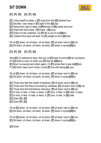### **SIT DOWN**



### **[C] [F] [G] [C] [F] [G]**

**[C]** I sing myself to sleep, a **[F]** song from the **[G]** darkest hour

**[C]** Secrets I can't keep in **[F]** sight of the **[G]** day

**[C]** Swing from high to deep, ex**[F]**tremes of **[G]** sweet and sour

**[C]** Hope that God exists, I **[F]** hope, I **[G]** pray

**[C]** Drawn by the undertow, my **[F]** life is out of con**[G]**trol

**[C]** I believe this wave will bear my **[F]** weight so let it **[G]** flow

Oh sit **[C]** down. oh sit down, oh sit down, **[F]** sit down next to **[G]** me **[C]** Sit down, sit down, sit down, sit down, **[F]** down in sympa**[G]**thy

### **[C] [F] [G] [C] [F] [G]**

Now **[C]** I'm relieved to hear, that you've **[F]** been to some **[G]** far out places It's **[C]** hard to carry on when you **[F]** feel all a**[G]**lone **[C]** Now I've swung back down again, it's **[F]** worse than it was be**[G]**fore If I **[C]** hadn't seen such riches I could **[F]** live with being **[G]** poor

Oh sit **[C]** down. oh sit down, oh sit down, **[F]** sit down next to **[G]** me **[C]** Sit down, sit down, sit down, sit down, **[F]** down in sympa**[G]**thy

**[C]** Those who feel the breath of sadness, **[F]** sit down next to **[G]** me **[C]** Those who find they're touched by madness, **[F]** sit down next to **[G]** me **[C]** Those who find themselves ridiculous, **[F]** sit down next to **[G]** me **[C]** In love, in fear, in hate, in tears, in **[F]** love, in fear, in **[G]** hate, in tears **[C]** In love, in fear, in hate, in tears, in **[F]** love, in fear, in **[G]** hate **[C]** Down **[F] [G] [C]** Down **[F] [G]**

Oh sit **[C]** down. oh sit down, oh sit down, **[F]** sit down next to **[G]** me **[C]** Sit down, sit down, sit down, sit down, **[F]** down in sympa**[G]**thy

Oh sit **[C]** down. oh sit down, oh sit down, **[F]** sit down next to **[G]** me **[C]** Sit down, sit down, sit down, sit down, **[F]** down in sympa**[G]**thy

**[C]** Down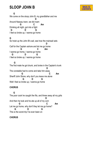## **SLOOP JOHN B**

#### **[BACK TO](#page-1-0) [CONTENTS](#page-1-0)**

#### **G**

We come on the sloop John B, my grandfather and me **D D** Around Nassau town, we did roam **G** C Am Drinking all night, got into a fight  **G D G** I feel so broke up, I wanna go home

#### **G**

So hoist up the John B's sail, see how the mainsail sets  **D**  Call for the Captain ashore and let me go home **G** C Am I wanna go home, I wanna go home  **G D G** I feel so broke up, I wanna go home

#### **G**

The first mate he got drunk, and broke in the Captain's trunk  **D**  The constable had to come and take him away **G** C Am Sheriff John Stone, why don't you leave me alone  **G D G** Well I feel so broke up, I wanna go home

#### **CHORUS**

 **G** The poor cook he caught the fits, and threw away all my grits  **D**  And then he took and he ate up all of my corn **G** C Am Let me go home, why don't they let me go home?  **G D G** This is the worst trip I've ever been on

#### **CHORUS**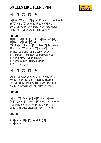## **SMELLS LIKE TEEN SPIRIT**



### **[A] [D] [C] [F] (x4)**

**[A]** Load **[D]** up on **[C]** guns, **[F]** bring your **[A]** friends It's **[D]** fun to **[C]** lose and **[F]** to pre**[A]**tend She's **[D]** over **[C]** bored and **[F]** self-ass**[A]**ured Oh **[D]** no, I **[C]** know a **[F]** dirty **[A]** word

#### **CHORUS**

**[D]** Hello, **[C]** hello, **[F]** hello, **[A]** how low? **[x3] [D]** Hello, **[C]** hello, **[F]** hello! With the **[A]** lights out, **[D]** it's less **[C]** dangerous **[F]** Here we **[A]** are now, **[D]** enter**[C]**tain us **[F]** I feel **[A]** stupid **[D]** and con**[C]**tagious **[F]** Here we **[A]** are now, **[D]** enter**[C]**tain us **[F]** A mul**[A]**atto, **[D]** an al**[C]**bino **[F]** A mos**[A]**quito, **[D]** my li**[C]**bido **[F]** Yeah, hey, yay

### **[A] [D] [C] [F] (x2)**

**[A]** I'm **[D]** worse at **[C]** what **[F]** I do **[A]** best, And **[D]** for this **[C]** gift I **[F]** feel **[A]** blessed Our [**D]** little **[C]** group has **[F]** always **[A]** been And **[D]** always **[C]** will un**[F]**til the **[A]** end

#### **CHORUS**

**[A]** And **[D]** I for**[C]**get just **[F]** why I **[A]** taste Oh **[D]** yeah, I **[C]** guess it **[F]** makes me **[A]** smile I **[D]** found it **[C]** hard, it's **[F]** hard to **[A]** find Oh **[D]** well, what**[C]**ever, **[F]** never **[A]** mind

#### **CHORUS**

A **[A]** denial, **[D]** a **[C]** denial **[F] [x4]** A **[A]** denial!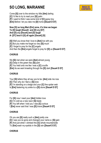## **SO LONG, MARIANNE**



Come **[G]** over to the window my little **[Am]** darling **[C]** I'd like to try to read your **[G]** palm **[F]** I used to think I was some kind of **[C]** gypsy boy **[Em]** Before I let you take me **[D]** home **[Dsus4 D D7]**

#### **Now [G] so long Mari-[Em] anne, it's time we began To [D] laugh [Dsus4] and [D] cry [D7] And [D] cry [Dsus4] and [D] laugh A- [D7] bout it [G] all again [Gsus4] [G]**

**[G]** Well you know that I love to **[Am]** live with you **[C]** But you make me forget so very **[G]** much **[F]** I forget to pray for the **[C]** angels And then the **[Em]** angels forget to pray for **[D]** us **[Dsus4 D D7]**

#### **CHORUS**

We **[G]** met when we were **[Am]** almost young **[C]** Deep in the green lilac **[G]** park **[F]** You held onto me like I was a **[C]** crucifix **[Em]** As we went kneeling through the **[D]** dark **[Dsus4 D D7]**

#### **CHORUS**

Your **[G]** letters they all say you're be- **[Am]** side me now **[C]** Then why do I feel a- **[G]** lone **[F]** I'm standing on a ledge and your **[C]** fine spider web Is **[Em]** fastening my ankle to a **[D]** stone **[Dsus4 D D7]**

#### **CHORUS**

For **[G]** now I need your **[Am]** hidden love **[C]** I'm cold as a new razor [**G]** blade **[F]** You left when I told you I was **[C]** curious I **[Em]** never said that I was **[D]** brave **[Dsus4 D D7]**

#### **CHORUS**

Oh you are **[G]** really such a **[Am]** pretty one **[C]** I see you've gone and changed your name a- **[G]** gain **[F]** And just when I climbed this **[C]** whole mountainside To [**Em]** wash my eyelids in the **[D]** rain **[Dsus4 D D7]**

#### **CHORUS**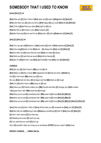## **SOMEBODY THAT I USED TO KNOW**



#### **[intro] [Dm] [C] x4**

**[Dm]** Now and **[C]** then I think of **[Dm]** when we **[C]** were to**[Dm]**gether **[C] [Dm] [C] [Dm]** Like when you **[C]** said you felt so **[Dm]** happy **[C]** you could **[Dm]** die **[C] [Dm] [C] [Dm]** Told my**[C]**self that you were **[Dm]** right for **[C]** me **[Dm]** But felt so **[C]** lonely in your **[Dm]** company **[C] [Dm]** But that was **[C]** love and it's an **[Dm]** ache I **[C]** still re**[Dm]**ember **[C] [Dm] [C]**

#### **[Dm] [C] [Dm] [C] x4**

**[Dm]** You can get ad**[C]**dicted to a **[Dm]** certain **[C]** kind of **[Dm]** sadness **[C] [Dm] [C] [Dm]** Like resig**[C]**nation to the **[Dm]** end... **[C]** always the **[Dm]** end **[C] [Dm] [C] [Dm]** So when we **[C]** found that we could **[Dm]** not make **[C]** sense **[Dm]** Well you **[C]** said that we would **[Dm]** still be friends **[C] [Dm]** But I'll ad**[C]**mit that I was **[Dm]** glad that **[C]** it was **[Dm]** over **[C] [Dm] [C]**

#### **CHORUS:**

**[Dm]** But you **[C]** didn't have to **[Bb]** cut me **[C]** off **[Dm]** Make out **[C]** like it never **[Bb]** happened and **[C]** that we were no**[Dm]**thing And **[C]** I don't even **[Bb]** need your **[C]** love But you **[Dm]** treat me like a **[C]** stranger and that **[Bb]** feels so **[C]** rough **[Dm]** You **[C]** didn't have to **[Bb]** stoop so **[C]** low **[Dm]** Have your **[C]** friends collect your **[Bb]** records and then **[C]** change your **[Dm]** number I **[C]** guess that I don't **[Bb]** need that [**C]** though **[Dm]** Now you're just **[C]** somebody that I **[Bb]** used to **[C]** know **[Dm] [C] [Bb] [C] [Dm]** Now you're just **[C]** somebody that I **[Bb]** used to **[C]** know **[Dm] [C] [Bb] [C] [Dm]** Now you're just **[C]** somebody that I **[Bb]** used to **[C]** know **[Dm] [C] [Bb] [C] [Dm] [C] [Dm] [C]**

**[Dm]** Now and **[C]** then I think of **[Dm]** all the times you **[C]** screwed me **[Dm]** over **[C] [Dm] [C] [Dm]** But had me be**[C]**lieving it was al**[Dm]**ways something **[C]** that I'd **[Dm]** done **[C] [Dm] [C] [C]** And I don't wanna **[C]** live that way **[C]** Reading into every **[C]** word you say **[C]** You said that you could **[C]** let it go

And I **[C]** wouldn't catch you hung up on somebody [**STOP]** that you used to **[Dm]** know

#### **REPEAT CHORUS ….. FINISH ON Dm**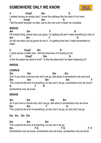## **SOMEWHERE ONLY WE KNOW**



**C Cmaj7 Dm G** I walked across an empty land, I knew the pathway like the back of my hand **C Cmaj7 Dm G** I felt the earth beneath my feet, sat by the river and it made me complete

#### **BRIDGE**

**Am Em F G** Oh simple thing, where have you gone, I'm getting old and I need something to rely on **Am Em F G** So tell me when you're gonna let me in, I'm getting tired and I need somewhere to begin

**C Cmaj7 Dm G** I came across a fallen tree, I felt the branches of it looking at me **C Cmaj7 Dm G** is this the place we used to love? Is this the place that I've been dreaming of?

#### **BRIDGE**

**CHORUS**: **Dm Em Dm Em**  And if you have a minute why don't we go, talk about it somewhere only we know **Dm Em Dm Em F**  This could be the end of everything, so why don't we go, somewhere only we know? **G F G** Somewhere only we know

#### **BRIDGE**

**Dm Em Dm Em**  So if you have a minute why don't we go, talk about it somewhere only we know **Dm Em F G** This could be the end of everything, so why don't we go, so why don't we go

#### **Dm Em Dm Em**

**Dm Em Dm**  This could be the end of everything, so why don't we go **Em F G F G F C** Somewhere only we know, somewhere only we know, somewhere only we know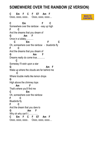### **SOMEWHERE OVER THE RAINBOW (IZ VERSION)**

**C Em F C F E7 Am F**  Oooo, oooo, oooo.. Oooo, oooo, oooo.... **C Em F C**  Somewhere over the rainbow - way up high **F C** And the dreams that you dream of **G Am F** Once in a lullaby............  **C Em F C**  Oh, somewhere over the rainbow - bluebirds fly **F C** And the dreams that you dream of **G Am F** Dreams really do come true.............  **C** Someday I'll wish upon a star **G** Am F Wake up where the clouds are far behind me  **C** Where trouble melts like lemon drops **G** High above the chimney tops  **Am F** That's where you'll find me **C Em** Oh, somewhere over the rainbow **F C** Bluebirds fly **F C** And the dream that you dare to **G Am F** Why oh why can't I…………. **C Em F C F E7 Am F**  Oooo, oooo, oooo.. Oooo, oooo, oooo....

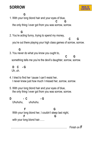## **SORROW**



### **G**

1. With your long blond hair and your eyes of blue,

 **C G** the only thing I ever got from you was sorrow, sorrow.

### **G**

2. You're acting funny, trying to spend my money,

 **C G** you're out there playing your high class games of sorrow, sorrow.

### **G**

3. You never do what you know you ought to,

**C G** something tells me you're the devil's daughter, sorrow, sorrow.

#### **D C - G** Uh, uh.

- 4. I tried to find her 'cause I can't resist her, I never knew just how much I missed her, sorrow, sorrow.
- 5. With your long blond hair and your eyes of blue, the only thing I ever got from you was sorrow, sorrow.

**D - C - G** Uhuhuhu, uhuhuhu.  **F G** With your long blond her, I couldn't sleep last night,  **F G** with your long blond hair…… …………………………………………………………. Finish on **F**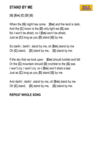### **STAND BY ME**

### [**G**] [**Em**] [**C**] [**D**] [**G**]

When the [**G**] night has come [**Em**] and the land is dark, And the [**C**] moon is the [**D**] only light we [**G**] see. No I won't be afraid, no I [**Em**] won't be afraid, Just as [**C**] long as you [**D**] stand [**G**] by me.

So darlin', darlin', stand by me, oh [**Em**] stand by me Oh [**C**] stand, [**D**] stand by me, [**G**] stand by me.

If the sky that we look upon [**Em**] should tumble and fall Or the [**C**] mountain should [**D**] crumble to the [**G**] sea I won't cry, I won't cry, no I [**Em**] won't shed a tear. Just as [**C**] long as you [**D**] stand [**G**] by me

And darlin', darlin', stand by me, oh [**Em**] stand by me Oh [**C**] stand, [**D**] stand by me, [**G**] stand by me.

### **REPEAT WHOLE SONG**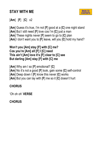## **STAY WITH ME**

**[BACK TO](#page-1-0) [CONTENTS](#page-1-0)**

[**Am**] [**F**] [**C**] x2

[**Am**] Guess it's true, I'm not [**F**] good at a [**C**] one night stand [**Am**] But I still need [**F**] love cos I'm [**C**] just a man [**Am**] These nights never [**F**] seem to go to [**C**] plan [**Am**] I don't want you to [**F**] leave, will you [**C**] hold my hand?

**Won't you [Am] stay [F] with [C] me? Cos you're [Am] all [F] I [C] need This ain't [Am] love it's [F] clear to [C] see But darling [Am] stay [F] with [C] me**

[**Am**] Why am I so [**F**] emotional? [**C**] [**Am**] No it's not a good [**F**] look, gain some [**C**] self-control [**Am**] Deep down I [**F**] know this never [**C**] works [**Am**] But you can lay with [**F**] me so it [**C**] doesn't hurt

### **CHORUS**

'Oh oh oh' **VERSE**

**CHORUS**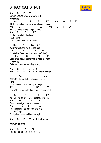## **STRAY CAT STRUT**

**Am G F E7** OOOO OOOO OOOO OOOO x 3 **Am (Stop) Am G F E7 Am G F E7 V1:** Black and orange stray cat sittin on a fence, **Am G F E7 Am G F E7** Ain't got enough dough to pay the rent, **Am G F E7**  I'm flat broke but I don't care,  **Am (Stop)** I strut right by with my tail in the air,  **Dm C Bb A7 V2:** Stray cat strut I'm a (ladies cat!), **Dm C Bb A7** I'm a feline Casanova (hey! man that's that),  **Dm C Bb A7** Get a shoe thrown at me from a mean old man, **Dm (Stop)**  Get my dinner from a garbage can, **Am G F E7 x 2 Am G F E7 x 4 - Instrumental Dm** Am **BRIDGE** : I don't bother chasing mice around, **Dm**  I slink down the alley looking for a fight, **E7 B7 E7** Howlin' to the moon light on a hot summer night, **Am G F E7 V3** : Singing the blues while the lady cats cry, **Am G F E7**  Wow stray cat you're a real gone guy, **Am G F E7**  I wish I could be as care free and wild,  **Am(Stop)** But I got cat class and I got cat style. **Am G F E7 x 8 Instrumental BRIDGE AND V3 Am G F E7**

OOOO OOOO OOOO OOOO x4

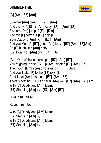## **SUMMERTIME**



## **[C] [Am] [E7] [Am]**

Summer **[Am]** time **[E7] [Am]** And the livin' **[E7]** is **[Am]** easy **[E7] [Am] [E7]** Fish are **[Dm]** jumpin' **[F] [Dm]** And the **[F]** cotton is **[E7]** high **[E]** Your Daddy's **[Am]** rich **[E7] [Am]** And you Mama's **[E7]** good **[Am]** lookin'**[E7] [Am] [E7][Am]** So **[C]** hush little **[Am]** baby **[E7]** Don't you **[Am]** cry **[E7] [Am]**

**[Am]** One of these mornings **[E7] [Am] [E7]** You're going to rise **[E7]** up **[Am]** singing **[E7] [Am] [E7]** Then you'll **[Dm]** spread your wings **[F] [Dm]** And you'll take **[F]** to the **[E7]** sky **[E]** But till that **[Am]** morning **[E7] [Am] [E7]** There's nothing **[E7]** can harm **[Am]** you **[E7] [Am] [E7] [Am]** With **[C]** Daddy and **[Am]** Mama **[E7]** Standing **[Am]** by **[E7] [Am] [E7]**

### **INSTRUMENTAL**

Repeat from top

With **[C]** Daddy and **[Am]** Mama **[E7]** Standing **[Am]** by With **[C]** Daddy and **[Am]** Mama **[E7]** Standing **[Am]** by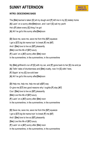## **SUNNY AFTERNOON**



#### **INTRO: DESCENDING BASS**

The [**Dm**] taxman's taken [**C**] all my dough and [**F**] left me in my [**C**] stately home

[**A**] Lazin' on a sunny after[**Dm**]noon, and I can't [**C**] sail my yacht

He's [**F**] taken every [**C**] thing I've got

[**A**] All I've got's this sunny after[**Dm**]noon

[**D**] Save me, save me, save me from this [**G7**] squeeze

I got a [**C7**] big fat mama tryin' to break [**F**] me [**A7**]

And I [**Dm**] love to live so [**G7**] pleasantly

[**Dm**] Live this life of [**G7**] luxury

[**F**] Lazin' on a [**A7**] sunny after [**Dm**] noon

In the summertime, in the summertime, in the summertime

My [**Dm**] girlfriend's run off [**C**] with my car, and [**F**] gone back to her [**C**] ma and pa

[**A**] Tellin' tales of drunkenness and [**Dm**] cruelty, now I'm [**C**] sittin' here,

[**F**] Sippin' at my [**C**] ice-cold beer

[**A**] All I've got's this sunny after[**Dm**]noon

[**D**] Help me, help me, help me sail a[**G7**] way Or give me [**C7**] two good reasons why I oughta [**F**] stay [**A7**] Cos I [**Dm**] love to live so [**G7**] pleasantly [**Dm**] Live this life of [**G7**] luxury [**F**] Lazin' on a [**A7**] sunny after [**Dm**] noon In the summertime, in the summertime, in the summertime

[**D**] Save me, save me, save me from this [**G7**] squeeze I got a [**C7**] big fat mama tryin' to break [**F**] me [**A7**] And I [**Dm**] love to live so [**G7**] pleasantly [**Dm**] Live this life of [**G7**] luxury [**F**] Lazin' on a [**A7**] sunny after [**Dm**] noon In the summertime, in the summertime, in the summertime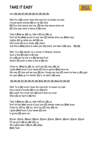## **TAKE IT EASY**



Intro **(G) (G) (C) (D) (G) (G) (C) (D) (G) (G**)

Well I'm a **(G)** runnin' down the road try'n to loosen my load I've got seven women **(D)** on my **(C)** mind **(G)** Four that wanna own me, **(D)** two that wanna stone me **(C)** One says she's a friend of **(G)** mine.

Take it **(Em)** ea**..(G)..**sy, take it **(C)** ea**..(G)..**sy Don't let the **(Am)** sound of your own **(C)** wheels drive you **(Em)** crazy Lighten **(C)** up while you still **(G)** can Don't even **(C)** try to under**..(G)..**stand Just find a **(Am)** place to make your **(C)** stand, and take it **(G)** easy **(G) (G)**

Well, I'm a **(G)** standin' on a corner in Winslow, Arizona Such a fine **(D)** sight to **(C)** see It's a **(G)** girl my lord in a **(D)** flat-bed Ford Slowin' **(C)** down to take a look at **(G)** me.

Come on, **(Em)** ba**..(G)..**by, don't say **(C)** may**..(G)..**be I gotta **(Am)** know if your sweet **(C)** love is gonna **(Em)** save me We may **(C)** lose and we may **(G)** win, though we may **(C)** never be here a**..(G)..**gain So open **(Am)** up I'm climbin' **(C)** in, so take it **(G)** easy

#### **(G) (G) (G) (C) (G) (D) (C) (G) (Em) (D) (C) (G) (Am) (C) (G) (G)**

Well, I'm a **(G)** runnin' down the road tryin' to loosen my load Got a world of trouble **(D)** on my **(C)**mind **(G)** Lookin' for a lover who **(D)** won't blow my cover She's **(C)** so hard to **(G)** find.

Take it **(Em)** ea**..(G)..**sy, take it **(C)** ea**..(G)..**sy Don't let the (**Am**) sound of your own **(C)** wheels make you **(Em)** crazy Come on**, (C)** ba..**(G)..**by, don't say **(C)** may**..(G)..**be I gotta **(Am)** know if your sweet **(C)** love Is gonna **(G)** save me.

**(C**)ooh, (**C)**ooh, **(G)**ooh**, (G)**ooh, **(C)**ooh, **(C)**ooh, **(G)**ooh, **(G)**ooh, **(C)**ooh, **(C)**ooh Oh we got it **(G)** ea**..(D)..(C)..**sy We oughta take it **(G)** ea**..(D)..(C)**sy **(Em)** Yeah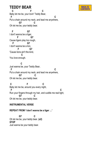# **TEDDY BEAR**

 **C F C** Baby let me be, your lovin' Teddy Bear, **F** C Put a chain around my neck, and lead me anywhere,  **G7 C** Oh let me be, your teddy bear.

**F** G7 I don't wanna be a tiger, **F** G7 Cause tigers play too rough,  **F G7** I don't wanna be a lion, **F** G7 'Cause lions ain't the kind,  **C** You love enough.

 **C** Just wanna be, your Teddy Bear, **F** C Put a chain around my neck, and lead me anywhere,  **G7 C** Oh let me be, your teddy bear.

**C F C** Baby let me be, around you every night, **F** C Run your fingers through my hair, and cuddle me real tight,  **G7 C** Oh let me be, your teddy bear.

#### **INSTRUMENTAL VERSE**

**REPEAT FROM 'I don't wanna be a tiger …'**

 **G7 C** Oh let me be, your teddy bear. **(x2) STOP** Just wanna be your teddy bear.

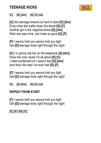## **TEENAGE KICKS**



**[C] [G] [Am] [G] [C] (x2)**

**[C]** Are teenage dreams so hard to beat **[G] [Am]** Every time she walks down the street **[G] [C]** Another girl in the neighbourhood **[G] [Am]** Wish she was mine, she looks so good **[G] [F]**

**[F]** I wanna hold you wanna hold you tight Get **[G]** teenage kicks right through the night

**[C]** I'm gonna call her on the telephone **[G] [Am]** Have her over cause I'm all alone **[G] [C]** I need excitement oh I need it bad **[G] [Am]** And she's the best I've ever had **[G] [F]** 

**[F]** I wanna hold you wanna hold you tight Get **[G]** teenage kicks right through the night

**[C] [G] [Am] [G] [C] (x2)**

### **REPEAT FROM START**

**[F]** I wanna hold you wanna hold you tight Get **[G]** teenage kicks right through the night

**[C] [F] [G] [C]**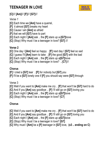## **TEENAGER IN LOVE**



### **[C]**/// **[Am]**/// **[F]**/// **[G7]**///

*Verse 1*

**[C]** Each time we **[Am]** have a quarrel,

**[F]** it almost **[G7]** breaks my heart

**[C]** Cause I am **[Am]** so afraid

**[F]** that we will **[G7]** have to part

**[C]** Each night I **[Am]** ask .. the **[F]** stars up a-**[G7]**bove

**[C]** (Stop) Why must I be a teenager in love? **[G7]** ///

### **Verse 2**

**[C]** One day I **[Am]** feel so happy . **[F]** next day I **[G7]** feel so sad

**[C]** I guess I'll **[Am]** learn to take . **[F]** the good **[G7]** with the bad

**[C]** Each night I **[Am]** ask .. the **[F]** stars up a**[G7]**bove

**[C]** (Stop) Why must I be a teenager in love? ..[**C7**]///

#### **Chorus**

**[F]** I cried a **[G7]** tear . **[F]** for nobody but **[G7]** you **[F]** I'll be a **[G7]** lonely one if **[F]** you should say were **[G7]** through

Verse 3

**[C]** Well if you want to **[Am]** make me cry .. **[F]** that won't be **[G7]** hard to do

**[C]** And if you **[Am]** say goodbye .. **[F]** I'll still go on **[G7]** loving you

**[C]** Each night I **[Am]** ask .. the **[F]** stars up a**[G7]**bove

**[C]** (Stop) Why must I be a teenager in love? [**C7**]

### **Chorus**

**[C]** Well if you want to **[Am]** make me cry .. **[F]** that won't be **[G7]** hard to do

**[C]** And if you **[Am]** say goodbye .. **[F]** I'll still go on **[G7]** loving you

**[C]** Each night I **[Am]** ask .. the **[F]** stars up a**[G7]**bove

**[C]** (Stop) Why must I be a teenager in love? **[G7]**

**[C]** Why must I **[Am]** be a **[F]** teenager in **[G7]** love, **(x3 .. ending on C)**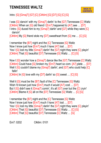## **TENNESSEE WALTZ**

### Intro: [G] [Gmaj7] [G7] [C] [C#dim] [G] [D7] [G] [C] [G]

I was [G] dancin' with my [Gmaj7] darlin' to the [G7] Tennessee [C] Waltz [C#dim] When an [G] old friend I [Em7] happened to [A7] see … [D7] I intro- [G] duced him to my [Gmaj7] darlin' and [G7] while they were [C] dancin'

[C#dim] My [G] friend stole my [D7] sweetheart from [G] me … [C] [G]

I remember the [B7] night and the [C] Tennessee [G] Waltz Now I know just how [Em7] much I have [A7] lost … [D7] Yes I [G] lost my little [Gmaj7] darlin' the [G7] night they were [C] playin' [C#dim] That [G] beautiful [D7] Tennessee [G] Waltz ... [C] [G]

Now I [G] wonder how a [Gmaj7] dance like the [G7] Tennessee [C] Waltz [C#dim] Could have [G] broken my [Em7] heart so com- [A7] plete … [D7] Well I [G] couldn't blame my [Gmaj7] darlin', and [G7] who could help [C] fallin'

[C#dim] In [G] love with my [D7] darlin' so [G] sweet … [C] [G]

Well it [G] must be the [B7] fault of the [C] Tennessee [G] Waltz Wish I'd known just how [Em7] much it would [A7] cost ... [D7] But I [G] didn't see it [Gmaj7] comin', it's all [G7] over but the [C] cryin' [C#dim] Blame it [G] all on the [D7] Tennessee [G] Waltz … [C] [G]

I remember the [B7] night and the [C] Tennessee [G] Waltz Now I know just how [Em7] much I have [A7] lost … [D7] Yes I [G] lost my little [Gmaj7] darlin' the [G7] night they were [C] playin' [C#dim] That [G] beautiful [D7] Tennessee [G] Waltz ... [C] [G] [C#dim] That [G] beautiful [D7] Tennessee [C] Waltz … [G]

Em7: 0202 C#dim: 0101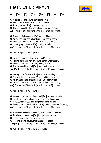## **THAT'S ENTERTAINMENT**



#### **[G] [Em] [G] [Em] [Am] [F] [G] [Em]**

**[G]** A police car and a **[Em]** screaming siren,

**[G]** Pneumatic drill and **[Em]** ripped up concrete,

**[G]** A baby wailing, **[Em]** stray dog howling,

**[G]** The screech of brakes and a **[Em]** lamp light blinking,

**[Am]** That's enter**[F]**tainment, **[Am]** that's enter**[F]**tainment.

**[G]** A smash of glass and a **[Em]** rumble of boots,

**[G]** An electric train and a **[Em]** ripped up phone booth,

**[G]** Paint splattered walls and the **[Em]** cry of a tomcat,

**[G]** Lights going out and a **[Em]** kick in the balls,

**[Am]** That's enter**[F]**tainment, **[Am]** that's enter**[F]**tainment

**[G]** Aah! **[Em]** La, la **[G]** la **[Em]** la la

**[G]** Days of speed and **[Em]** slow time Mondays,

**[G]** Pissing down with rain on a **[Em]** boring Wednesday,

**[G]** Watching the news, not **[Em]** eating your tea,

**[G]** A freezing cold flat and **[Em]** damp on the walls,

I say **[Am]** That's enter**[F]**tainment, **[Am]** that's enter**[F]**tainment.

**[G]** Waking up at 6am on a **[Em]** cool warm morning,

**[G]** Opening the windows and **[Em]** breathing in petrol,

**[G]** An amateur band rehearsing in a **[Em]** nearby yard,

**[G]** Watching the telly and **[Em]** thinking 'bout your holidays,

**[Am]** That's enter**[F]**tainment, **[Am]** that's enter**[F]**tainment.

**[G]** Aah! **[Em]** La, la **[G]** la **[Em]** la la

**[G]** Waking up from a bad dream and **[Em]** smoking cigarettes,

**[G]** Cuddling a warm girl and **[Em]** smelling stale perfume,

**[G]** A hot summer's day and **[Em]** sticky black tarmac,

**[G]** Feeding ducks in the park and **[Em]** wishing you were far away,

**[Am]** That's enter**[F]**tainment, **[Am]** that's enter**[F]**tainment.

**[G]** Two lovers kissing amongst the **[Em]** scream of midnight,

**[G]** Two lovers missing the **[Em]** tranquillity of solitude,

**[G]** Getting a cab and **[Em]** travelling on buses,

**[G]** Reading graffiti 'bout **[Em]** slashed seat affairs,

I say **[Am]** That's enter**[F]**tainment, **[Am]** that's enter**[F]**tainment.

**[G]** Aah! **[Em]** La, la **[G]** la **[Em]** la la **[G**] la.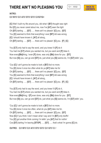## **THERE AIN'T NO PLEASING YOU**



**INTRO:**

**C/// B7/// C/// A7/// D7/// G7/// C///G7/G+** 

**[C]** Well I built my life around you, did what I **[B7]** thought was right But **[C]** you never cared about me, now I've **[A7]** seen the light Oh **[D7]** darling ….. **[G7]** ….. there ain't no pleasin' **[C]** you, **[G7]** You **[C]** seemed to think that everything I ever **[B7]** did was wrong **[C]** I should have known it, **[A7]** all along , Oh **[D7]** darling ….. **[G7]** ….. there ain't no pleasin' **[C]** you. **[F] [C]**

You **[C7]** only had to say the word, and you knew I'd **[F]** do it You had me **[C7]** where you wanted me, but you went and **[F]** blew it, Now every**[Bb]**thing, I ever **[F]** done, was only **[Bb]** done for you **[D7]** But now **[G]** you, can go and **[D7]** do, just what you **[G]** wanna do, I'm **[G7]** tellin' you.

'Coz **[C]** I ain't gonna be made to look a **[B7]** fool no more. You **[C]** done it once too often what do ya **[A7]** take me for Oh **[D7]** darling ….. **[G7]** ….. there ain't no pleasin' **[C]** you, **[G7]** You **[C]** seemed to think that everything I ever **[B7]** did was wrong **[C]** I should have known it, **[A7]** all along , Oh **[D7]** darling ….. **[G7]** ….. there ain't no pleasin' **[C]** you. **[F] [C]**

You **[C7]** only had to say the word, and you knew I'd **[F]** do it, You had me **[C7]** where you wanted me, but you went and **[F]** blew it, Now every**[Bb]**thing, I **[F]** ever done, was only **[Bb]** done for you **[D7]** But now **[G]** you, can go and **[D7]** do, just what you **[G]** wanna do, I'm **[G7]** tellin' you.

'Coz **[C]** I ain't gonna be made to look a **[B7]** fool no more. You **[C]** done it once too often, what do you **[A7]** take me for, Oh **[D7]** darling ….. **[G7]** ….. there ain't no pleasin' **[C]** you, **[G7]** Now **[C]** if you think I don't mean what I say and I'm **[B7]** only bluffin' You **[C]** got another think coming I'm tellin' you **[A7]** that for nothin' Cos **[D7]** darling I'm leaving **[STOP]** ….. **[G7]** ….. that's what I'm gonna **[C]** do.

**OUTRO: C/// B7/// C/// A7/// D7/// G7/// C/// G7/// C/ /**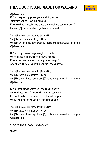## **THESE BOOTS ARE MADE FOR WALKING**



#### **[C] (Bass line)**

[**C**] You keep saying you've got something for me Something you call love, but confess [**F**] You've been messin' where you shouldn't have been a messin' And now [**C**] someone else is getting' all your best

These [**Eb**] boots are made for [**C**] walking. And [**Eb**] that's just what they'll [**C**] do. And [**Eb**] one of these days these [**C**] boots are gonna walk all over you. **[C] (Bass line)**

[**C**] You keep lying when you oughta be truthin' And you keep losing when you oughta not bet [**F**] You keep samin' when you oughta be changin' Now what's [**C**] right is right but you ain't been right yet

These [**Eb**] boots are made for [**C**] walking.

And [**Eb**] that's just what they'll [**C**] do.

And [**Eb**] one of these days these [**C**] boots are gonna walk all over you.

#### **[C] (Bass line)**

[**C**] You keep playin' where you shouldn't be playin' And you keep thinkin'' that you'll never get burnt. Ha! [**F**] I just found me a brand new box of matches, yeah And [**C**] what he knows you ain't had time to learn

These [**Eb**] boots are made for [**C**] walking. And [**Eb**] that's just what they'll [**C**] do. And [**Eb**] one of these days these [**C**] boots are gonna walk all over you. **[C] (Bass line)**

[**C**] Are you ready boots - start walking!

#### **Eb=0331**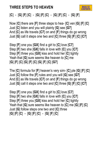## **THREE STEPS TO HEAVEN**



## [**C**] - [**G**] [**F**] [**C**] - [**G**] [**F**] [**C**] - [**G**] [**F**] [**C**] - [**G**] [**F**]

Now [**C**] there are [**F**] three steps to hea- [**C**] ven [**G**] [**F**] [**C**] Just [**C**] listen and you will plainly [**G**] see [**G7**] And [**C**] as life travels [**C7**] on and [**F**] things do go wrong Just [**G**] call it steps one two and [**C**] three [**G**] [**F**] [**C**] [**C7**]

Step [**F**] one you [**GX**] find a girl to [**C**] love [**C7**] Step [**F**] two she [**GX**] falls in love with [**C**] you [**C7**] Step [**F**] three you [**GX**] kiss and hold her [**C**] tightly Yeah that [**G**] sure seems like heaven to [**C**] me [**G**] [**F**] [**C**] [**G**] [**F**] [**C**] [**G**[ [**F**] [**C**] [**G7**]

The [**C**] formula for [**F**] heaven's very sim- [**C**] ple [**G**] [**F**] [**C**] Just [**C**] follow the [**F**] rules and you will [**G**] see [**G7**] And [**C**] as life travels [**C7**] on and [**F**] things do go wrong Just [**G**] call it steps one two and [**C**] three [**G**] [**F**] [**C**] [**C7**]

Step [**F**] one you [**GX**] find a girl to [**C**] love [**C7**] Step [**F**] two she [**GX**] falls in love with [**C**] you [**C7**] Step [**F**] three you [**GX**] kiss and hold her [**C**] tightly Yeah that [**G**] sure seems like heaven to [**C**] me [**G**] [**F**] [**C**] Just [**G**] follow steps one two and [**C**] three [**G**] [**F**] [**C**] - [**G**] [**F**] [**C**] - [**G**[ [**F**] [**C**]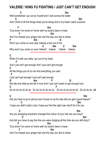### **VALERIE / KING FU FIGHTING / JUST CAN'T GET ENOUGH**

**C** Dm Well sometimes I go out by myself and I look across the water **C** Dm And I think of all the things what you're doing and in my head I paint a picture **F** Em **Em** 'Cos since I've come on home well my body's been a mess **F** Emergency Employees And I've missed your ginger hair and the way you like to dress **F Em G** Won't you come on over stop making a fool out of me **C** Dm **C** Dm Why won't you come on over Valerie? Valerie Valerie Valerie =================================== **C**  When I'm with you baby I go out of my head  **F**  And I just can't get enough And I just can't get enough **C**  All the things you do to me And everything you said  **F**  I just can't get enough I just can't get enough **G Am F G** We slip and slide as we fall in love And I just can't seem to get enough love **C** F Do do do do do do do Do do do do do do do Do do do do do do do Do do do do **x2** ==================================== **C** Dm Did you have to go to jail put your house on up for sale did you get a good lawyer? **C** Dm I hope you didn't catch a tan I hope you find the right man who'll fix it for you **C** Dm Are you shopping anywhere changed the colour of your hair are you busy? **C** Dm And did you have to pay the fine you were dodging all the time are you still dizzy? **F** Em **Em** 'Cos since I've come on home well my body's been a mess **F** Emergency Employees And I've missed your ginger hair and the way you like to dress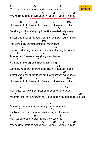**F Em G** Won't you come on over stop making a fool out of me **C** Dm **C** Dm Why won't you come on over Valerie? Valerie Valerie Valerie ===================================  **C Dm C Dm**  Oh oh-oh ohhh oh oh-oh ohhh Oh oh-oh ohhh oh oh-oh ohhh **C** Dm Everybody was kung-fu fighting those kids were fast as lightning **C** Dm In fact it was a little bit frightening but they fought with expert timing **C** Dm They were funky Chinamen from funky Chinatown **C** Dm They were chopping them up and they were chopping them down **C** Dm It's an ancient Chinese art everybody knew their part  **C G** From a feint into a slip and a kicking from the hip **C** Dm Everybody was kung-fu fighting those kids were fast as lightning **C** Dm In fact it was a little bit frightening but they fought with expert timing  **C Dm C Dm**  Oh oh-oh ohhh oh oh-oh ohhh Oh oh-oh ohhh oh oh-oh ohhh =================================== **C** Dm Well sometimes I go out by myself and I look across the water **C** Dm And I think of all the things what you're doing and in my head I paint a picture **F** Em **Em** 'Cos since I've come on home well my body's been a mess **F** Emergency Employees And I've missed your ginger hair and the way you like to dress **F Em G** Won't you come on over stop making a fool out of me **C** Dm **C** Dm Why won't you come on over Valerie? Valerie Valerie Valerie **[BACK TO](#page-1-0) [CONTENTS](#page-1-0)**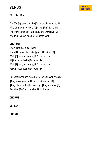# **VENUS**



### **E7 (Am D 4x)**

The [**Am**] goddess on the [**D**] mountain [**Am**] top [**D**] Was [**Am**] burning like a [**D**] silver [**Am**] flame [**D**] The [**Am**] summit of [**D**] beauty and [**Am**] love [**D**] And **[Am**] Venus was her [**D**] name [**Am**]

### **CHORUS:**

She's [**Dm**] got it [**G**] [**Dm**] Yeah [**G**] baby, she's [**Am**] got it [**D**] [**Am**] [**D**] Well, [**F**] I'm your Venus, [**E7**] I'm your fire At [**Am**] your desire [**D**] [**Am**] [**D**] Well, [**F**] I'm your Venus, [**E7**] I'm your fire At [**Am**] your desire [**D**] [**Am**] [**D**]

Her [**Am**] weapons were her [**D**] crystal [**Am**] eyes [**D**] [**Am**] Making every [**D**] man a [**Am**] man [**D**] [**Am**] Black as the [**D**] dark night [**Am**] she was [**D**] Got what [**Am**] no one else [**D**] had [**Am**]

**CHORUS**

**VERSE1**

**CHORUS**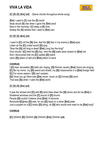# **VIVA LA VIDA**



[**C**] [**D**] [**G**] [**Em] (x2)** (Same chords throughout whole song)

[**Em**] I used to [**C**] rule the [**D**] world Seas would [**G**] rise when I gave the [**Em**] word Now in the morning I [**C**] sleep a-[**D**] lone Sweep the [**G**] streets that I used to [**Em**] own

# [**C**] [**D**] [**G**] [**Em] (x2)**

I used to **[C]** roll the **[D]** dice, feel the **[G]** fear in my enemy's **[Em]** eyes Listen as the **[C]** crowd would **[D]** sing "Now the **[G]** old king is dead! **[Em]** Long live the king!" One minute I **[C]** held the **[D]** key, next the **[G]** walls were closed on **[Em]** me And I discovered that my **[C]** castles **[D]** stand Upon **[G]** pillars of salt and **[Em]** pillars of sand

### **CHORUS:**

I **[C]** hear Jerusalem **[D]** bells are ringing, **[G]** Roman cavalry **[Em]** choirs are singing **[C]** Be my mirror, my **[D]** sword and shield, my **[G]** missionaries in a **[Em]** foreign field **[C]** For some reason I **[D]** can't explain,

**[G]** Once you go there was **[Em**] never, never an **[C]** honest **[D]** word That was **[G]** when I ruled the **[Em]** world

# [**C**] [**D**] [**G**] [**Em**] **(x2)**

It was the wicked and **[C]** wild [**D]** wind blew down the **[G]** doors and let me **[Em]** in Shattered windows and the **[C]** sound of **[D]** drums People **[G]** couldn't believe what **[Em]** I'd become Revolution**[C]**aries **[D]** wait, for my **[G]** head on a silver **[Em]** plate Just a puppet on a **[C]** lonely **[D]** string, oh **[G]** who would ever want to be **[Em]** king?

### **CHORUS**

**[C]** Ohhhhh **[D]** Ohhhhh **[G]** Ohhhhh **[Em]** Ohhhhh **(x4)**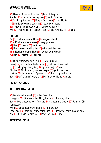# **WAGON WHEEL**



**[G] Headed down south to the [D] land of the pines** And I'm [Em] thumbin' my way into [C] North Caroline [G] Starin' up the road [D] Pray to God I see [C] headlights I [G] made it down the coast in [D] seventeen hours **[Em] Pickin' me a bouquet of [C] dogwood flowers** And [G] I'm a hopin' for Raleigh, I can [D] see my baby to- [C] night

**CHORUS:**

**So [G] rock me mama like a [D] wagon wheel [Em] Rock me mama any- [C] way you feel [G] Hey [D] mama [C] rock me [G] Rock me mama like the [D] wind and the rain [Em] Rock me mama like a [C] south-bound train [G] Hey [D] mama [C] rock me**

[G] Runnin' from the cold up in [D] New England I was [Em] born to be a fiddler in an [C] old-time stringband My  $[G]$  baby plays the guitar,  $[D]$  I pick a banjo  $[G]$  now Oh, the [G] North country winters keep a [D] gettin' me now Lost my [Em] money playin' poker so I [C] had to up and leave But I [G] ain't a turnin' back, to [D] livin' that old life no [C] more

### **REPEAT CHORUS**

### **INSTRUMENTAL VERSE**

[G] Walkin' to the south [D] out of Roanoke I caught a **[Em]** trucker out of Philly, had a **[C]** nice long toke But [G] he's a headed west from the [D] Cumberland Gap to [C] Johnson City, Tennessee And  $\sqrt{G}$  gotta get a move on be-  $\sqrt{D}$  fore the sun I hear my  $[Em]$  baby callin' my name, and  $[Cl]$  know that she's the only one And [G] if I die in Raleigh, at [D] least I will die [C] free

### **REPEAT CHORUS**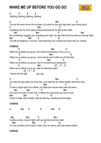# **WAKE ME UP BEFORE YOU GO GO**



**C C C C** Jitterbug, jitterbug, jitterbug, jitterbug

**[C](http://www.guitaretab.com/w/wham/263491.html) Dm [C](http://www.guitaretab.com/w/wham/263491.html)**  You put the boom boom into my heart, you send my soul sky high when your loving starts, **[C](http://www.guitaretab.com/w/wham/263491.html) Dm C** A jitterbug into my brain, goes a bang bang bang till my feet do the same.  **[Dm Em](http://www.guitaretab.com/w/wham/263491.html) F Em** But something's bugging you, something ain't right, my best friend told me what you did last night, **Dm [Em](http://www.guitaretab.com/w/wham/263491.html) F [G](http://www.guitaretab.com/w/wham/263491.html)** You left me sleeping, in my bed, I was dreaming, but I should have been with you instead.

#### **CHORUS:**

 **[C](http://www.guitaretab.com/w/wham/263491.html) Dm [C](http://www.guitaretab.com/w/wham/263491.html)** Wake me up before you go go, don't leave me hanging on like a yo-yo,  **C Dm C** Wake me up before you go go, I don't wanna miss it when you hit that high,  **[C Dm](http://www.guitaretab.com/w/wham/263491.html) C** Wake me up before you go go, cos I'm not planning on going solo,  **[C Dm C](http://www.guitaretab.com/w/wham/263491.html)7 … F … C** Wake me up before you go go, take me dancing tonight.  **[C7](http://www.guitaretab.com/w/wham/263491.html) … F … C** I wanna hit that high, yea, yea.

**[C](http://www.guitaretab.com/w/wham/263491.html) Dm [C](http://www.guitaretab.com/w/wham/263491.html)**  You take the grey skies out of my way, you make the sun shine brighter than Doris Day, **[C](http://www.guitaretab.com/w/wham/263491.html) Dm [C](http://www.guitaretab.com/w/wham/263491.html)**  Turned a bright spark into a flame, my beats per minute never been the same.  **[Dm Em](http://www.guitaretab.com/w/wham/263491.html) F Em** Cos you're my lady I'm your fool, it makes me crazy when you act so cruel, **Dm [Em](http://www.guitaretab.com/w/wham/263491.html) F [G](http://www.guitaretab.com/w/wham/263491.html)** Come on baby, let's not fight, we'll go dancing, everything will be alright.

#### **CHORUS**

**[C](http://www.guitaretab.com/w/wham/263491.html) Dm [C C](http://www.guitaretab.com/w/wham/263491.html) Dm C**

 **[Dm Em](http://www.guitaretab.com/w/wham/263491.html) F Em** Cuddle up baby, move in tight, we'll go dancing tomorrow night,  **Dm [Em](http://www.guitaretab.com/w/wham/263491.html) F [G](http://www.guitaretab.com/w/wham/263491.html)** It's cold out there but it's warm in bed, they can dance, we'll stay home instead.

#### **CHORUS**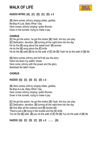# **WALK OF LIFE**



# **KAZOO INTRO: [G] [C] [D] [C] [D] x 2**

[**G**] Here comes Johnny singing oldies, goldies Be-Bop-A-Lula, Baby What I Say Here comes Johnny singing I gotta Woman Down in the tunnels, trying to make it pay

### **CHORUS**

[**C**] He got the action, he got the motion [**G**] Yeah, the boy can play [**C**] Dedication, devotion, [**G**] turning all the night-time into the day He do the [**G**] song about the sweet lovin' [**D**] woman He do the [**G**] song about the [**C**] knife He do the [**G**] walk [**D**] he do the walk of [**C**] life [**D**] Yeah he do the walk of [**G**] life

[**G**] Here comes Johnny and he'll tell you the story Hand me down my walkin' shoes Here come Johnny with the power and the glory Backbeat the talkin' blues

### **CHORUS**

### **KAZOO: [G] [C] [D] [C] [D] x 2**

[G] Here comes Johnny singing oldies, goldies, Be-Bop-A-Lula, Baby What I Say Here comes Johnny singing I gotta Woman, Down in the tunnels, trying to make it pay

[**C**] He got the action, he got the motion [**G**] Yeah, the boy can play [**C**] Dedication, devotion, [**G**] turning all the night-time into the day [**G**] And after all the violence and [**D**] double talk There's just a [**G**] song in the trouble and the [**C**] strife You do the [**G**] walk [**D**] you do the walk of [**C**] life [**D**] You do the walk of [**G**] life

**KAZOO: [G] [C] [D] [C] [D] x 2 ……. [G]**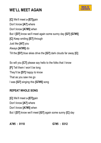**[BACK TO](#page-1-0) [CONTENTS](#page-1-0)**



**[C]** We'll meet a-**[E7]**gain Don't know **[A7]** where Don't know **[A7#5]** when But I **[D7]** know we'll meet again some sunny day **[G7] [G7#5] [C]** Keep smiling **[E7]** through Just like **[A7]** you Always **[A7#5]** do Till the **[D7]** blue skies drive the **[G7]** dark clouds far away **[C]**

So will you **[C7]** please say hello to the folks that I know **[F]** Tell them I won't be long They'll be **[D7]** happy to know That as you saw me go I was **[G7]** singing this **[G7#5]** song

# **REPEAT WHOLE SONG**

**[C]** We'll meet a-**[E7]**gain Don't know **[A7]** where Don't know **[A7#5]** when But I **[D7]** know we'll meet **[G7]** again some sunny **[C]** day

**A7#5 : 0110 G7#5 : 0312**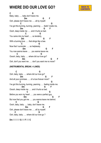# **WHERE DID OUR LOVE GO?**

**[BACK TO](#page-1-0) [CONTENTS](#page-1-0)**

**C G** Baby, baby ….. baby don't leave me.  **Dm G F** Ooh, please don't leave me ….. all by myself.  **C G** I've got this burning, burning, yearning ….. feelin' inside me,  **Dm G F** Oooh, deep inside me ….. and it hurts so bad.  **C G** You came into my heart ..... so tenderly,  **Dm G F** With a burning love ..... that stings like a bee.  **C G** Now that I surrender ….. so helplessly.  **Dm G F** You now wanna leave ….. you wanna leave me.  **C G** Ooooh, baby, baby ….. where did our love go? **Dm** G F Ooh, don't you want me ….. don't you want me no more?

#### **(INSTRUMENTAL BREAK: 4 LINES)**

 **C G** Ooh, baby, baby ….. where did our love go?  **Dm G F** And all your promises ….. of a love forever more?  **C G** I've got this burning, burning, yearning ….. feeling inside me.  **Dm G F** Ooooh, deep inside me ….. and it hurts so bad.  **C G** Before you won my heart ….. you were a perfect guy.  **Dm G F** But now that you got me ….. you wanna leave me behind.  **C G** Oooh, baby, baby ….. baby, don't leave me. **Dm** G F Ooh, please don't leave me ….. all by myself.  **C G** Ooh, baby, baby ….. where did our love go ?

**Dm / / / / / / / G / / / F / / / C**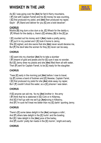# **WHISKEY IN THE JAR**



As [**C**] I was going over the [**Am**] far fam'd Kerry mountains, I [**F**] met with Captain Farrell and his [**C**] money he was counting, I [**C**] first produced my pistol, and [**Am**] then produced my rapier, Sayin' : [**F**] Stand and deliver for you [**C**] are a bold deceiver".

#### **CHORUS**

Musha [**G**] ring dum a doo dum a da, [**C**] Whack for the daddy-o, [**F**] Whack for the daddy o, there's [**C**] whiskey [**G**] in the [**C**] jar.

I [**C**] counted out his money and it [**Am**] made a pretty penny, I [**F**] put it in my pocket and I [**C**] took it home to Jenny, She [**C**] sighed, and she swore that she [**Am**] never would deceive me, But [**F**] the devil take the women for they [**C**] never can be easy.

#### **CHORUS**

I [**C**] went into my chamber [**Am**] for to take a slumber I [**F**] dreamt of gold and jewels and for [**C**] sure it was no wonder, But [**C**] Jenny drew my pistols and she [**Am**] filled them all with water, Then [**F**] sent for Captain Farrell, to be [**C**] ready for the slaughter.

### **CHORUS**

'Twas [**C**] early in the morning just [**Am**] before I rose to travel, Up [**F**] comes a band of footmen and [**C**] likewise, Captain Farrel, I [**C**] first produced my pistol for she [**Am**] stole away my rapier, But I [**F**] couldn't shoot the water, so a [**C**] prisoner I was taken.

### **CHORUS**

If [**C**] anyone can aid me, 'tis my [**Am**] brother in the army I [**F**] think that he is stationed in [**C**] Cork or in Killarney, And [**C**] if he'll go with me we'll go [**Am**]roving in Kilkenny, And [**F**] I'm sure he'll treat me better than my [**C**] darlin' sporting Jenny.

### **CHORUS**

There's [**C**] some takes delight in the [**Am**] carriages a rollin', And [**F**] others take delight in the [**C**] hurlin' and the bowling. But [**C**] I take delight in the [**Am**] juice of the barley, And [**F**] courtin' pretty fair maids in the [**C**] mornin', bright and early.

### **CHORUS**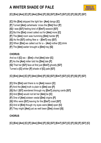# **A WHITER SHADE OF PALE**



# **[C] [Em] [Am] [C] [F] [Am] [Dm] [F] [G] [G7] [Em7] [G7] [C] [F] [G] [F] [G7]**

**[C]** We **[Em]** skipped the light fan- **[Am]** dango **[C] [F]** Turned **[Am]** cartwheels 'cross the **[Dm]** floor **[F] [G]** I was **[G7]** feeling kind of **[Em7]** seasick **[G7] [C]** But the **[Em]** crowd called out for **[Am]** more **[C] [F]** The **[Am]** room was humming **[Dm]** harder **[F] [G]** As the **[G7]** ceiling flew a – **[Em7]** way **[G7] [C]** When **[Em]** we called out for a – [**Am]** nother **[C]** drink **[F]** The **[Am]** waiter brought a **[Dm]** tray **[G]**

### **CHORUS:**

And so it **[C]** wa – **[Em]** s that **[Am]** later **[C] [F]** As the **[Am]** miller told his **[Dm]** tale **[F] [G]** That her **[G7]** face at first just **[Em7]** ghostly **[G7]** Turned a **[C]** whiter **[F]** shade of **[C]** pale **[G7]**

[**C] [Em] [Am] [C] [F] [Am] [Dm] [F] [G] [G7] [Em7] [G7] [C] [F] [G] [F] [G7]**

**[C]** She **[Em]** said there is no **[Am]** reason **[C] [F]** And the **[Am]** truth is plain to **[Dm]** see **[F] [G]** But I **[G7]** wandered through my **[Em7]** playing cards **[G7] [C]** And **[Em]** would not let her **[Am]** be **[C] [F]** One of **[Am]** sixteen vestal **[Dm]** virgins **[F] [G]** Who were **[G7]** leaving for the **[Em7]** coast **[G7]**

**[C]** And al **[Em]** though my eyes were **[Am]** open **[C]**

**[F]** They might **[Am]** just as well been **[Dm]** closed **[G]**

# **CHORUS**

**[C] [Em] [Am] [C] [F] [Am] [Dm] [F] [G] [G7] [Em7] [G7] [C] [F] [G] [F] [G7] [C]**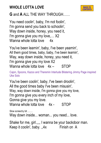# **WHOLE LOTTA LOVE**

# **G** and **A** ALL THE WAY THROUGH……

You need coolin', baby, I'm not foolin', I'm gonna send you back to schoolin', Way down inside, honey, you need it, I'm gonna give you my love,… X2 Wanna whole lotta love 4x

You've been learnin', baby, I've been yearnin', All them good times, baby, baby, I've been learnin', Way, way down inside, honey, you need it, I'm gonna give you my love X2 Wanna whole lotta love  $4x -$  STOP

Cajon, Spoons, Kazoo and Theremin Interlude Blistering Jimmy Page inspired Uke Solo

You've been coolin', baby, I've been droolin', All the good times baby I've been misusin', Way, way down inside, I'm gonna give you my love, I'm gonna give you every inch of my love, Gonna give you my love. Wanna whole lotta love 4x - STOP

Slow screechy bit …….

Way down inside... woman... you need... love.

Shake for me, girl.,,,, I wanna be your backdoor man. Keep it coolin', baby.  $,4x$  Finish on A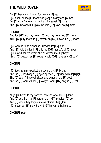# **THE WILD ROVER**



I've **[C]** been a wild rover for many a **[F]** year I **[C]** spent all me **[F]** money on **[G7]** whiskey and **[C]** beer But **[C]** now I'm returning with gold in great **[F]** store And I **[C]** never will **[F]** play the wild **[G7]** rover no **[C]** more

# **CHORUS: And it's [G7] no nay never, [C] no nay never no [F] more Will I [C] play the wild [F] rover, no [G7] never, no [C] more**

I **[C]** went in to an alehouse I used to fre**[F]**quent And I **[C]** told the land **[F]** lady me **[G7]** money's all **[C]** spent I **[C]** asked her for credit, she answered me **[F]** "Nay!" "Such **[C]** custom as **[F]** yours I could **[G7]** have any **[C]** day!"

# **CHORUS**

I **[C]** took from my pocket ten sovereigns **[F]** bright And the **[C]** landlady's **[F]** eyes opened **[G7]** wide with de**[C]**light She **[C]** said: "I have whiskeys and wines of the **[F]** best! And the **[C]** words that I **[F]** told you were **[G7]** only in **[C]** jest!"

# **CHORUS**

I'll go **[C]** home to my parents, confess what I've **[F]** done And **[C]** ask them to **[F]** pardon their **[G7]** prodigal **[C]** son And **[C]** when they forgive me as ofttimes be**[F]**fore I **[C]** never will **[F]** play the wild **[G7]** rover no **[C]** more.

# **CHORUS (x2)**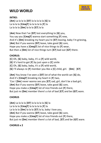# **WILD WORLD**



### **INTRO:**

[**Am**] La la la la [**D7**] la la la la la [**G**] la La la la la [**Cmaj7**] la la la la la [**F**] la La la la la [**Dm**] la la la [**E7**] la la

[**Am**] Now that I've [**D7**] lost everything to [**G**] you, You say you [**Cmaj7**] wanna start something [**F**] new, And it's [**Dm**] breaking my heart you're [**E7**] leaving, baby I'm grieving, [**Am**] But if you wanna [**D7**] leave, take good [**G**] care, Hope you have a [**Cmaj7**] lot of nice things to [**F**] wear, But then a [**Dm**] lot of nice things turn [**E7**] bad out [**G7**] there.

#### **CHORUS:**

[**C**] Oh, [**G**] baby, baby, it's a [**F**] wild world, [**G**] It's hard to get [**F**] by just upon a [**C**] smile [**C**] Oh, [**G**] baby, baby, it's a [**F**] wild world, [**G**] I'll always re-[**F**] member you like a [**C**] child, girl. [**Dm**] [**E7**]

[**Am**] You know I've seen a [**D7**] lot of what the world can [**G**] do, And it's [**Cmaj7**] breaking my heart in [**F**] two, 'Cos I [**Dm**] never wanna see you [**E7**] sad, girl, don't be a bad girl, [**Am**] But if you wanna [**D7**] leave, take good [**G**] care, Hope you make a [**Cmaj7**] lot of nice friends out [**F**] there, But just re-[**Dm**] member there's a lot of bad [**E7**] and be-[**G7**] ware.

### **CHORUS**

[**Am**] La la la la [**D7**] la la la la la [**G**] la La la la la [**Cmaj7**] la la la la la [**F**] la La la la la [**Dm**] la la la [**E7**] la la, baby I love you, [**Am**] But if you wanna [**D7**] leave, take good [**G**] care, Hope you make a [**Cmaj7**] lot of nice friends out [**F**] there, But just re-[**Dm**] member there's a lot of bad, [**E7**] and be-[**G7**] ware.

#### **CHORUS x 2**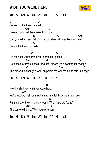# **WISH YOU WERE HERE**



# **Em G Em G Em A7 Em A7 G x2**

**C D** So, so you think you can tell,  **Am G** Heaven from Hell, blue skies from pain. **D** D C Am Can you tell a green field from a cold steel rail, a smile from a veil, **G** Do you think you can tell?

**C** D Did they get you to trade your heroes for ghosts,  **Am G D** Hot ashes for trees, hot air for a cool breeze, cold comfort for change, **C** Am G And did you exchange a walk on part in the war for a lead role in a cage?

### **Em G Em G Em A7 Em A7 G**

**C D** How I wish, how I wish you were here.  **Am G** We're just two lost souls swimming in a fish bowl, year after year, **D C** Running over the same old ground. What have we found?  **Am G** The same old fears. Wish you were here!

**Em G Em G Em A7 Em A7 G x2**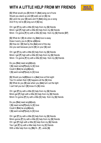# **WITH A LITTLE HELP FROM MY FRIENDS**



[**G**] What would you [**D**] think if I [**Am**] sang out of tune Would you stand up and [**D**] walk out on [**G**] me [**G**] Lend me your [**D**] ears and I'll [**Am**] sing you a song And I'll try not to [**D**] sing out of [**G**] key

Oh I get [**F**] by with a little [**C**] help from my [**G**] friends Mmm I get [**F**] high with a little [**C**] help from my [**G**] friends Mmm I'm gonna [**F**] try with a little [**C**] help from my [**G**] friends [**D7**]

[**G**] What do I [**D**] do when my [**Am**] love is away Does it worry you to [**D**] be a[**G**]lone [**G**] How do I [**D**] feel by the [**Am**] end of the day Are you sad because you're [**D**] on your [**G**] own

Oh I get [**F**] by with a little [**C**] help from my [**G**] friends Mmm I get [**F**] high with a little [**C**] help from my [**G**] friends Mmm I'm gonna [**F**] try with a little [**C**] help from my [**G**] friends

Do you [**Em**] need any[**A**]body I [**G**] need some[**F**]body to [**C**] love Could it [**Em**] be any[**A**]body I [**G**] want some[**F**]body to [**C**] love

[**G**] Would you be[**D**]lieve in a [**Am**] love at first sight Yes I'm certain that it [**D**] happens all the [**G**] time [**G**] What do you [**D**] see when you [**Am**] turn out the light I can't tell you but I [**D**] know it's [**G**] mine

Oh I get [**F**] by with a little [**C**] help from my [**G**] friends Mmm get [**F**] high with a little [**C**] help from my [**G**] friends Mmm I'm gonna [**F**] try with a little [**C**] help from my [**G**] friends

Do you [**Em**] need any[**A**]body I [**G**] need some[**F**]body to [**C**] love Could it [**Em**] be any[**A**]body I [**G**] want some[**F**]body to [**C**] love

Oh I get [**F**] by with a little [**C**] help from my [**G**] friends Mmm gonna [**F**] try with a little [**C**] help from my [**G**] friends Oh I get [**F**] high with a little [**C**] help from my [**G**] friends Yes I get [**F**] by with a little help from my [**C**] friends With a little help from my [**Eb**] fri...[**F**]...ends [**G**]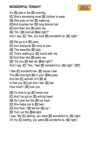# **WONDERFUL TONIGHT**



It's [**G**] late in the [**D**] evening, [**C**] She's wondering what [**D**] clothes to wear. [**G**] She puts on her [**D**] make-up [**C**]And brushes her [**D**] long blonde hair. [**C**] And then she [**D**] asks me, [**G**] "Do I [**D**] look all [**Em**] right?" And I say, [**C**] "Yes, you look [**D**] wonderful to- [**G**] night." [**G**] We go to a [**D**] party [**C**] And everyone [**D**] turns to see [**G**] This beautiful [**D**] lady [**C**] That's walking a- [**D**] round with me. [**C**] And then she [**D**] asks me, [**G**] "Do you [**D**] feel all- [**Em**] right?" And I say, [**C**] "Yes, I feel [**D**] wonderful to- [**G**] night." [**G7**]

I feel [**C**] wonderful be- [**D**] cause I see The [**G**] love-light [**D**] in your [**Em**] eyes, And the [**C**] wonder of it [**D**] all Is that you [**C**] just don't rea- [**D**] lise How much I [**G**] love you.

[**G**] It's time to go [**D**] home now

[**C**] And I've got an [**D**] aching head

[**G**] So I give her the [**D**] car keys

[**C**] She helps me to [**D**] bed.

[**C**] And then I [**D**] tell her [**G**] as I

[**D**] Turn out the [**Em**] light,

I say, "My [**C**] darling, you were [**D**] wonderful to- [**G**] night.

Oh my [**C**] darling, you were [**D**] wonderful to- [**G**] night."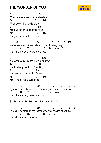# **THE WONDER OF YOU**



**G Em** When no-one else can understand me **Am D D7** When everything I do is wrong **G Em** You give me love and consolation **Am D D7** You give me hope to carry on  **G Em C D E E7** And you're always there to lend a hand, in everything I do  **C D7 G Em Am D** That's the wonder, the wonder of you **G Em** And when you smile the world is brighter **Am D D7** You touch my hand and I'm a king **G Em** Your love to me is worth a fortune **Am D D7** Your love for me is everything  **G Em C D E E7** I guess I'll never know the reason why, you love me as you do  **C D7 G Em Am D** That's the wonder, the wonder of you **G Em Am D D7 G Em Am D D7 G Em C D E E7** I guess I'll never know the reason why, you love me as you do  **C D7 G D G**

That's the wonder, the wonder of you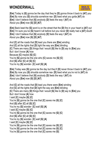# **WONDERWALL**



[**Em**] Today is [**G**] gonna be the day that they're [**D**] gonna throw it back to [**A7**] you [**Em**] By now you [**G**] shoulda somehow rea- [**D**] lised what you gotta [**A7**] do [**Em**] I don't believe that [**G**] anybody [**D**] feels the way I [**A7**] do About you [**Em**] now [**G**] [**D**] [**A7**]

[**Em**] Back beat the [**G**] word is on the street that the [**D**] fire in your heart is [**A7**] out [**Em**] I'm sure you've [**G**] heard it all before but you never [**D**] really had a [**A7**] doubt [**Em**] I don't believe that [**G**] anybody [**D**] feels the way I [**A7**] do About you [**Em**] now [**G**] [**D**] [**A7**]

And [**C**] all the roads that [**D**] lead you there are [**Em**] winding And [**C**] all the lights that [**D**] light the way are [**Em**] blinding [**C**] There are many [**D**] things that I would [**G**] like to [**D**] say to [**Em**] you But I don't know [**A**] how Because [**C**] maybe [**G**] [**C**] You're [**G**] gonna be the one who [**C**] saves me [**G**] [**C**] And [**G**] after [**C**] all [**G**] [**C**] You're my [**G**] wonder- [**C**] wall [**G**] [**A**]

[**Em**] Today was [**G**] gonna be the day but they'll [**D**] never throw it back to [**A7**] you [**Em**] By now you [**G**] shoulda somehow rea- [**D**] lised what you're not to [**A7**] do [**Em**] I don't believe that [**G**] anybody [**D**] feels the way I [**A7**] do About you [**Em**] now [**G**] [**D**] [**A7**]

And [**C**] all the roads that [**D**] lead you there were [**Em**] winding And [**C**] all the lights that [**D**] light the way are [**Em**] blinding [**C**] There are many [**D**] things that I would [**G**] like to [**D**] say to [**Em**] you But I don't know [**A**] how I said [**C**] maybe [**G**] [**C**] You're [**G**] gonna be the one that [**C**] saves me [**G**] [**C**] And [**G**] after [**C**] all [**G**] [**C**] You're my [**G**] wonder- [**C**] wall [**G**] [**A**] I said [**C**] maybe [**G**] [**C**] You're [**G**] gonna be the one that [**C**] saves me [**G**] [**C**] And [**G**] after [**C**] all [**G**] [**C**] You're my [**G**] wonder- [**C**] wall [**G**] [**A**] I said [**C**] maybe [**G**] [**C**] You're [**G**] gonna be the one that [**C**] saves me [**G**] [**C**] You're [**G**] gonna be the one that [**C**] saves me [**G**] [**C**] You're [**G**] gonna be the one that [**C**] saves me [**G**]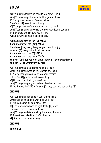# **YMCA**



**[C]** Young man there's no need to feel down, I said **[Am]** Young man pick yourself off the ground, I said **[F]** Young man cause you're new in town There's no **[G]** need to be unhappy **[C]** Young man there's a place you can go, I said **[Am]** Young man when you're short on your dough, you can **[F]** Stay there and I'm sure you will find **[G]** Many ways to have a good time **[G]**

**[G] It's fun to stay at the [C] YMCA It's fun to stay at the [Am**] **YMCA They have [Dm] everything for you men to enjoy You can [G] hang out with all the boys It's fun to stay at the [C] YMCA It's fun to stay at the [Am] YMCA You can [Dm] get yourself clean, you can have a good meal You can [G] do whatever you feel**

**[C]** Young man are you listening to me, I said **[Am]** Young man what do you want to be, I said **[F]** Young man you can make real your dreams But you've [**G]** got to know this one thing **[C]** No man does it all by himself, I said **[Am]** Young man put your pride on the shelf and just **[F]** Go there to the YMCA I'm sure **[G]** they can help you to-day **[G]** 

### **CHORUS**

**[C]** Young man I was once in your shoes, I said **[Am]** I was down and out with the blues, I felt **[F]** No man cared if I were alive, I felt **[G]** The whole world was so tight, that's **[C]** when Someone came up to me and said **[Am]** Young man take a walk up the street, there's a **[F]** Place there called the YMCA, they can **[G]** Start you back on your way

### **CHORUS**

**(End on C)**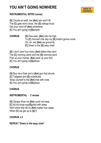# **YOU AIN'T GOING NOWHERE**



### **INSTRUMENTAL INTRO (verse)**

[**G**] Clouds so swift, the [**Am**] rain won't lift The [**C**] gate won't close, the [**G**] railings froze Get your mind off [**Am**] wintertime [**C**] You ain't going no[**G**]where

#### **CHORUS**: [**G**] Ooo-wee, [**Am**] ride me high To [**C**] morrow's the day my [**G**] bride's gonna come Oh, oh, are [**Am**] we gonna fly [**C**] Down in the [**G**] easy chair

[**G**] I don't care how many [**Am**] letters they sent The [**C**] morning came and the [**G**] morning went Pick up your money, [**Am**] pack up your tent [**C**] You ain't going no[**G**]where

### **CHORUS**

[**G**] Buy me a flute and a [**Am**] gun that shoots [**C**] Tailgates and [**G**] substitutes Strap yourself to the [**Am**] tree with roots [**C**] You ain't going no[**G**]where

### **CHORUS**

### **INSTRUMENTAL - 2 verses**

[**G**] Gengis Khan he [**Am**] could not keep [**C**] All his kings sup[**G**]plied with sleep We'll climb that hill no [**Am**] matter how steep When [**C**] we get up to [**G**] it

### **CHORUS x 2**

### **REPEAT 'Down in the easy chair'**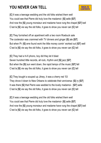# **YOU NEVER CAN TELL**



[**C**] It was a teenage wedding and the old folks wished them well You could see that Pierre did truly love the madamoi- [**G**] selle [**G7**] And now the [**G**] young monsieur and madame have rung the chapel [**G7**] bell C'est la [**G**] vie say the old folks, it goes to show you never can [**C**] tell

[**C**] They furnished off an apartment with a two room Roebuck sale The coolerator was crammed with TV dinners and ginger [**G**] ale [**G7**] But when Pi- [**G**] erre found work the little money comin' worked out [**G7**] well C'est la [**G**] vie say the old folks, it goes to show you never can [**C**] tell

[**C**] They had a hi-fi phono, boy did they let it blast Seven hundred little records, all rock, rhythm and [**G**] jazz [**G7**] But when the [**G**] sun went down, the rapid tempo of the music [**G7**] fell C'est la [**G**] vie say the old folks, it goes to show you never can [**C**] tell

[**C**] They bought a souped up Jitney, it was a cherry red '53 They drove it down to New Orleans to celebrate their anniversa- [**G**] ry [**G7**] It was there [**G**] that Pierre was wedded to the lovely madamoi- [**G7**] selle C'est la [**G**] vie say the old folks, it goes to show you never can [**C**] tell

[**C**] It was a teenage wedding and the old folks wished them well You could see that Pierre did truly love the madamoi- [**G**] selle [**G7**] And now the [**G**] young monsieur and madame have rung the chapel [**G7**] bell C'est la [**G**] vie say the old folks, it goes to show you never can [**C**] tell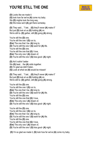# **YOU'RE STILL THE ONE**



**(D)** Looks like we made it

**(G)** look how far we've **(A)** come my baby.

We **(D)** mighta took the long way,

**(G)** We knew we'd **(A)** get there someday.

**(D)** They said… "I bet… **(G)** they'll never **(A)** make it" But just **(D)** look at us **(G)** holding **(A)** on. We're still to- **(D)** gether, still **(G)** going **(A)** strong.

You're still the **(D)** one.

You're still the one I **(G)** run to,

**(Em)** The one that I be- **(A)** long to,

**(D)** You're still the one I **(G)** want for **(A)** life.

You're still the **(D)** one.

You're still the one that **(G)** I love,

**(Em)** The only one I **(A)** dream of,

**(D)** You're still the one I **(G)** kiss good- **(A)** night.

**(D)** Ain't nothin' better

We **(G)** beat… the **(A)** odds together.

**(D)** I'm glad we didn't listen,

**(G)** Look at what we **(A)** would be misssin'

**(D)** They said… "I bet… **(G)** they'll never **(A)** make it" But just **(D)** look at us **(G)** holding **(A)** on. We're still to- **(D)** gether, still **(G)** going **(A)** strong.

You're still the **(D)** one. You're still the one I **(G)** run to, **(Em)** The one that I be- **(A)** long to, **(D)** You're still the one I **(G)** want for **(A)** life. You're still the **(D)** one. You're still the one that **(G)** I love, **(Em)** The only one I **(A)** dream of, **(D)** You're still the one I **(G)** kiss good- **(A)** night.

You're still the **(D)** one. You're still the one I (G) run to, **(Em)** The one that I be- **(A)** long to, **(D)** You're still the one I **(G)** want for **(A)** life. You're still the **(D)** one. You're still the one that **(G)** I love, **(Em)** The only one I **(A)** dream of, **(D)** You're still the one I **(G)** kiss good- **(A)** night.

**(D)** I'm so glad we made it, **(G)** look how far we've **(A)** come my baby.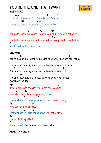# **YOU'RE THE ONE THAT I WANT BASS INTRO**

 **Am F C** I got chills, they're multiplyin', and I'm losin' control  **E7 Am** 'Cause the power you're supplyin', it's electrifyin'

 **C G Am F** You better shape up, 'cause I need a man, and my heart is set on you **C** G Am F You better shape up, you better understand, to my heart I must be true **F** Nothing left, nothing left for me to do

# **CHORUS:**

**C** F You're the one that I want (you are the one I want), ooh ooh ooh, honey **C** F The one that I want (you are the one I want), ooh ooh ooh, honey **C** F The one that I want (you are the one I want), ooh ooh ooh  **G** The one I need (the one I need), oh yes indeed (yes indeed) **BASS (AS INTRO) Am F C** If you're filled with affection, you're too shy to convey  **E7 Am** Meditate my direction, feel your way, wow!  **C G** I better shape up, cause you need a man (I need a man), **Am F** Who can keep me satisfied  **C G** I better shape up, if I'm gonna prove (you better prove), **Am** That my faith is justified **F** Are you sure? Yes I'm sure down deep inside

# **REPEAT CHORUS**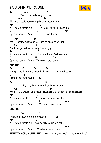# **YOU SPIN ME ROUND**

**Am Am D** Yeah I, I get to know your name  **Am D** Well and I, could trace your private number baby-y **Am C** All I know is that to me You look like you're lots of fun **D** B Am Open up your lovin' arms I want some  **Am D** Well I, I set my sights on you (and no one else will do)  **Am D** And I, I've got to have my way now baby-y **Am C** All I know is that to me You look like you're havin' fun **D E Am** Open up your lovin' arms Watch out, here I come ------------------------------------------------------------------------------------------------------------------------------------------------------------------------------------------------ **CHORUS: Am C G Am** You spin me right round, baby Right round, like a record, baby **D E** Right round round x2 ------------------------------------------------------------------------------------------------------------------------------------------------------------------------------------------------ **Am D** I, (I, I, I,) I got be your friend now, baby-y  **Am D** And I, (I, I, I,) would like to move in just a little bit closer (a little bit closer) **Am C** All I know is that to me You look like you're lots of fun D B Am Open up your lovin' arms Watch out, here I come **CHORUS Am D** I want your loooo-o-o-oo-o-o-oooove x2 **Am C** All I know is that to me You look like you're lots of fun **D** B Am Open up your lovin' arms Watch out, here I come **REPEAT CHORUS UNTIL END** (with "I want your love"... "I need your love")

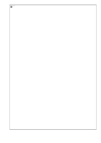